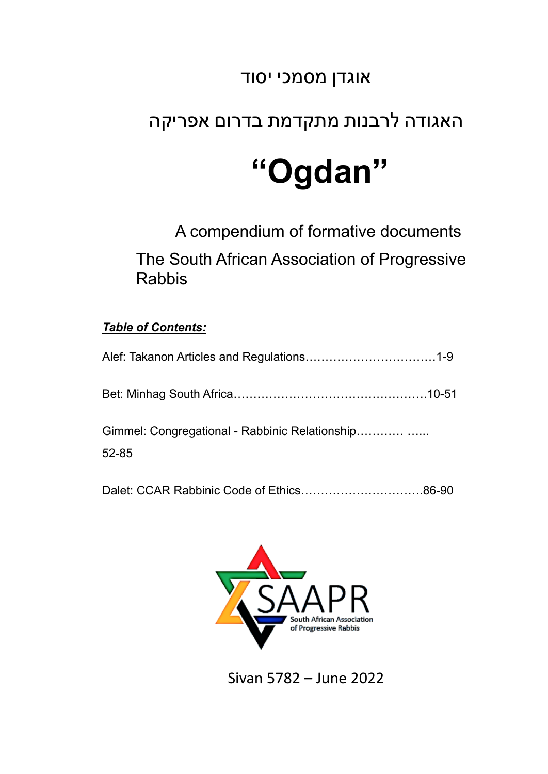### אוגדן מסמכי יסוד

## האגודה לרבנות מתקדמת בדרום אפריקה

## **"Ogdan"**

A compendium of formative documents The South African Association of Progressive Rabbis

#### *Table of Contents:*

| Gimmel: Congregational - Rabbinic Relationship |
|------------------------------------------------|
| $52 - 85$                                      |

Dalet: CCAR Rabbinic Code of Ethics………………………….86-90



Sivan 5782 – June 2022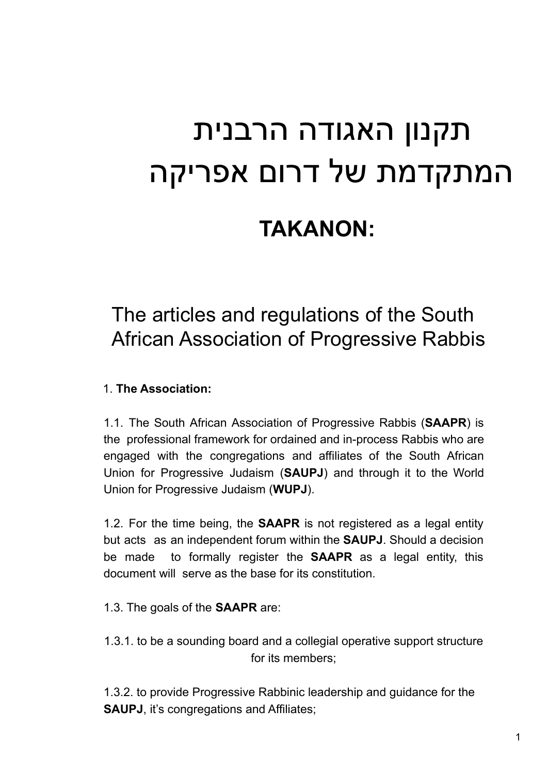# תקנון האגודה הרבנית המתקדמת של דרום אפריקה

## **TAKANON:**

## The articles and regulations of the South African Association of Progressive Rabbis

#### 1. **The Association:**

1.1. The South African Association of Progressive Rabbis (**SAAPR**) is the professional framework for ordained and in-process Rabbis who are engaged with the congregations and affiliates of the South African Union for Progressive Judaism (**SAUPJ**) and through it to the World Union for Progressive Judaism (**WUPJ**).

1.2. For the time being, the **SAAPR** is not registered as a legal entity but acts as an independent forum within the **SAUPJ**. Should a decision be made to formally register the **SAAPR** as a legal entity, this document will serve as the base for its constitution.

- 1.3. The goals of the **SAAPR** are:
- 1.3.1. to be a sounding board and a collegial operative support structure for its members;

1.3.2. to provide Progressive Rabbinic leadership and guidance for the **SAUPJ**, it's congregations and Affiliates;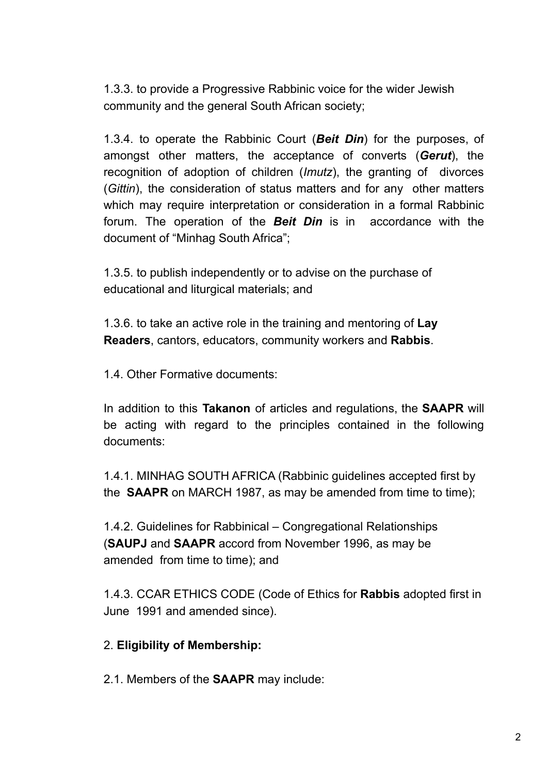1.3.3. to provide a Progressive Rabbinic voice for the wider Jewish community and the general South African society;

1.3.4. to operate the Rabbinic Court (*Beit Din*) for the purposes, of amongst other matters, the acceptance of converts (*Gerut*), the recognition of adoption of children (*Imutz*), the granting of divorces (*Gittin*), the consideration of status matters and for any other matters which may require interpretation or consideration in a formal Rabbinic forum. The operation of the *Beit Din* is in accordance with the document of "Minhag South Africa";

1.3.5. to publish independently or to advise on the purchase of educational and liturgical materials; and

1.3.6. to take an active role in the training and mentoring of **Lay Readers**, cantors, educators, community workers and **Rabbis**.

1.4. Other Formative documents:

In addition to this **Takanon** of articles and regulations, the **SAAPR** will be acting with regard to the principles contained in the following documents:

1.4.1. MINHAG SOUTH AFRICA (Rabbinic guidelines accepted first by the **SAAPR** on MARCH 1987, as may be amended from time to time);

1.4.2. Guidelines for Rabbinical – Congregational Relationships (**SAUPJ** and **SAAPR** accord from November 1996, as may be amended from time to time); and

1.4.3. CCAR ETHICS CODE (Code of Ethics for **Rabbis** adopted first in June 1991 and amended since).

#### 2. **Eligibility of Membership:**

2.1. Members of the **SAAPR** may include: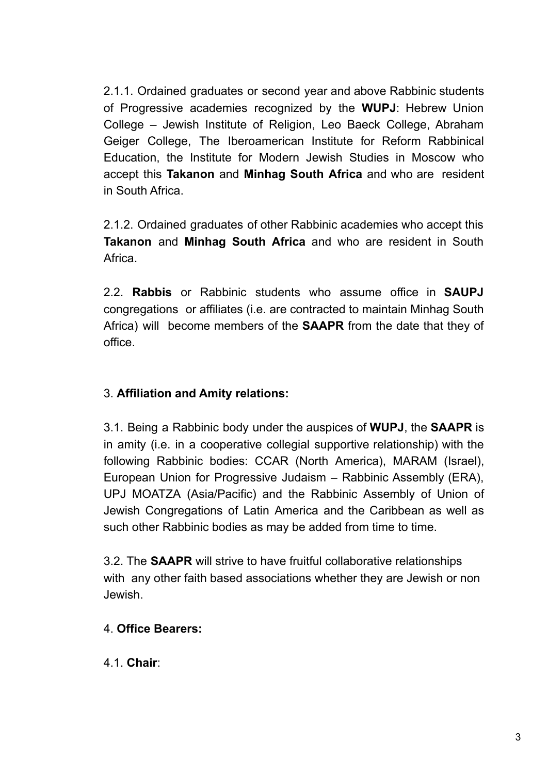2.1.1. Ordained graduates or second year and above Rabbinic students of Progressive academies recognized by the **WUPJ**: Hebrew Union College – Jewish Institute of Religion, Leo Baeck College, Abraham Geiger College, The Iberoamerican Institute for Reform Rabbinical Education, the Institute for Modern Jewish Studies in Moscow who accept this **Takanon** and **Minhag South Africa** and who are resident in South Africa.

2.1.2. Ordained graduates of other Rabbinic academies who accept this **Takanon** and **Minhag South Africa** and who are resident in South Africa.

2.2. **Rabbis** or Rabbinic students who assume office in **SAUPJ** congregations or affiliates (i.e. are contracted to maintain Minhag South Africa) will become members of the **SAAPR** from the date that they of office.

#### 3. **Affiliation and Amity relations:**

3.1. Being a Rabbinic body under the auspices of **WUPJ**, the **SAAPR** is in amity (i.e. in a cooperative collegial supportive relationship) with the following Rabbinic bodies: CCAR (North America), MARAM (Israel), European Union for Progressive Judaism – Rabbinic Assembly (ERA), UPJ MOATZA (Asia/Pacific) and the Rabbinic Assembly of Union of Jewish Congregations of Latin America and the Caribbean as well as such other Rabbinic bodies as may be added from time to time.

3.2. The **SAAPR** will strive to have fruitful collaborative relationships with any other faith based associations whether they are Jewish or non Jewish.

#### 4. **Office Bearers:**

4.1. **Chair**: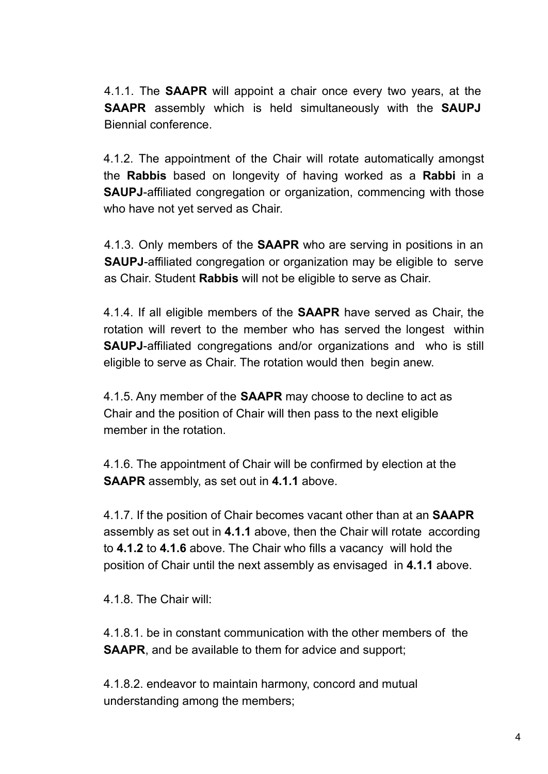4.1.1. The **SAAPR** will appoint a chair once every two years, at the **SAAPR** assembly which is held simultaneously with the **SAUPJ** Biennial conference.

4.1.2. The appointment of the Chair will rotate automatically amongst the **Rabbis** based on longevity of having worked as a **Rabbi** in a **SAUPJ**-affiliated congregation or organization, commencing with those who have not yet served as Chair.

4.1.3. Only members of the **SAAPR** who are serving in positions in an **SAUPJ**-affiliated congregation or organization may be eligible to serve as Chair. Student **Rabbis** will not be eligible to serve as Chair.

4.1.4. If all eligible members of the **SAAPR** have served as Chair, the rotation will revert to the member who has served the longest within **SAUPJ**-affiliated congregations and/or organizations and who is still eligible to serve as Chair. The rotation would then begin anew.

4.1.5. Any member of the **SAAPR** may choose to decline to act as Chair and the position of Chair will then pass to the next eligible member in the rotation.

4.1.6. The appointment of Chair will be confirmed by election at the **SAAPR** assembly, as set out in **4.1.1** above.

4.1.7. If the position of Chair becomes vacant other than at an **SAAPR** assembly as set out in **4.1.1** above, then the Chair will rotate according to **4.1.2** to **4.1.6** above. The Chair who fills a vacancy will hold the position of Chair until the next assembly as envisaged in **4.1.1** above.

4.1.8. The Chair will:

4.1.8.1. be in constant communication with the other members of the **SAAPR**, and be available to them for advice and support;

4.1.8.2. endeavor to maintain harmony, concord and mutual understanding among the members;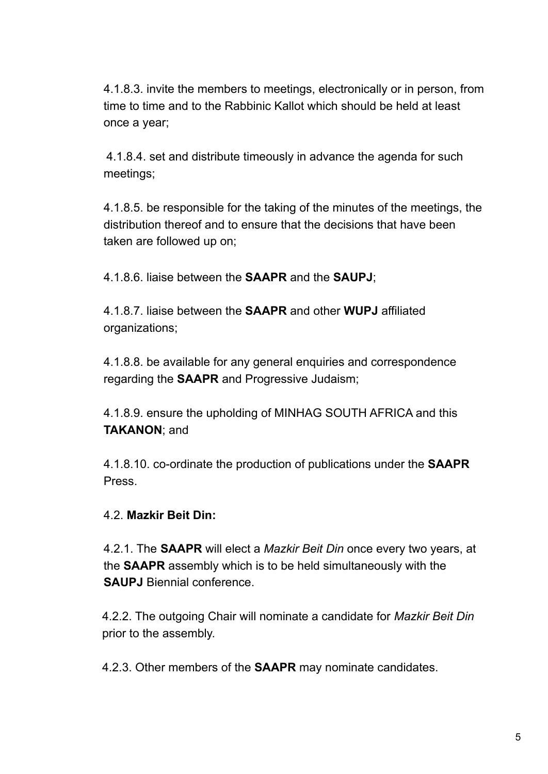4.1.8.3. invite the members to meetings, electronically or in person, from time to time and to the Rabbinic Kallot which should be held at least once a year;

4.1.8.4. set and distribute timeously in advance the agenda for such meetings;

4.1.8.5. be responsible for the taking of the minutes of the meetings, the distribution thereof and to ensure that the decisions that have been taken are followed up on;

4.1.8.6. liaise between the **SAAPR** and the **SAUPJ**;

4.1.8.7. liaise between the **SAAPR** and other **WUPJ** affiliated organizations;

4.1.8.8. be available for any general enquiries and correspondence regarding the **SAAPR** and Progressive Judaism;

4.1.8.9. ensure the upholding of MINHAG SOUTH AFRICA and this **TAKANON**; and

4.1.8.10. co-ordinate the production of publications under the **SAAPR** Press.

#### 4.2. **Mazkir Beit Din:**

4.2.1. The **SAAPR** will elect a *Mazkir Beit Din* once every two years, at the **SAAPR** assembly which is to be held simultaneously with the **SAUPJ** Biennial conference.

4.2.2. The outgoing Chair will nominate a candidate for *Mazkir Beit Din* prior to the assembly.

4.2.3. Other members of the **SAAPR** may nominate candidates.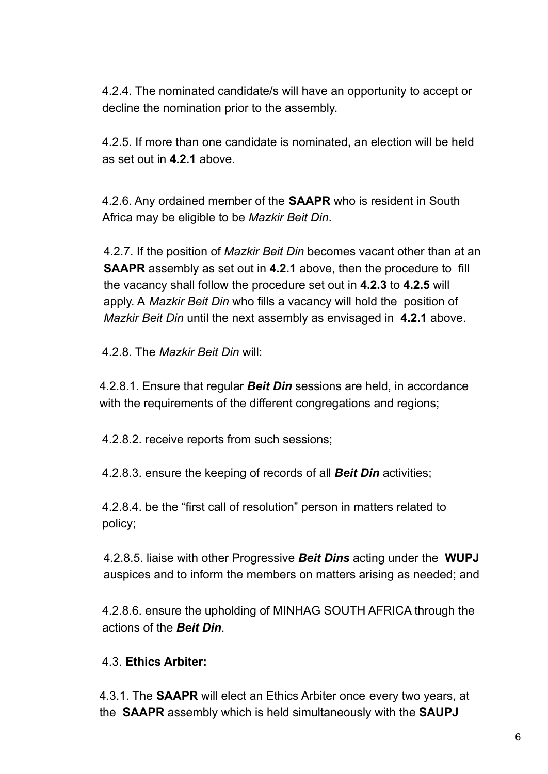4.2.4. The nominated candidate/s will have an opportunity to accept or decline the nomination prior to the assembly.

4.2.5. If more than one candidate is nominated, an election will be held as set out in **4.2.1** above.

4.2.6. Any ordained member of the **SAAPR** who is resident in South Africa may be eligible to be *Mazkir Beit Din*.

4.2.7. If the position of *Mazkir Beit Din* becomes vacant other than at an **SAAPR** assembly as set out in **4.2.1** above, then the procedure to fill the vacancy shall follow the procedure set out in **4.2.3** to **4.2.5** will apply. A *Mazkir Beit Din* who fills a vacancy will hold the position of *Mazkir Beit Din* until the next assembly as envisaged in **4.2.1** above.

4.2.8. The *Mazkir Beit Din* will:

4.2.8.1. Ensure that regular *Beit Din* sessions are held, in accordance with the requirements of the different congregations and regions;

4.2.8.2. receive reports from such sessions;

4.2.8.3. ensure the keeping of records of all *Beit Din* activities;

4.2.8.4. be the "first call of resolution" person in matters related to policy;

4.2.8.5. liaise with other Progressive *Beit Dins* acting under the **WUPJ** auspices and to inform the members on matters arising as needed; and

4.2.8.6. ensure the upholding of MINHAG SOUTH AFRICA through the actions of the *Beit Din*.

#### 4.3. **Ethics Arbiter:**

4.3.1. The **SAAPR** will elect an Ethics Arbiter once every two years, at the **SAAPR** assembly which is held simultaneously with the **SAUPJ**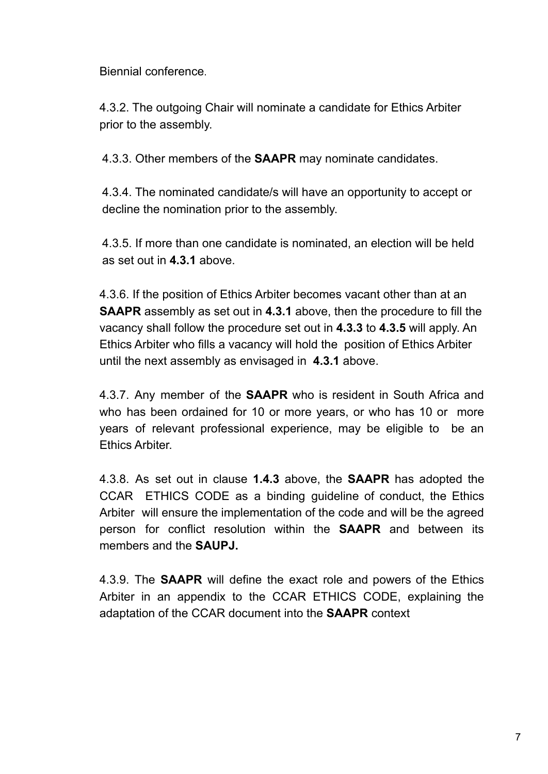Biennial conference.

4.3.2. The outgoing Chair will nominate a candidate for Ethics Arbiter prior to the assembly.

4.3.3. Other members of the **SAAPR** may nominate candidates.

4.3.4. The nominated candidate/s will have an opportunity to accept or decline the nomination prior to the assembly.

4.3.5. If more than one candidate is nominated, an election will be held as set out in **4.3.1** above.

4.3.6. If the position of Ethics Arbiter becomes vacant other than at an **SAAPR** assembly as set out in **4.3.1** above, then the procedure to fill the vacancy shall follow the procedure set out in **4.3.3** to **4.3.5** will apply. An Ethics Arbiter who fills a vacancy will hold the position of Ethics Arbiter until the next assembly as envisaged in **4.3.1** above.

4.3.7. Any member of the **SAAPR** who is resident in South Africa and who has been ordained for 10 or more years, or who has 10 or more years of relevant professional experience, may be eligible to be an Ethics Arbiter.

4.3.8. As set out in clause **1.4.3** above, the **SAAPR** has adopted the CCAR ETHICS CODE as a binding guideline of conduct, the Ethics Arbiter will ensure the implementation of the code and will be the agreed person for conflict resolution within the **SAAPR** and between its members and the **SAUPJ.**

4.3.9. The **SAAPR** will define the exact role and powers of the Ethics Arbiter in an appendix to the CCAR ETHICS CODE, explaining the adaptation of the CCAR document into the **SAAPR** context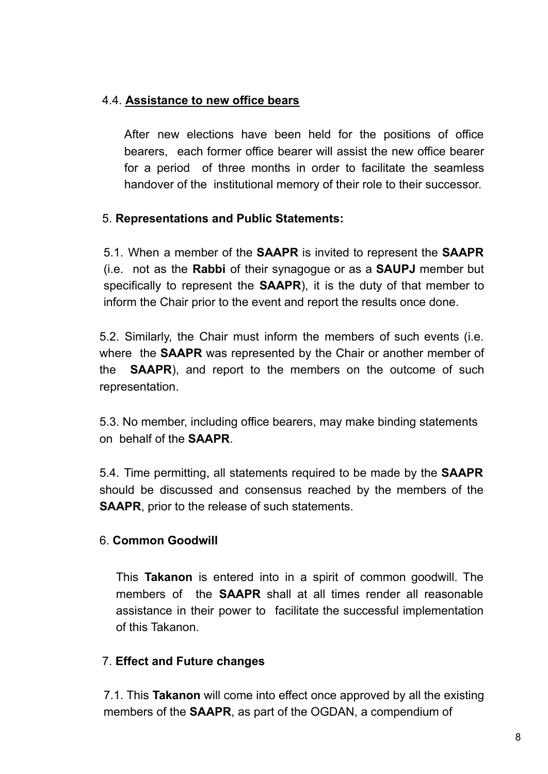#### 4.4. **Assistance to new office bears**

After new elections have been held for the positions of office bearers, each former office bearer will assist the new office bearer for a period of three months in order to facilitate the seamless handover of the institutional memory of their role to their successor.

#### 5. **Representations and Public Statements:**

5.1. When a member of the **SAAPR** is invited to represent the **SAAPR** (i.e. not as the **Rabbi** of their synagogue or as a **SAUPJ** member but specifically to represent the **SAAPR**), it is the duty of that member to inform the Chair prior to the event and report the results once done.

5.2. Similarly, the Chair must inform the members of such events (i.e. where the **SAAPR** was represented by the Chair or another member of the **SAAPR**), and report to the members on the outcome of such representation.

5.3. No member, including office bearers, may make binding statements on behalf of the **SAAPR**.

5.4. Time permitting, all statements required to be made by the **SAAPR** should be discussed and consensus reached by the members of the **SAAPR**, prior to the release of such statements.

#### 6. **Common Goodwill**

This **Takanon** is entered into in a spirit of common goodwill. The members of the **SAAPR** shall at all times render all reasonable assistance in their power to facilitate the successful implementation of this Takanon.

#### 7. **Effect and Future changes**

7.1. This **Takanon** will come into effect once approved by all the existing members of the **SAAPR**, as part of the OGDAN, a compendium of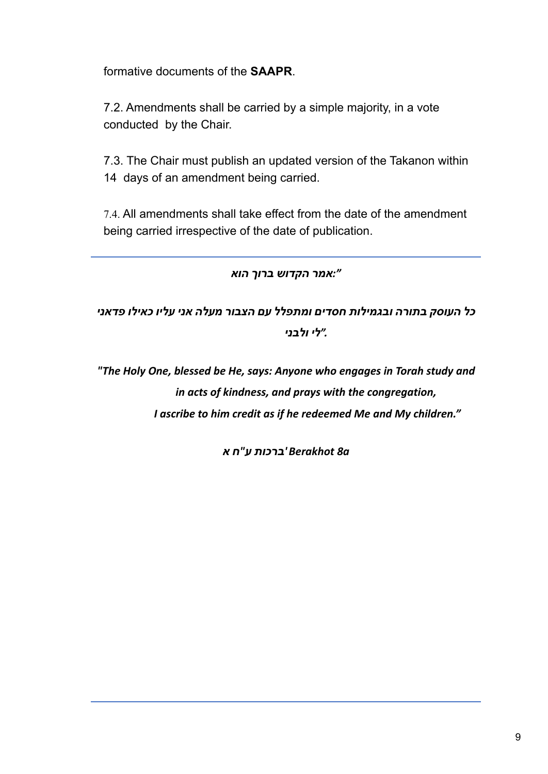formative documents of the **SAAPR**.

7.2. Amendments shall be carried by a simple majority, in a vote conducted by the Chair.

7.3. The Chair must publish an updated version of the Takanon within 14 days of an amendment being carried.

7.4. All amendments shall take effect from the date of the amendment being carried irrespective of the date of publication.

#### *":אמר הקדוש ברוך הוא*

*כל העוסק בתורה ובגמילות חסדים ומתפלל עם הצבור מעלה אני עליו כאילו פדאני ."לי ולבני*

*"The Holy One, blessed be He, says: Anyone who engages in Torah study and in acts of kindness, and prays with the congregation, I ascribe to him credit as if he redeemed Me and My children."*

*a8 Berakhot' ברכות ע"ח א*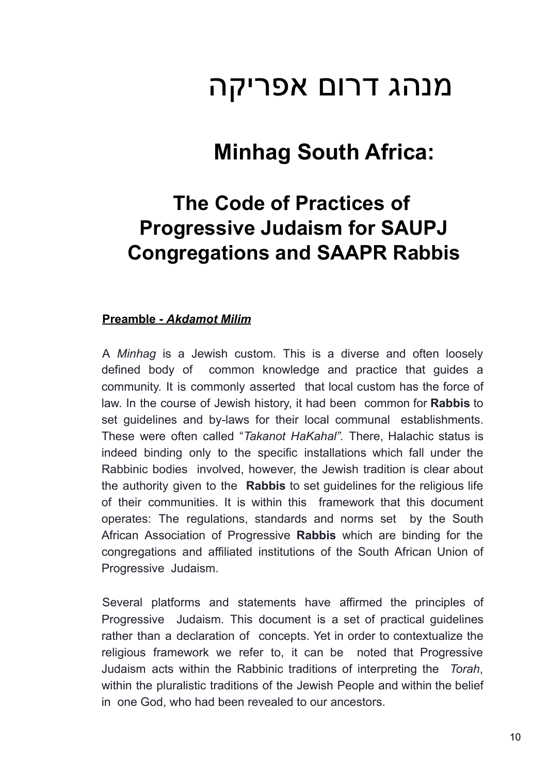## מנהג דרום אפריקה

## **Minhag South Africa:**

## **The Code of Practices of Progressive Judaism for SAUPJ Congregations and SAAPR Rabbis**

#### **Preamble -** *Akdamot Milim*

A *Minhag* is a Jewish custom. This is a diverse and often loosely defined body of common knowledge and practice that guides a community. It is commonly asserted that local custom has the force of law. In the course of Jewish history, it had been common for **Rabbis** to set guidelines and by-laws for their local communal establishments. These were often called "*Takanot HaKahal".* There, Halachic status is indeed binding only to the specific installations which fall under the Rabbinic bodies involved, however, the Jewish tradition is clear about the authority given to the **Rabbis** to set guidelines for the religious life of their communities. It is within this framework that this document operates: The regulations, standards and norms set by the South African Association of Progressive **Rabbis** which are binding for the congregations and affiliated institutions of the South African Union of Progressive Judaism.

Several platforms and statements have affirmed the principles of Progressive Judaism. This document is a set of practical guidelines rather than a declaration of concepts. Yet in order to contextualize the religious framework we refer to, it can be noted that Progressive Judaism acts within the Rabbinic traditions of interpreting the *Torah*, within the pluralistic traditions of the Jewish People and within the belief in one God, who had been revealed to our ancestors.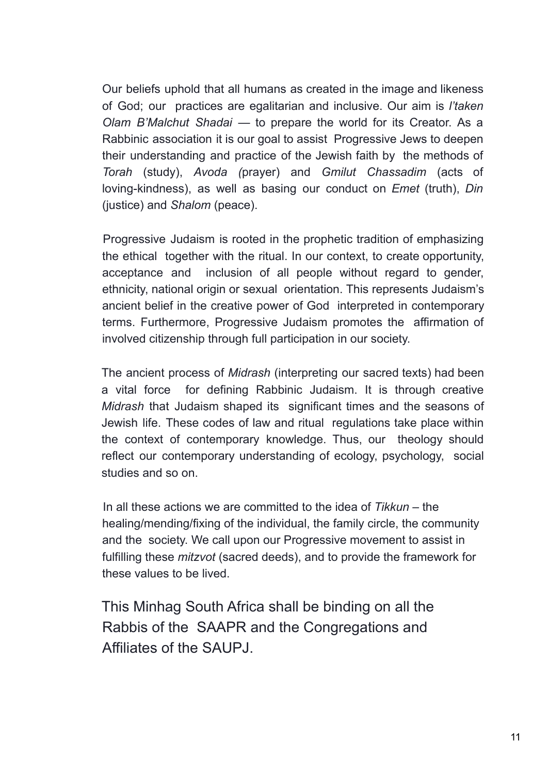Our beliefs uphold that all humans as created in the image and likeness of God; our practices are egalitarian and inclusive. Our aim is *l'taken Olam B'Malchut Shadai* — to prepare the world for its Creator. As a Rabbinic association it is our goal to assist Progressive Jews to deepen their understanding and practice of the Jewish faith by the methods of *Torah* (study), *Avoda (*prayer) and *Gmilut Chassadim* (acts of loving-kindness), as well as basing our conduct on *Emet* (truth), *Din* (justice) and *Shalom* (peace).

Progressive Judaism is rooted in the prophetic tradition of emphasizing the ethical together with the ritual. In our context, to create opportunity, acceptance and inclusion of all people without regard to gender, ethnicity, national origin or sexual orientation. This represents Judaism's ancient belief in the creative power of God interpreted in contemporary terms. Furthermore, Progressive Judaism promotes the affirmation of involved citizenship through full participation in our society.

The ancient process of *Midrash* (interpreting our sacred texts) had been a vital force for defining Rabbinic Judaism. It is through creative *Midrash* that Judaism shaped its significant times and the seasons of Jewish life. These codes of law and ritual regulations take place within the context of contemporary knowledge. Thus, our theology should reflect our contemporary understanding of ecology, psychology, social studies and so on.

In all these actions we are committed to the idea of *Tikkun* – the healing/mending/fixing of the individual, the family circle, the community and the society. We call upon our Progressive movement to assist in fulfilling these *mitzvot* (sacred deeds), and to provide the framework for these values to be lived.

This Minhag South Africa shall be binding on all the Rabbis of the SAAPR and the Congregations and Affiliates of the SAUPJ.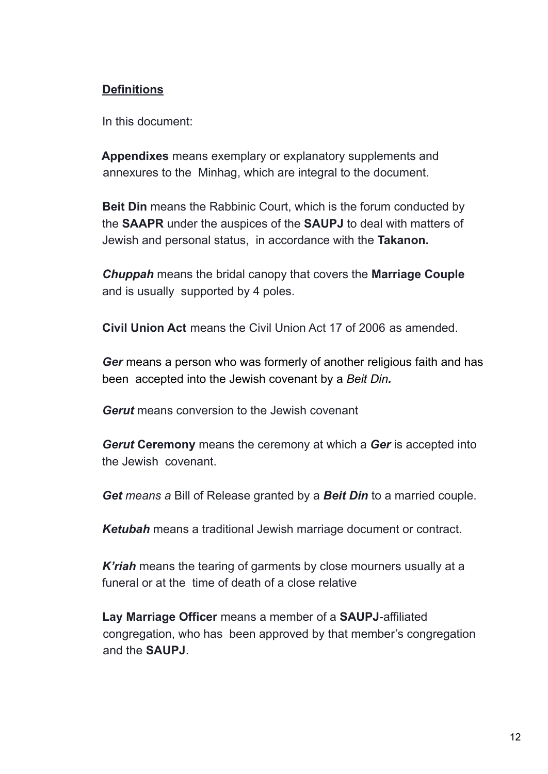#### **Definitions**

In this document:

**Appendixes** means exemplary or explanatory supplements and annexures to the Minhag, which are integral to the document.

**Beit Din** means the Rabbinic Court, which is the forum conducted by the **SAAPR** under the auspices of the **SAUPJ** to deal with matters of Jewish and personal status, in accordance with the **Takanon.**

*Chuppah* means the bridal canopy that covers the **Marriage Couple** and is usually supported by 4 poles.

**Civil Union Act** means the Civil Union Act 17 of 2006 as amended.

*Ger* means a person who was formerly of another religious faith and has been accepted into the Jewish covenant by a *Beit Din.*

*Gerut* means conversion to the Jewish covenant

*Gerut* **Ceremony** means the ceremony at which a *Ger* is accepted into the Jewish covenant.

*Get means a* Bill of Release granted by a *Beit Din* to a married couple.

*Ketubah* means a traditional Jewish marriage document or contract.

*K'riah* means the tearing of garments by close mourners usually at a funeral or at the time of death of a close relative

**Lay Marriage Officer** means a member of a **SAUPJ**-affiliated congregation, who has been approved by that member's congregation and the **SAUPJ**.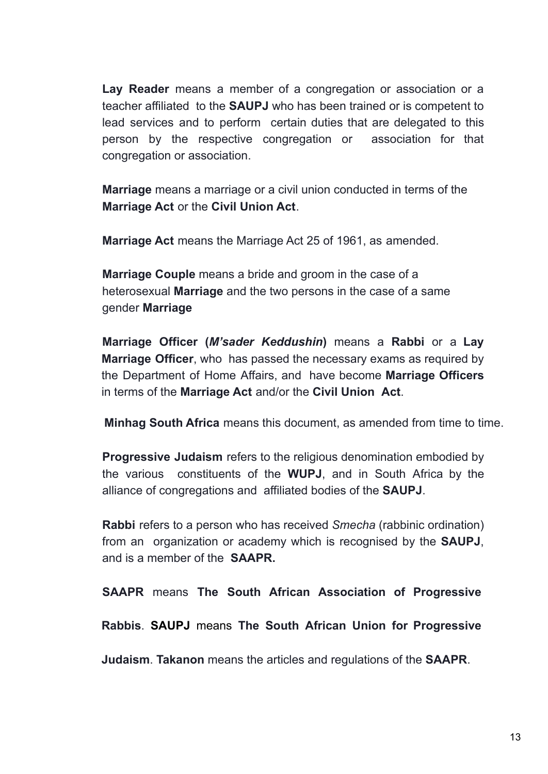**Lay Reader** means a member of a congregation or association or a teacher affiliated to the **SAUPJ** who has been trained or is competent to lead services and to perform certain duties that are delegated to this person by the respective congregation or association for that congregation or association.

**Marriage** means a marriage or a civil union conducted in terms of the **Marriage Act** or the **Civil Union Act**.

**Marriage Act** means the Marriage Act 25 of 1961, as amended.

**Marriage Couple** means a bride and groom in the case of a heterosexual **Marriage** and the two persons in the case of a same gender **Marriage**

**Marriage Officer (***M'sader Keddushin***)** means a **Rabbi** or a **Lay Marriage Officer**, who has passed the necessary exams as required by the Department of Home Affairs, and have become **Marriage Officers** in terms of the **Marriage Act** and/or the **Civil Union Act**.

**Minhag South Africa** means this document, as amended from time to time.

**Progressive Judaism** refers to the religious denomination embodied by the various constituents of the **WUPJ**, and in South Africa by the alliance of congregations and affiliated bodies of the **SAUPJ**.

**Rabbi** refers to a person who has received *Smecha* (rabbinic ordination) from an organization or academy which is recognised by the **SAUPJ**, and is a member of the **SAAPR.**

**SAAPR** means **The South African Association of Progressive**

**Rabbis**. **SAUPJ** means **The South African Union for Progressive**

**Judaism**. **Takanon** means the articles and regulations of the **SAAPR**.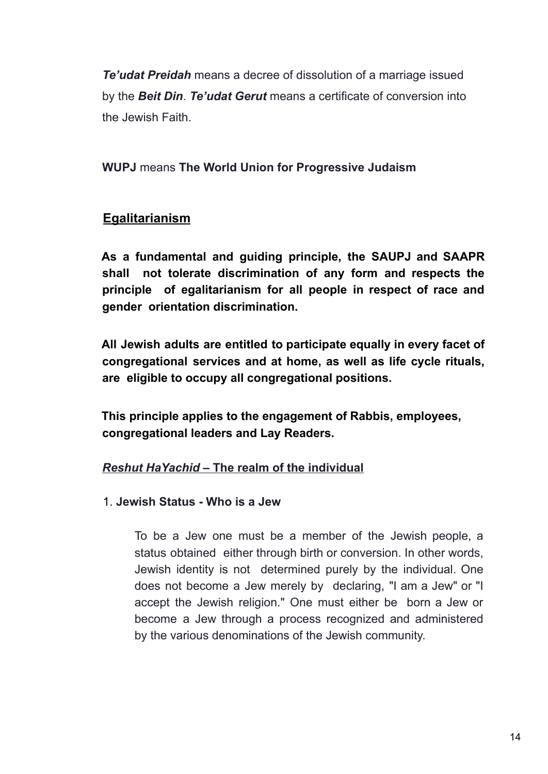*Te'udat Preidah* means a decree of dissolution of a marriage issued by the *Beit Din*. *Te'udat Gerut* means a certificate of conversion into the Jewish Faith.

**WUPJ** means **The World Union for Progressive Judaism**

#### **Egalitarianism**

**As a fundamental and guiding principle, the SAUPJ and SAAPR shall not tolerate discrimination of any form and respects the principle of egalitarianism for all people in respect of race and gender orientation discrimination.**

**All Jewish adults are entitled to participate equally in every facet of congregational services and at home, as well as life cycle rituals, are eligible to occupy all congregational positions.**

**This principle applies to the engagement of Rabbis, employees, congregational leaders and Lay Readers.**

#### *Reshut HaYachid* **– The realm of the individual**

#### 1. **Jewish Status - Who is a Jew**

To be a Jew one must be a member of the Jewish people, a status obtained either through birth or conversion. In other words, Jewish identity is not determined purely by the individual. One does not become a Jew merely by declaring, "I am a Jew" or "I accept the Jewish religion." One must either be born a Jew or become a Jew through a process recognized and administered by the various denominations of the Jewish community.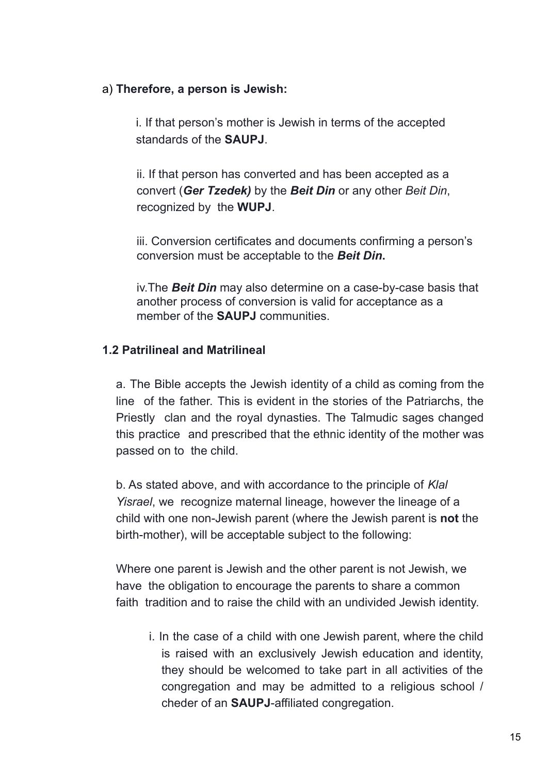#### a) **Therefore, a person is Jewish:**

i. If that person's mother is Jewish in terms of the accepted standards of the **SAUPJ**.

ii. If that person has converted and has been accepted as a convert (*Ger Tzedek)* by the *Beit Din* or any other *Beit Din*, recognized by the **WUPJ**.

iii. Conversion certificates and documents confirming a person's conversion must be acceptable to the *Beit Din***.**

iv.The *Beit Din* may also determine on a case-by-case basis that another process of conversion is valid for acceptance as a member of the **SAUPJ** communities.

#### **1.2 Patrilineal and Matrilineal**

a. The Bible accepts the Jewish identity of a child as coming from the line of the father. This is evident in the stories of the Patriarchs, the Priestly clan and the royal dynasties. The Talmudic sages changed this practice and prescribed that the ethnic identity of the mother was passed on to the child.

b. As stated above, and with accordance to the principle of *Klal Yisrael*, we recognize maternal lineage, however the lineage of a child with one non-Jewish parent (where the Jewish parent is **not** the birth-mother), will be acceptable subject to the following:

Where one parent is Jewish and the other parent is not Jewish, we have the obligation to encourage the parents to share a common faith tradition and to raise the child with an undivided Jewish identity.

i. In the case of a child with one Jewish parent, where the child is raised with an exclusively Jewish education and identity, they should be welcomed to take part in all activities of the congregation and may be admitted to a religious school / cheder of an **SAUPJ**-affiliated congregation.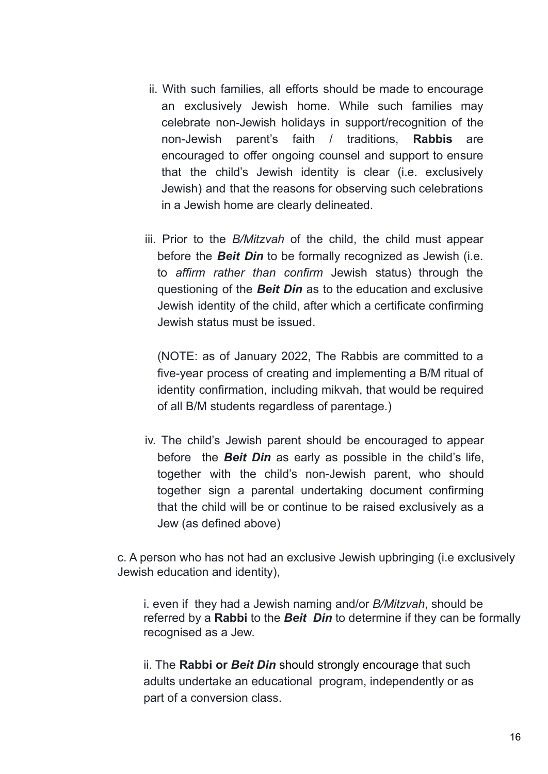- ii. With such families, all efforts should be made to encourage an exclusively Jewish home. While such families may celebrate non-Jewish holidays in support/recognition of the non-Jewish parent's faith / traditions, **Rabbis** are encouraged to offer ongoing counsel and support to ensure that the child's Jewish identity is clear (i.e. exclusively Jewish) and that the reasons for observing such celebrations in a Jewish home are clearly delineated.
- iii. Prior to the *B/Mitzvah* of the child, the child must appear before the *Beit Din* to be formally recognized as Jewish (i.e. to *affirm rather than confirm* Jewish status) through the questioning of the *Beit Din* as to the education and exclusive Jewish identity of the child, after which a certificate confirming Jewish status must be issued.

(NOTE: as of January 2022, The Rabbis are committed to a five-year process of creating and implementing a B/M ritual of identity confirmation, including mikvah, that would be required of all B/M students regardless of parentage.)

iv. The child's Jewish parent should be encouraged to appear before the *Beit Din* as early as possible in the child's life, together with the child's non-Jewish parent, who should together sign a parental undertaking document confirming that the child will be or continue to be raised exclusively as a Jew (as defined above)

c. A person who has not had an exclusive Jewish upbringing (i.e exclusively Jewish education and identity),

i. even if they had a Jewish naming and/or *B/Mitzvah*, should be referred by a **Rabbi** to the *Beit Din* to determine if they can be formally recognised as a Jew.

ii. The **Rabbi or** *Beit Din* should strongly encourage that such adults undertake an educational program, independently or as part of a conversion class.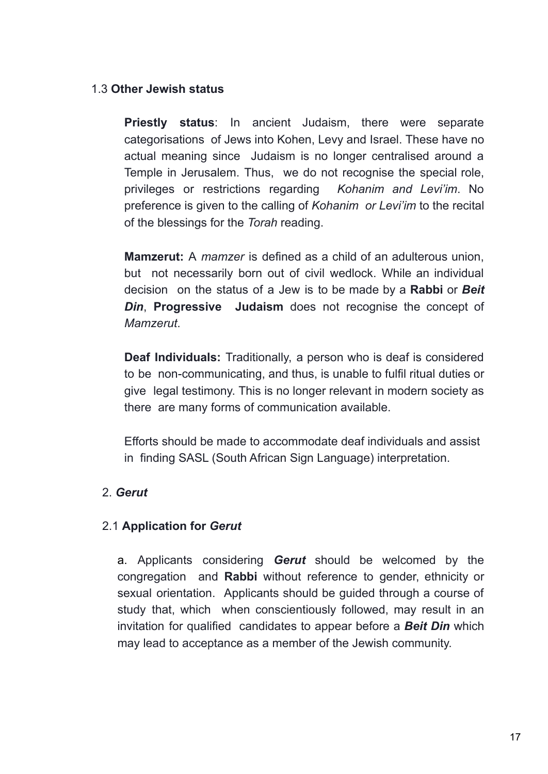#### 1.3 **Other Jewish status**

**Priestly status**: In ancient Judaism, there were separate categorisations of Jews into Kohen, Levy and Israel. These have no actual meaning since Judaism is no longer centralised around a Temple in Jerusalem. Thus, we do not recognise the special role, privileges or restrictions regarding *Kohanim and Levi'im*. No preference is given to the calling of *Kohanim or Levi'im* to the recital of the blessings for the *Torah* reading.

**Mamzerut:** A *mamzer* is defined as a child of an adulterous union, but not necessarily born out of civil wedlock. While an individual decision on the status of a Jew is to be made by a **Rabbi** or *Beit Din*, **Progressive Judaism** does not recognise the concept of *Mamzerut*.

**Deaf Individuals:** Traditionally, a person who is deaf is considered to be non-communicating, and thus, is unable to fulfil ritual duties or give legal testimony. This is no longer relevant in modern society as there are many forms of communication available.

Efforts should be made to accommodate deaf individuals and assist in finding SASL (South African Sign Language) interpretation.

#### 2. *Gerut*

#### 2.1 **Application for** *Gerut*

a. Applicants considering *Gerut* should be welcomed by the congregation and **Rabbi** without reference to gender, ethnicity or sexual orientation. Applicants should be guided through a course of study that, which when conscientiously followed, may result in an invitation for qualified candidates to appear before a *Beit Din* which may lead to acceptance as a member of the Jewish community.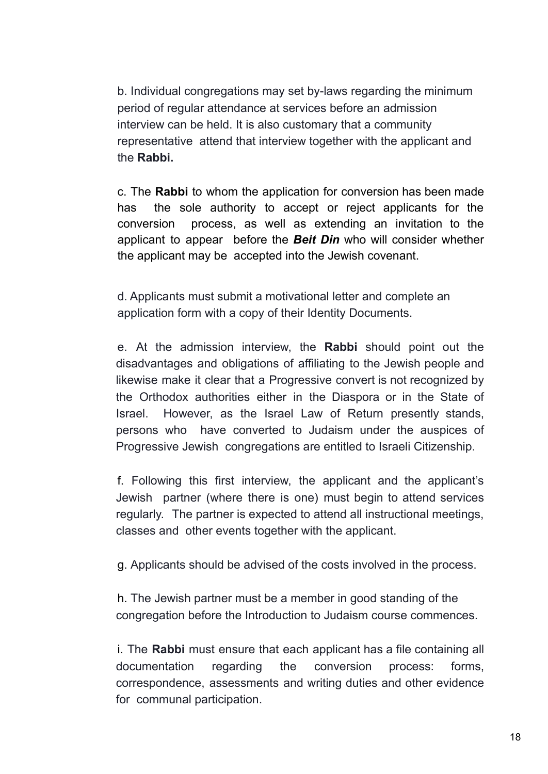b. Individual congregations may set by-laws regarding the minimum period of regular attendance at services before an admission interview can be held. It is also customary that a community representative attend that interview together with the applicant and the **Rabbi.**

c. The **Rabbi** to whom the application for conversion has been made has the sole authority to accept or reject applicants for the conversion process, as well as extending an invitation to the applicant to appear before the *Beit Din* who will consider whether the applicant may be accepted into the Jewish covenant.

d. Applicants must submit a motivational letter and complete an application form with a copy of their Identity Documents.

e. At the admission interview, the **Rabbi** should point out the disadvantages and obligations of affiliating to the Jewish people and likewise make it clear that a Progressive convert is not recognized by the Orthodox authorities either in the Diaspora or in the State of Israel. However, as the Israel Law of Return presently stands, persons who have converted to Judaism under the auspices of Progressive Jewish congregations are entitled to Israeli Citizenship.

f. Following this first interview, the applicant and the applicant's Jewish partner (where there is one) must begin to attend services regularly. The partner is expected to attend all instructional meetings, classes and other events together with the applicant.

g. Applicants should be advised of the costs involved in the process.

h. The Jewish partner must be a member in good standing of the congregation before the Introduction to Judaism course commences.

i. The **Rabbi** must ensure that each applicant has a file containing all documentation regarding the conversion process: forms, correspondence, assessments and writing duties and other evidence for communal participation.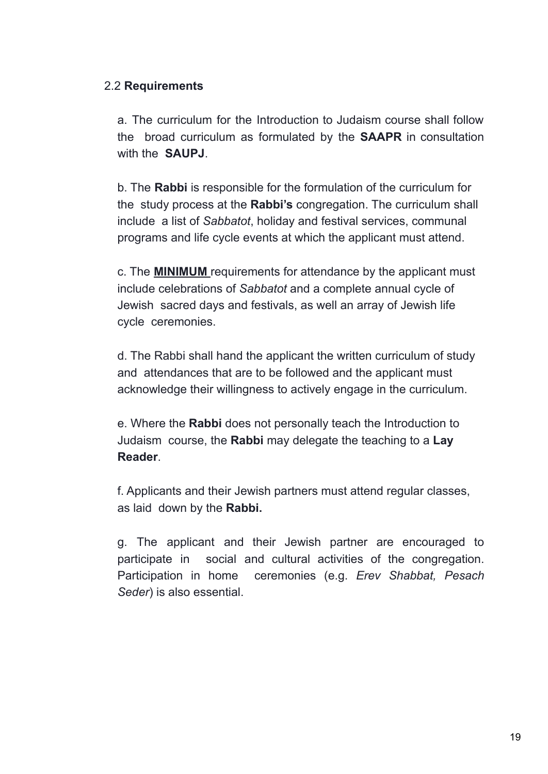#### 2.2 **Requirements**

a. The curriculum for the Introduction to Judaism course shall follow the broad curriculum as formulated by the **SAAPR** in consultation with the **SAUPJ**.

b. The **Rabbi** is responsible for the formulation of the curriculum for the study process at the **Rabbi's** congregation. The curriculum shall include a list of *Sabbatot*, holiday and festival services, communal programs and life cycle events at which the applicant must attend.

c. The **MINIMUM** requirements for attendance by the applicant must include celebrations of *Sabbatot* and a complete annual cycle of Jewish sacred days and festivals, as well an array of Jewish life cycle ceremonies.

d. The Rabbi shall hand the applicant the written curriculum of study and attendances that are to be followed and the applicant must acknowledge their willingness to actively engage in the curriculum.

e. Where the **Rabbi** does not personally teach the Introduction to Judaism course, the **Rabbi** may delegate the teaching to a **Lay Reader**.

f. Applicants and their Jewish partners must attend regular classes, as laid down by the **Rabbi.**

g. The applicant and their Jewish partner are encouraged to participate in social and cultural activities of the congregation. Participation in home ceremonies (e.g. *Erev Shabbat, Pesach Seder*) is also essential.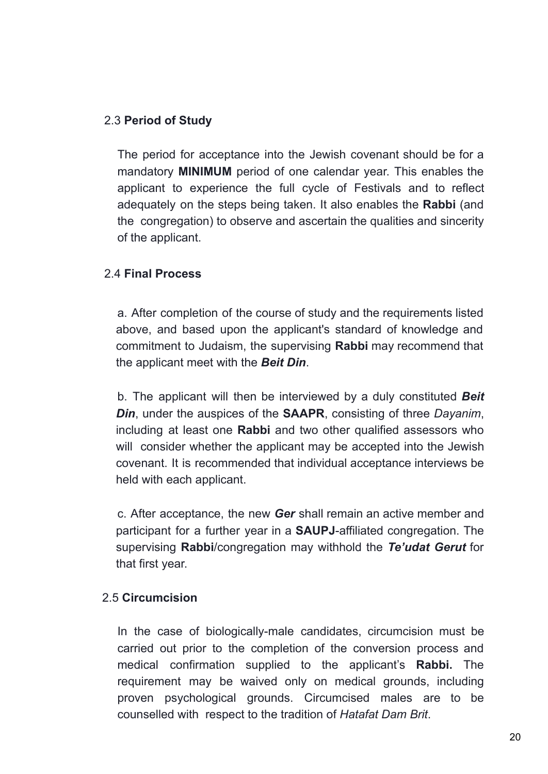#### 2.3 **Period of Study**

The period for acceptance into the Jewish covenant should be for a mandatory **MINIMUM** period of one calendar year. This enables the applicant to experience the full cycle of Festivals and to reflect adequately on the steps being taken. It also enables the **Rabbi** (and the congregation) to observe and ascertain the qualities and sincerity of the applicant.

#### 2.4 **Final Process**

a. After completion of the course of study and the requirements listed above, and based upon the applicant's standard of knowledge and commitment to Judaism, the supervising **Rabbi** may recommend that the applicant meet with the *Beit Din*.

b. The applicant will then be interviewed by a duly constituted *Beit Din*, under the auspices of the **SAAPR**, consisting of three *Dayanim*, including at least one **Rabbi** and two other qualified assessors who will consider whether the applicant may be accepted into the Jewish covenant. It is recommended that individual acceptance interviews be held with each applicant.

c. After acceptance, the new *Ger* shall remain an active member and participant for a further year in a **SAUPJ**-affiliated congregation. The supervising **Rabbi**/congregation may withhold the *Te'udat Gerut* for that first year.

#### 2.5 **Circumcision**

In the case of biologically-male candidates, circumcision must be carried out prior to the completion of the conversion process and medical confirmation supplied to the applicant's **Rabbi.** The requirement may be waived only on medical grounds, including proven psychological grounds. Circumcised males are to be counselled with respect to the tradition of *Hatafat Dam Brit*.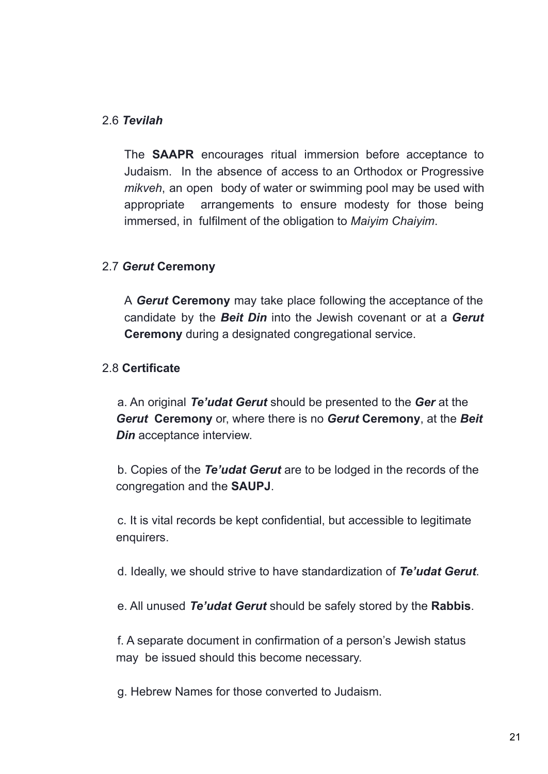#### 2.6 *Tevilah*

The **SAAPR** encourages ritual immersion before acceptance to Judaism. In the absence of access to an Orthodox or Progressive *mikveh*, an open body of water or swimming pool may be used with appropriate arrangements to ensure modesty for those being immersed, in fulfilment of the obligation to *Maiyim Chaiyim*.

#### 2.7 *Gerut* **Ceremony**

A *Gerut* **Ceremony** may take place following the acceptance of the candidate by the *Beit Din* into the Jewish covenant or at a *Gerut* **Ceremony** during a designated congregational service.

#### 2.8 **Certificate**

a. An original *Te'udat Gerut* should be presented to the *Ger* at the *Gerut* **Ceremony** or, where there is no *Gerut* **Ceremony**, at the *Beit Din* acceptance interview.

b. Copies of the *Te'udat Gerut* are to be lodged in the records of the congregation and the **SAUPJ**.

c. It is vital records be kept confidential, but accessible to legitimate enquirers.

d. Ideally, we should strive to have standardization of *Te'udat Gerut*.

e. All unused *Te'udat Gerut* should be safely stored by the **Rabbis**.

f. A separate document in confirmation of a person's Jewish status may be issued should this become necessary.

g. Hebrew Names for those converted to Judaism.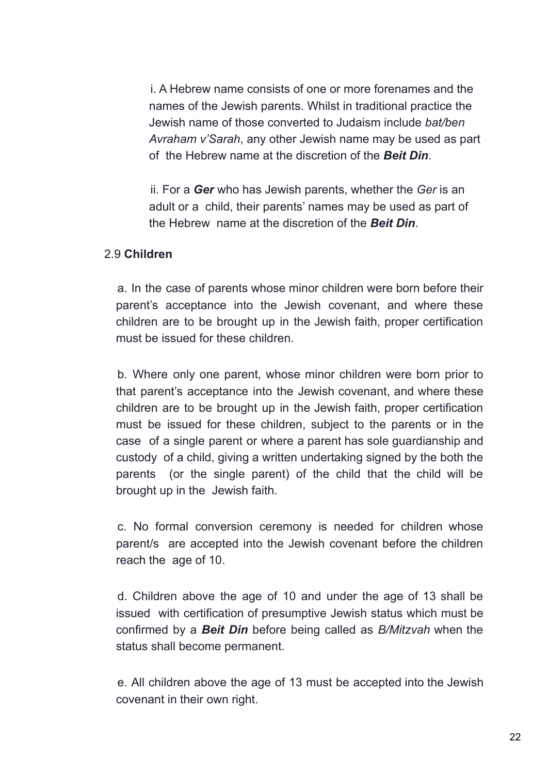i. A Hebrew name consists of one or more forenames and the names of the Jewish parents. Whilst in traditional practice the Jewish name of those converted to Judaism include *bat/ben Avraham v'Sarah*, any other Jewish name may be used as part of the Hebrew name at the discretion of the *Beit Din*.

ii. For a *Ger* who has Jewish parents, whether the *Ger* is an adult or a child, their parents' names may be used as part of the Hebrew name at the discretion of the *Beit Din*.

#### 2.9 **Children**

a. In the case of parents whose minor children were born before their parent's acceptance into the Jewish covenant, and where these children are to be brought up in the Jewish faith, proper certification must be issued for these children.

b. Where only one parent, whose minor children were born prior to that parent's acceptance into the Jewish covenant, and where these children are to be brought up in the Jewish faith, proper certification must be issued for these children, subject to the parents or in the case of a single parent or where a parent has sole guardianship and custody of a child, giving a written undertaking signed by the both the parents (or the single parent) of the child that the child will be brought up in the Jewish faith.

c. No formal conversion ceremony is needed for children whose parent/s are accepted into the Jewish covenant before the children reach the age of 10.

d. Children above the age of 10 and under the age of 13 shall be issued with certification of presumptive Jewish status which must be confirmed by a *Beit Din* before being called as *B/Mitzvah* when the status shall become permanent.

e. All children above the age of 13 must be accepted into the Jewish covenant in their own right.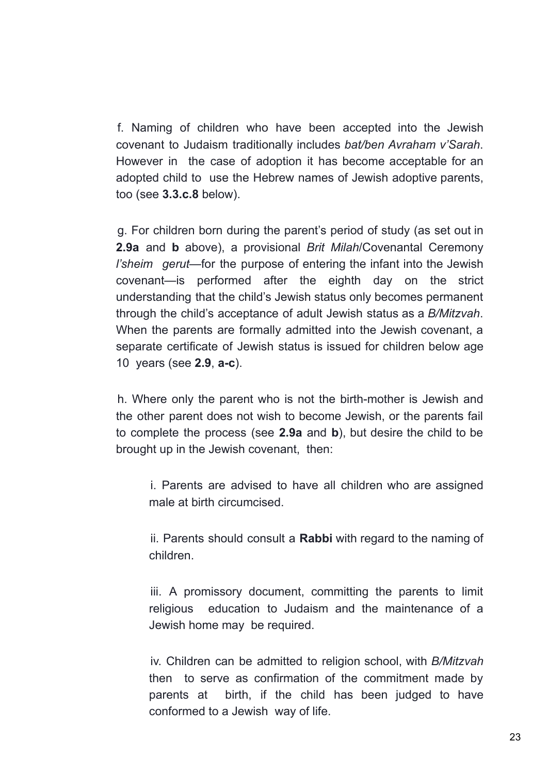f. Naming of children who have been accepted into the Jewish covenant to Judaism traditionally includes *bat/ben Avraham v'Sarah*. However in the case of adoption it has become acceptable for an adopted child to use the Hebrew names of Jewish adoptive parents, too (see **3.3.c.8** below).

g. For children born during the parent's period of study (as set out in **2.9a** and **b** above), a provisional *Brit Milah*/Covenantal Ceremony *l'sheim gerut*—for the purpose of entering the infant into the Jewish covenant—is performed after the eighth day on the strict understanding that the child's Jewish status only becomes permanent through the child's acceptance of adult Jewish status as a *B/Mitzvah*. When the parents are formally admitted into the Jewish covenant, a separate certificate of Jewish status is issued for children below age 10 years (see **2.9**, **a-c**).

h. Where only the parent who is not the birth-mother is Jewish and the other parent does not wish to become Jewish, or the parents fail to complete the process (see **2.9a** and **b**), but desire the child to be brought up in the Jewish covenant, then:

i. Parents are advised to have all children who are assigned male at birth circumcised.

ii. Parents should consult a **Rabbi** with regard to the naming of children.

iii. A promissory document, committing the parents to limit religious education to Judaism and the maintenance of a Jewish home may be required.

iv. Children can be admitted to religion school, with *B/Mitzvah* then to serve as confirmation of the commitment made by parents at birth, if the child has been judged to have conformed to a Jewish way of life.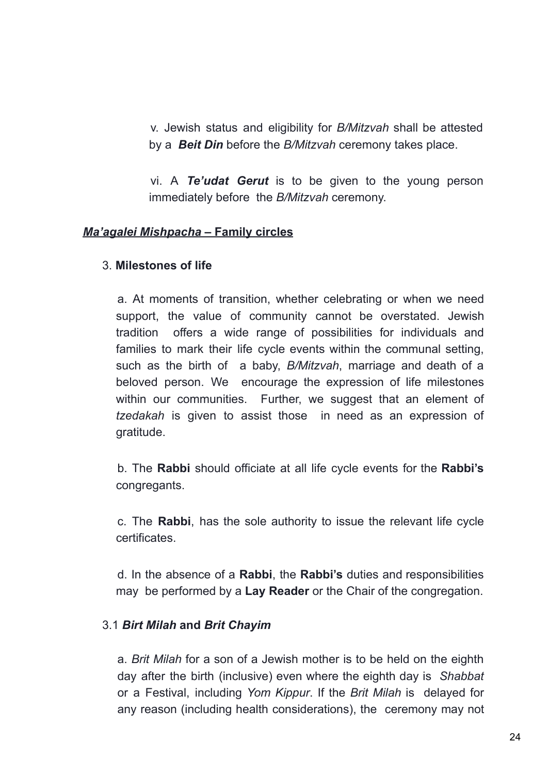v. Jewish status and eligibility for *B/Mitzvah* shall be attested by a *Beit Din* before the *B/Mitzvah* ceremony takes place.

vi. A *Te'udat Gerut* is to be given to the young person immediately before the *B/Mitzvah* ceremony.

#### *Ma'agalei Mishpacha* **– Family circles**

#### 3. **Milestones of life**

a. At moments of transition, whether celebrating or when we need support, the value of community cannot be overstated. Jewish tradition offers a wide range of possibilities for individuals and families to mark their life cycle events within the communal setting, such as the birth of a baby, *B/Mitzvah*, marriage and death of a beloved person. We encourage the expression of life milestones within our communities. Further, we suggest that an element of *tzedakah* is given to assist those in need as an expression of gratitude.

b. The **Rabbi** should officiate at all life cycle events for the **Rabbi's** congregants.

c. The **Rabbi**, has the sole authority to issue the relevant life cycle certificates.

d. In the absence of a **Rabbi**, the **Rabbi's** duties and responsibilities may be performed by a **Lay Reader** or the Chair of the congregation.

#### 3.1 *Birt Milah* **and** *Brit Chayim*

a. *Brit Milah* for a son of a Jewish mother is to be held on the eighth day after the birth (inclusive) even where the eighth day is *Shabbat* or a Festival, including *Yom Kippur*. If the *Brit Milah* is delayed for any reason (including health considerations), the ceremony may not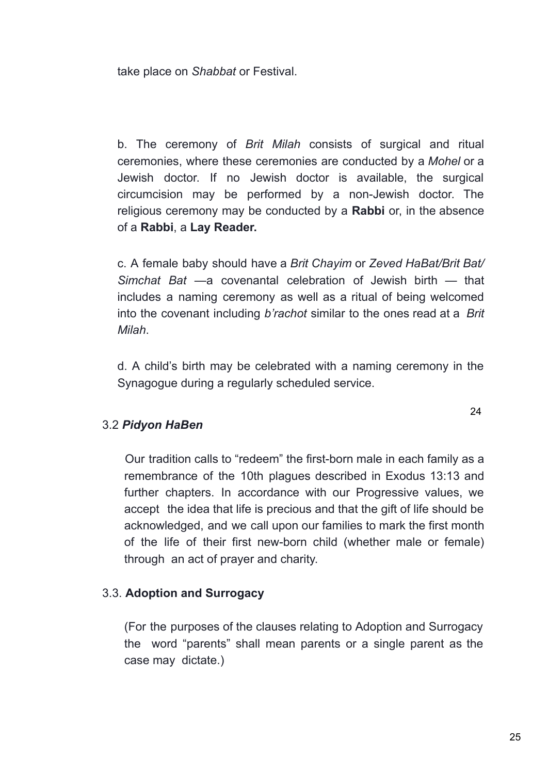take place on *Shabbat* or Festival.

b. The ceremony of *Brit Milah* consists of surgical and ritual ceremonies, where these ceremonies are conducted by a *Mohel* or a Jewish doctor. If no Jewish doctor is available, the surgical circumcision may be performed by a non-Jewish doctor. The religious ceremony may be conducted by a **Rabbi** or, in the absence of a **Rabbi**, a **Lay Reader.**

c. A female baby should have a *Brit Chayim* or *Zeved HaBat/Brit Bat/ Simchat Bat* —a covenantal celebration of Jewish birth — that includes a naming ceremony as well as a ritual of being welcomed into the covenant including *b'rachot* similar to the ones read at a *Brit Milah*.

d. A child's birth may be celebrated with a naming ceremony in the Synagogue during a regularly scheduled service.

#### 3.2 *Pidyon HaBen*

Our tradition calls to "redeem" the first-born male in each family as a remembrance of the 10th plagues described in Exodus 13:13 and further chapters. In accordance with our Progressive values, we accept the idea that life is precious and that the gift of life should be acknowledged, and we call upon our families to mark the first month of the life of their first new-born child (whether male or female) through an act of prayer and charity.

#### 3.3. **Adoption and Surrogacy**

(For the purposes of the clauses relating to Adoption and Surrogacy the word "parents" shall mean parents or a single parent as the case may dictate.)

24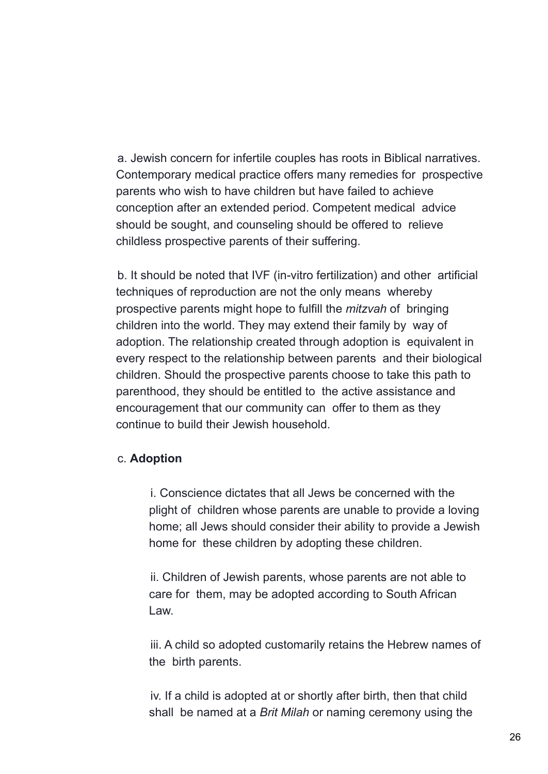a. Jewish concern for infertile couples has roots in Biblical narratives. Contemporary medical practice offers many remedies for prospective parents who wish to have children but have failed to achieve conception after an extended period. Competent medical advice should be sought, and counseling should be offered to relieve childless prospective parents of their suffering.

b. It should be noted that IVF (in-vitro fertilization) and other artificial techniques of reproduction are not the only means whereby prospective parents might hope to fulfill the *mitzvah* of bringing children into the world. They may extend their family by way of adoption. The relationship created through adoption is equivalent in every respect to the relationship between parents and their biological children. Should the prospective parents choose to take this path to parenthood, they should be entitled to the active assistance and encouragement that our community can offer to them as they continue to build their Jewish household.

#### c. **Adoption**

i. Conscience dictates that all Jews be concerned with the plight of children whose parents are unable to provide a loving home; all Jews should consider their ability to provide a Jewish home for these children by adopting these children.

ii. Children of Jewish parents, whose parents are not able to care for them, may be adopted according to South African Law.

iii. A child so adopted customarily retains the Hebrew names of the birth parents.

iv. If a child is adopted at or shortly after birth, then that child shall be named at a *Brit Milah* or naming ceremony using the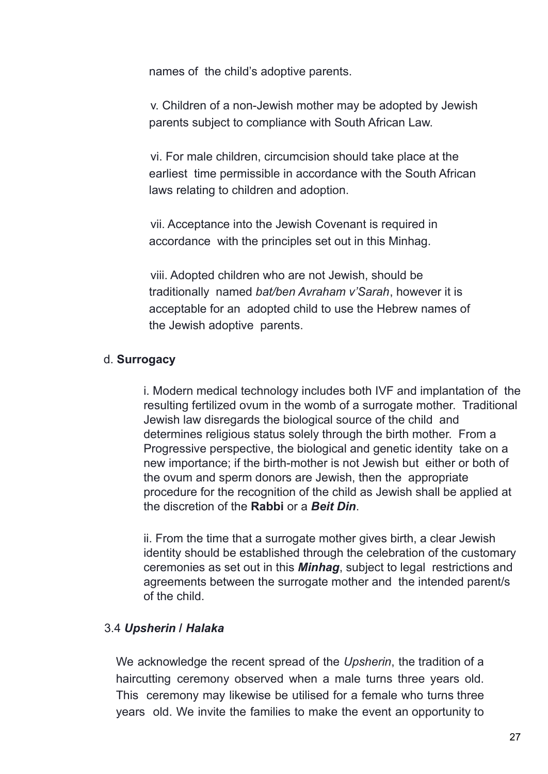names of the child's adoptive parents.

v. Children of a non-Jewish mother may be adopted by Jewish parents subject to compliance with South African Law.

vi. For male children, circumcision should take place at the earliest time permissible in accordance with the South African laws relating to children and adoption.

vii. Acceptance into the Jewish Covenant is required in accordance with the principles set out in this Minhag.

viii. Adopted children who are not Jewish, should be traditionally named *bat/ben Avraham v'Sarah*, however it is acceptable for an adopted child to use the Hebrew names of the Jewish adoptive parents.

#### d. **Surrogacy**

i. Modern medical technology includes both IVF and implantation of the resulting fertilized ovum in the womb of a surrogate mother. Traditional Jewish law disregards the biological source of the child and determines religious status solely through the birth mother. From a Progressive perspective, the biological and genetic identity take on a new importance; if the birth-mother is not Jewish but either or both of the ovum and sperm donors are Jewish, then the appropriate procedure for the recognition of the child as Jewish shall be applied at the discretion of the **Rabbi** or a *Beit Din*.

ii. From the time that a surrogate mother gives birth, a clear Jewish identity should be established through the celebration of the customary ceremonies as set out in this *Minhag*, subject to legal restrictions and agreements between the surrogate mother and the intended parent/s of the child.

#### 3.4 *Upsherin* **/** *Halaka*

We acknowledge the recent spread of the *Upsherin*, the tradition of a haircutting ceremony observed when a male turns three years old. This ceremony may likewise be utilised for a female who turns three years old. We invite the families to make the event an opportunity to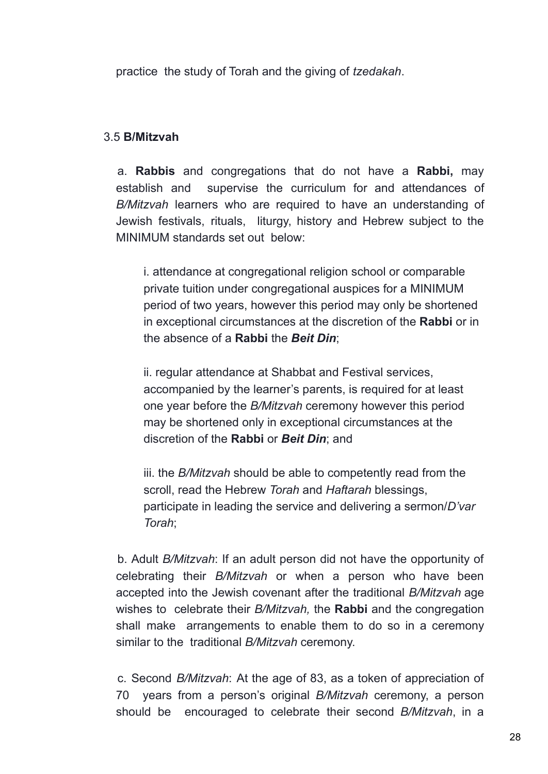practice the study of Torah and the giving of *tzedakah*.

#### 3.5 **B/Mitzvah**

a. **Rabbis** and congregations that do not have a **Rabbi,** may establish and supervise the curriculum for and attendances of *B/Mitzvah* learners who are required to have an understanding of Jewish festivals, rituals, liturgy, history and Hebrew subject to the MINIMUM standards set out below:

i. attendance at congregational religion school or comparable private tuition under congregational auspices for a MINIMUM period of two years, however this period may only be shortened in exceptional circumstances at the discretion of the **Rabbi** or in the absence of a **Rabbi** the *Beit Din*;

ii. regular attendance at Shabbat and Festival services, accompanied by the learner's parents, is required for at least one year before the *B/Mitzvah* ceremony however this period may be shortened only in exceptional circumstances at the discretion of the **Rabbi** or *Beit Din*; and

iii. the *B/Mitzvah* should be able to competently read from the scroll, read the Hebrew *Torah* and *Haftarah* blessings, participate in leading the service and delivering a sermon/*D'var Torah*;

b. Adult *B/Mitzvah*: If an adult person did not have the opportunity of celebrating their *B/Mitzvah* or when a person who have been accepted into the Jewish covenant after the traditional *B/Mitzvah* age wishes to celebrate their *B/Mitzvah,* the **Rabbi** and the congregation shall make arrangements to enable them to do so in a ceremony similar to the traditional *B/Mitzvah* ceremony.

c. Second *B/Mitzvah*: At the age of 83, as a token of appreciation of 70 years from a person's original *B/Mitzvah* ceremony, a person should be encouraged to celebrate their second *B/Mitzvah*, in a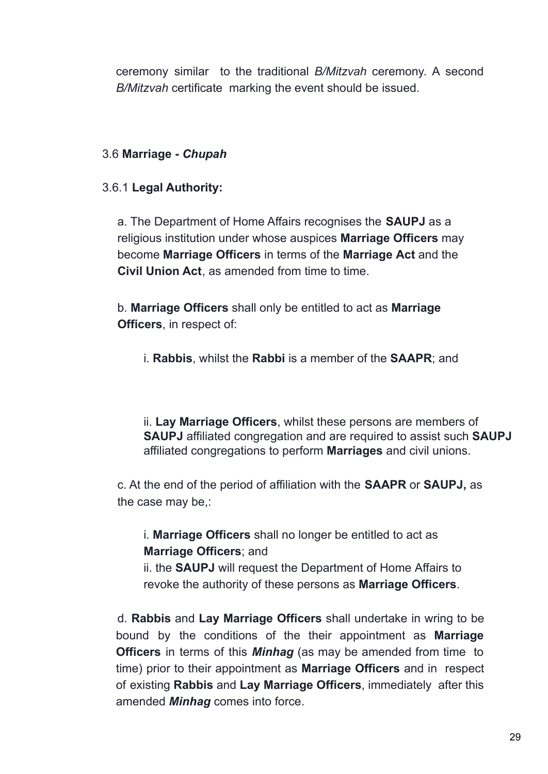ceremony similar to the traditional *B/Mitzvah* ceremony. A second *B/Mitzvah* certificate marking the event should be issued.

#### 3.6 **Marriage -** *Chupah*

#### 3.6.1 **Legal Authority:**

a. The Department of Home Affairs recognises the **SAUPJ** as a religious institution under whose auspices **Marriage Officers** may become **Marriage Officers** in terms of the **Marriage Act** and the **Civil Union Act**, as amended from time to time.

b. **Marriage Officers** shall only be entitled to act as **Marriage Officers**, in respect of:

i. **Rabbis**, whilst the **Rabbi** is a member of the **SAAPR**; and

ii. **Lay Marriage Officers**, whilst these persons are members of **SAUPJ** affiliated congregation and are required to assist such **SAUPJ** affiliated congregations to perform **Marriages** and civil unions.

c. At the end of the period of affiliation with the **SAAPR** or **SAUPJ,** as the case may be,:

i. **Marriage Officers** shall no longer be entitled to act as **Marriage Officers**; and

ii. the **SAUPJ** will request the Department of Home Affairs to revoke the authority of these persons as **Marriage Officers**.

d. **Rabbis** and **Lay Marriage Officers** shall undertake in wring to be bound by the conditions of the their appointment as **Marriage Officers** in terms of this *Minhag* (as may be amended from time to time) prior to their appointment as **Marriage Officers** and in respect of existing **Rabbis** and **Lay Marriage Officers**, immediately after this amended *Minhag* comes into force.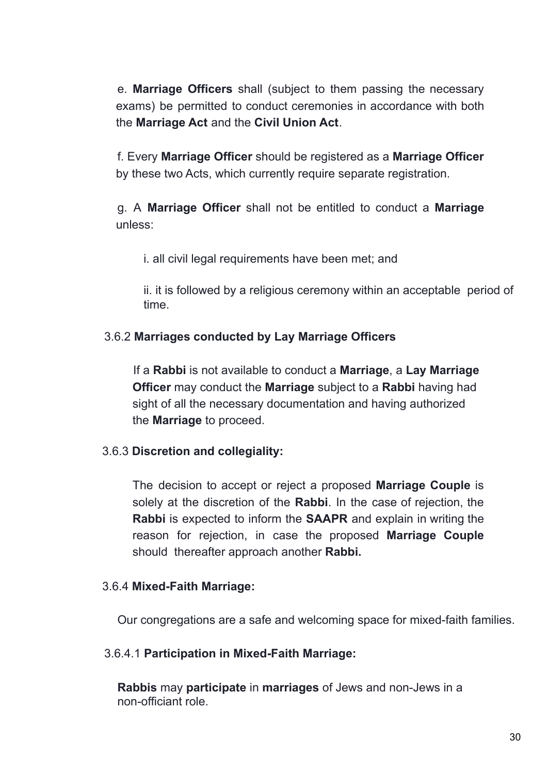e. **Marriage Officers** shall (subject to them passing the necessary exams) be permitted to conduct ceremonies in accordance with both the **Marriage Act** and the **Civil Union Act**.

f. Every **Marriage Officer** should be registered as a **Marriage Officer** by these two Acts, which currently require separate registration.

g. A **Marriage Officer** shall not be entitled to conduct a **Marriage** unless:

i. all civil legal requirements have been met; and

ii. it is followed by a religious ceremony within an acceptable period of time.

#### 3.6.2 **Marriages conducted by Lay Marriage Officers**

If a **Rabbi** is not available to conduct a **Marriage**, a **Lay Marriage Officer** may conduct the **Marriage** subject to a **Rabbi** having had sight of all the necessary documentation and having authorized the **Marriage** to proceed.

#### 3.6.3 **Discretion and collegiality:**

The decision to accept or reject a proposed **Marriage Couple** is solely at the discretion of the **Rabbi**. In the case of rejection, the **Rabbi** is expected to inform the **SAAPR** and explain in writing the reason for rejection, in case the proposed **Marriage Couple** should thereafter approach another **Rabbi.**

#### 3.6.4 **Mixed-Faith Marriage:**

Our congregations are a safe and welcoming space for mixed-faith families.

#### 3.6.4.1 **Participation in Mixed-Faith Marriage:**

**Rabbis** may **participate** in **marriages** of Jews and non-Jews in a non-officiant role.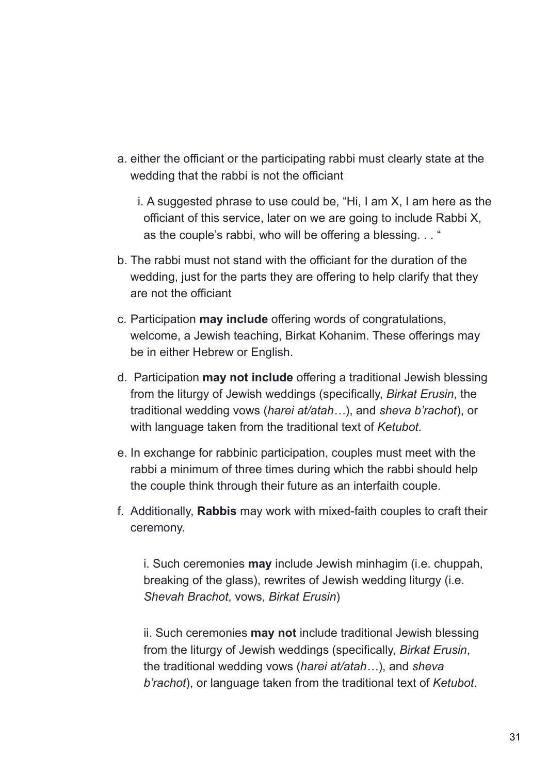- a. either the officiant or the participating rabbi must clearly state at the wedding that the rabbi is not the officiant
	- i. A suggested phrase to use could be, "Hi, I am X, I am here as the officiant of this service, later on we are going to include Rabbi X, as the couple's rabbi, who will be offering a blessing. . . "
- b. The rabbi must not stand with the officiant for the duration of the wedding, just for the parts they are offering to help clarify that they are not the officiant
- c. Participation **may include** offering words of congratulations, welcome, a Jewish teaching, Birkat Kohanim. These offerings may be in either Hebrew or English.
- d. Participation **may not include** offering a traditional Jewish blessing from the liturgy of Jewish weddings (specifically, *Birkat Erusin*, the traditional wedding vows (*harei at/atah…*), and *sheva b'rachot*), or with language taken from the traditional text of *Ketubot*.
- e. In exchange for rabbinic participation, couples must meet with the rabbi a minimum of three times during which the rabbi should help the couple think through their future as an interfaith couple.
- f. Additionally, **Rabbis** may work with mixed-faith couples to craft their ceremony.

i. Such ceremonies **may** include Jewish minhagim (i.e. chuppah, breaking of the glass), rewrites of Jewish wedding liturgy (i.e. *Shevah Brachot*, vows, *Birkat Erusin*)

ii. Such ceremonies **may not** include traditional Jewish blessing from the liturgy of Jewish weddings (specifically, *Birkat Erusin*, the traditional wedding vows (*harei at/atah…*), and *sheva b'rachot*), or language taken from the traditional text of *Ketubot*.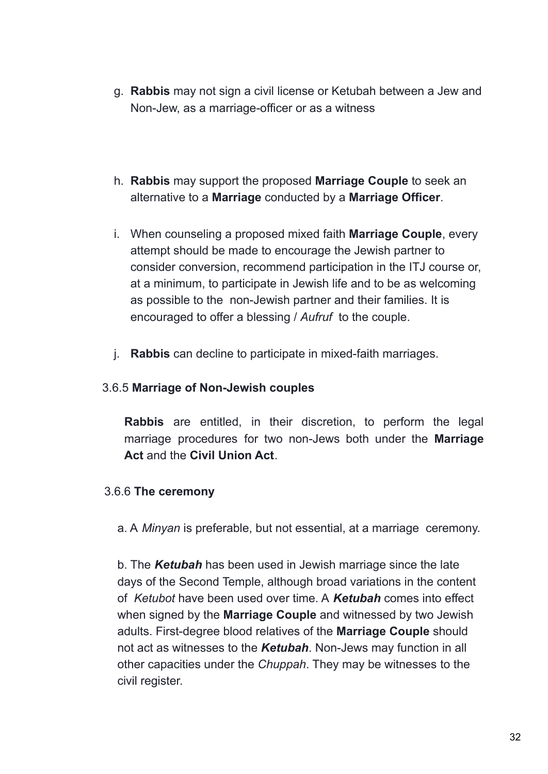- g. **Rabbis** may not sign a civil license or Ketubah between a Jew and Non-Jew, as a marriage-officer or as a witness
- h. **Rabbis** may support the proposed **Marriage Couple** to seek an alternative to a **Marriage** conducted by a **Marriage Officer**.
- i. When counseling a proposed mixed faith **Marriage Couple**, every attempt should be made to encourage the Jewish partner to consider conversion, recommend participation in the ITJ course or, at a minimum, to participate in Jewish life and to be as welcoming as possible to the non-Jewish partner and their families. It is encouraged to offer a blessing / *Aufruf* to the couple.
- j. **Rabbis** can decline to participate in mixed-faith marriages.

#### 3.6.5 **Marriage of Non-Jewish couples**

**Rabbis** are entitled, in their discretion, to perform the legal marriage procedures for two non-Jews both under the **Marriage Act** and the **Civil Union Act**.

#### 3.6.6 **The ceremony**

a. A *Minyan* is preferable, but not essential, at a marriage ceremony.

b. The *Ketubah* has been used in Jewish marriage since the late days of the Second Temple, although broad variations in the content of *Ketubot* have been used over time. A *Ketubah* comes into effect when signed by the **Marriage Couple** and witnessed by two Jewish adults. First-degree blood relatives of the **Marriage Couple** should not act as witnesses to the *Ketubah*. Non-Jews may function in all other capacities under the *Chuppah*. They may be witnesses to the civil register.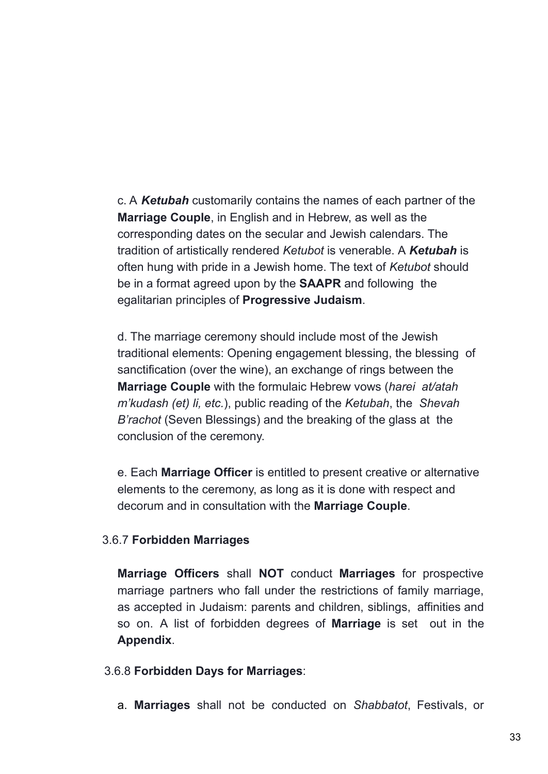c. A *Ketubah* customarily contains the names of each partner of the **Marriage Couple**, in English and in Hebrew, as well as the corresponding dates on the secular and Jewish calendars. The tradition of artistically rendered *Ketubot* is venerable. A *Ketubah* is often hung with pride in a Jewish home. The text of *Ketubot* should be in a format agreed upon by the **SAAPR** and following the egalitarian principles of **Progressive Judaism**.

d. The marriage ceremony should include most of the Jewish traditional elements: Opening engagement blessing, the blessing of sanctification (over the wine), an exchange of rings between the **Marriage Couple** with the formulaic Hebrew vows (*harei at/atah m'kudash (et) li, etc.*), public reading of the *Ketubah*, the *Shevah B'rachot* (Seven Blessings) and the breaking of the glass at the conclusion of the ceremony.

e. Each **Marriage Officer** is entitled to present creative or alternative elements to the ceremony, as long as it is done with respect and decorum and in consultation with the **Marriage Couple**.

#### 3.6.7 **Forbidden Marriages**

**Marriage Officers** shall **NOT** conduct **Marriages** for prospective marriage partners who fall under the restrictions of family marriage, as accepted in Judaism: parents and children, siblings, affinities and so on. A list of forbidden degrees of **Marriage** is set out in the **Appendix**.

#### 3.6.8 **Forbidden Days for Marriages**:

a. **Marriages** shall not be conducted on *Shabbatot*, Festivals, or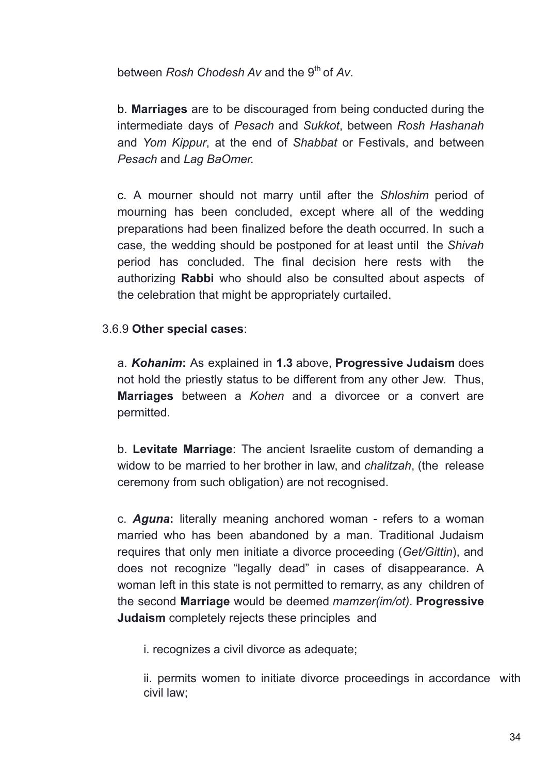between *Rosh Chodesh Av* and the 9 th of *Av*.

b. **Marriages** are to be discouraged from being conducted during the intermediate days of *Pesach* and *Sukkot*, between *Rosh Hashanah* and *Yom Kippur*, at the end of *Shabbat* or Festivals, and between *Pesach* and *Lag BaOmer.*

c. A mourner should not marry until after the *Shloshim* period of mourning has been concluded, except where all of the wedding preparations had been finalized before the death occurred. In such a case, the wedding should be postponed for at least until the *Shivah* period has concluded. The final decision here rests with the authorizing **Rabbi** who should also be consulted about aspects of the celebration that might be appropriately curtailed.

#### 3.6.9 **Other special cases**:

a. *Kohanim***:** As explained in **1.3** above, **Progressive Judaism** does not hold the priestly status to be different from any other Jew. Thus, **Marriages** between a *Kohen* and a divorcee or a convert are permitted.

b. **Levitate Marriage**: The ancient Israelite custom of demanding a widow to be married to her brother in law, and *chalitzah*, (the release ceremony from such obligation) are not recognised.

c. *Aguna***:** literally meaning anchored woman - refers to a woman married who has been abandoned by a man. Traditional Judaism requires that only men initiate a divorce proceeding (*Get/Gittin*), and does not recognize "legally dead" in cases of disappearance. A woman left in this state is not permitted to remarry, as any children of the second **Marriage** would be deemed *mamzer(im/ot)*. **Progressive Judaism** completely rejects these principles and

i. recognizes a civil divorce as adequate;

ii. permits women to initiate divorce proceedings in accordance with civil law;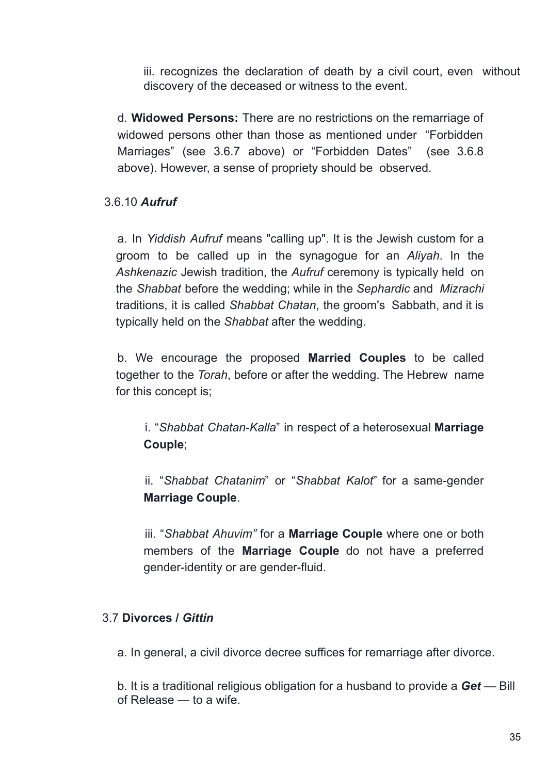iii. recognizes the declaration of death by a civil court, even without discovery of the deceased or witness to the event.

d. **Widowed Persons:** There are no restrictions on the remarriage of widowed persons other than those as mentioned under "Forbidden Marriages" (see 3.6.7 above) or "Forbidden Dates" (see 3.6.8 above). However, a sense of propriety should be observed.

#### 3.6.10 *Aufruf*

a. In *Yiddish Aufruf* means "calling up". It is the Jewish custom for a groom to be called up in the synagogue for an *Aliyah*. In the *Ashkenazic* Jewish tradition, the *Aufruf* ceremony is typically held on the *Shabbat* before the wedding; while in the *Sephardic* and *Mizrachi* traditions, it is called *Shabbat Chatan*, the groom's Sabbath, and it is typically held on the *Shabbat* after the wedding.

b. We encourage the proposed **Married Couples** to be called together to the *Torah*, before or after the wedding. The Hebrew name for this concept is;

i. "*Shabbat Chatan-Kalla*" in respect of a heterosexual **Marriage Couple**;

ii. "*Shabbat Chatanim*" or "*Shabbat Kalot*" for a same-gender **Marriage Couple**.

iii. "*Shabbat Ahuvim"* for a **Marriage Couple** where one or both members of the **Marriage Couple** do not have a preferred gender-identity or are gender-fluid.

#### 3.7 **Divorces /** *Gittin*

a. In general, a civil divorce decree suffices for remarriage after divorce.

b. It is a traditional religious obligation for a husband to provide a *Get* — Bill of Release — to a wife.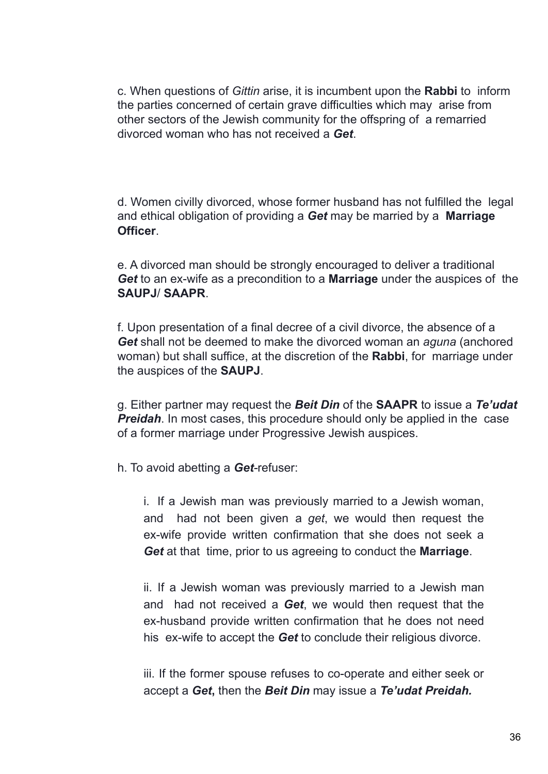c. When questions of *Gittin* arise, it is incumbent upon the **Rabbi** to inform the parties concerned of certain grave difficulties which may arise from other sectors of the Jewish community for the offspring of a remarried divorced woman who has not received a *Get*.

d. Women civilly divorced, whose former husband has not fulfilled the legal and ethical obligation of providing a *Get* may be married by a **Marriage Officer**.

e. A divorced man should be strongly encouraged to deliver a traditional *Get* to an ex-wife as a precondition to a **Marriage** under the auspices of the **SAUPJ**/ **SAAPR**.

f. Upon presentation of a final decree of a civil divorce, the absence of a *Get* shall not be deemed to make the divorced woman an *aguna* (anchored woman) but shall suffice, at the discretion of the **Rabbi**, for marriage under the auspices of the **SAUPJ**.

g. Either partner may request the *Beit Din* of the **SAAPR** to issue a *Te'udat Preidah.* In most cases, this procedure should only be applied in the case of a former marriage under Progressive Jewish auspices.

h. To avoid abetting a *Get-*refuser:

i. If a Jewish man was previously married to a Jewish woman, and had not been given a *get*, we would then request the ex-wife provide written confirmation that she does not seek a *Get* at that time, prior to us agreeing to conduct the **Marriage**.

ii. If a Jewish woman was previously married to a Jewish man and had not received a *Get*, we would then request that the ex-husband provide written confirmation that he does not need his ex-wife to accept the *Get* to conclude their religious divorce.

iii. If the former spouse refuses to co-operate and either seek or accept a *Get***,** then the *Beit Din* may issue a *Te'udat Preidah.*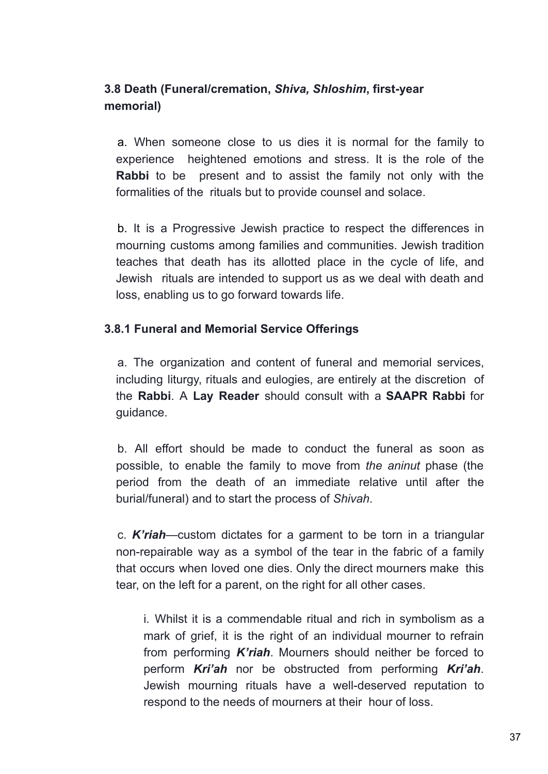# **3.8 Death (Funeral/cremation,** *Shiva, Shloshim***, first-year memorial)**

a. When someone close to us dies it is normal for the family to experience heightened emotions and stress. It is the role of the **Rabbi** to be present and to assist the family not only with the formalities of the rituals but to provide counsel and solace.

b. It is a Progressive Jewish practice to respect the differences in mourning customs among families and communities. Jewish tradition teaches that death has its allotted place in the cycle of life, and Jewish rituals are intended to support us as we deal with death and loss, enabling us to go forward towards life.

#### **3.8.1 Funeral and Memorial Service Offerings**

a. The organization and content of funeral and memorial services, including liturgy, rituals and eulogies, are entirely at the discretion of the **Rabbi**. A **Lay Reader** should consult with a **SAAPR Rabbi** for guidance.

b. All effort should be made to conduct the funeral as soon as possible, to enable the family to move from *the aninut* phase (the period from the death of an immediate relative until after the burial/funeral) and to start the process of *Shivah*.

c. *K'riah*—custom dictates for a garment to be torn in a triangular non-repairable way as a symbol of the tear in the fabric of a family that occurs when loved one dies. Only the direct mourners make this tear, on the left for a parent, on the right for all other cases.

i. Whilst it is a commendable ritual and rich in symbolism as a mark of grief, it is the right of an individual mourner to refrain from performing *K'riah*. Mourners should neither be forced to perform *Kri'ah* nor be obstructed from performing *Kri'ah*. Jewish mourning rituals have a well-deserved reputation to respond to the needs of mourners at their hour of loss.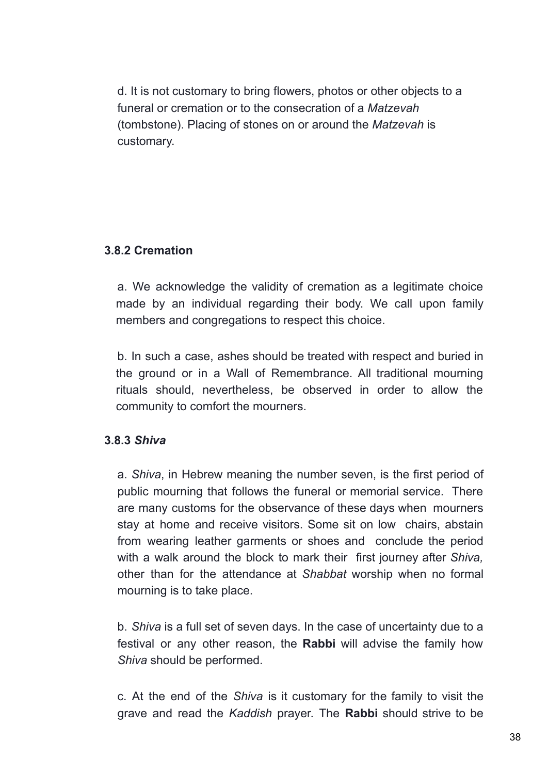d. It is not customary to bring flowers, photos or other objects to a funeral or cremation or to the consecration of a *Matzevah* (tombstone). Placing of stones on or around the *Matzevah* is customary.

#### **3.8.2 Cremation**

a. We acknowledge the validity of cremation as a legitimate choice made by an individual regarding their body. We call upon family members and congregations to respect this choice.

b. In such a case, ashes should be treated with respect and buried in the ground or in a Wall of Remembrance. All traditional mourning rituals should, nevertheless, be observed in order to allow the community to comfort the mourners.

#### **3.8.3** *Shiva*

a. *Shiva*, in Hebrew meaning the number seven, is the first period of public mourning that follows the funeral or memorial service. There are many customs for the observance of these days when mourners stay at home and receive visitors. Some sit on low chairs, abstain from wearing leather garments or shoes and conclude the period with a walk around the block to mark their first journey after *Shiva,* other than for the attendance at *Shabbat* worship when no formal mourning is to take place.

b. *Shiva* is a full set of seven days. In the case of uncertainty due to a festival or any other reason, the **Rabbi** will advise the family how *Shiva* should be performed.

c. At the end of the *Shiva* is it customary for the family to visit the grave and read the *Kaddish* prayer. The **Rabbi** should strive to be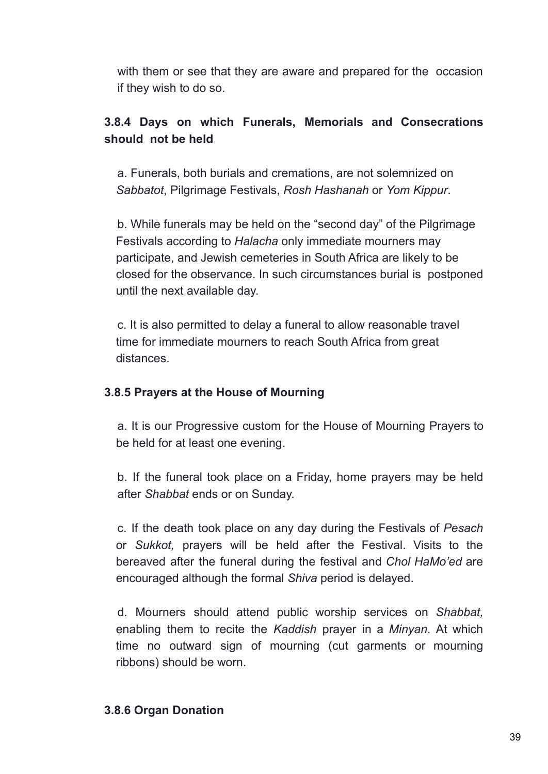with them or see that they are aware and prepared for the occasion if they wish to do so.

# **3.8.4 Days on which Funerals, Memorials and Consecrations should not be held**

a. Funerals, both burials and cremations, are not solemnized on *Sabbatot*, Pilgrimage Festivals, *Rosh Hashanah* or *Yom Kippur*.

b. While funerals may be held on the "second day" of the Pilgrimage Festivals according to *Halacha* only immediate mourners may participate, and Jewish cemeteries in South Africa are likely to be closed for the observance. In such circumstances burial is postponed until the next available day.

c. It is also permitted to delay a funeral to allow reasonable travel time for immediate mourners to reach South Africa from great distances.

#### **3.8.5 Prayers at the House of Mourning**

a. It is our Progressive custom for the House of Mourning Prayers to be held for at least one evening.

b. If the funeral took place on a Friday, home prayers may be held after *Shabbat* ends or on Sunday.

c. If the death took place on any day during the Festivals of *Pesach* or *Sukkot,* prayers will be held after the Festival. Visits to the bereaved after the funeral during the festival and *Chol HaMo'ed* are encouraged although the formal *Shiva* period is delayed.

d. Mourners should attend public worship services on *Shabbat,* enabling them to recite the *Kaddish* prayer in a *Minyan*. At which time no outward sign of mourning (cut garments or mourning ribbons) should be worn.

#### **3.8.6 Organ Donation**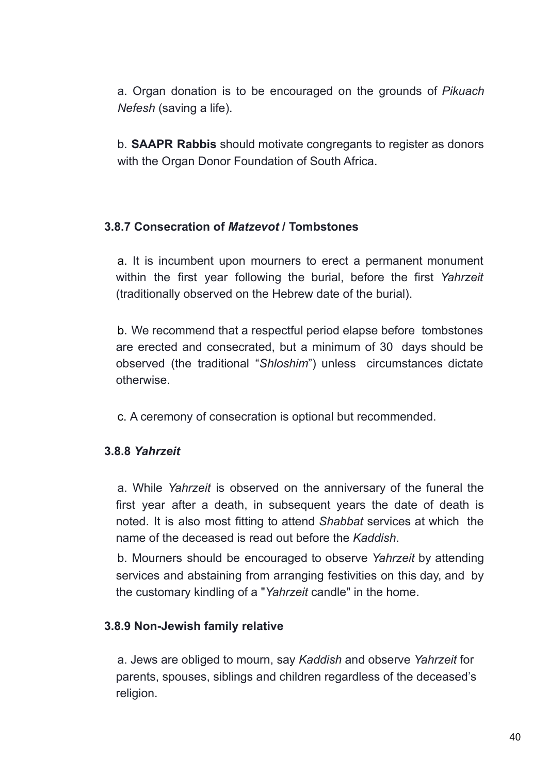a. Organ donation is to be encouraged on the grounds of *Pikuach Nefesh* (saving a life).

b. **SAAPR Rabbis** should motivate congregants to register as donors with the Organ Donor Foundation of South Africa.

#### **3.8.7 Consecration of** *Matzevot* **/ Tombstones**

a. It is incumbent upon mourners to erect a permanent monument within the first year following the burial, before the first *Yahrzeit* (traditionally observed on the Hebrew date of the burial).

b. We recommend that a respectful period elapse before tombstones are erected and consecrated, but a minimum of 30 days should be observed (the traditional "*Shloshim*") unless circumstances dictate otherwise.

c. A ceremony of consecration is optional but recommended.

#### **3.8.8** *Yahrzeit*

a. While *Yahrzeit* is observed on the anniversary of the funeral the first year after a death, in subsequent years the date of death is noted. It is also most fitting to attend *Shabbat* services at which the name of the deceased is read out before the *Kaddish*.

b. Mourners should be encouraged to observe *Yahrzeit* by attending services and abstaining from arranging festivities on this day, and by the customary kindling of a "*Yahrzeit* candle" in the home.

#### **3.8.9 Non-Jewish family relative**

a. Jews are obliged to mourn, say *Kaddish* and observe *Yahrzeit* for parents, spouses, siblings and children regardless of the deceased's religion.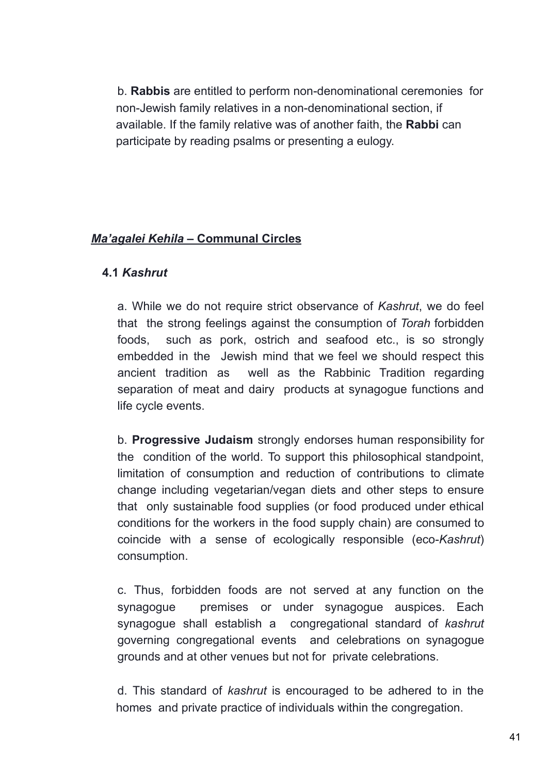b. **Rabbis** are entitled to perform non-denominational ceremonies for non-Jewish family relatives in a non-denominational section, if available. If the family relative was of another faith, the **Rabbi** can participate by reading psalms or presenting a eulogy.

# *Ma'agalei Kehila* **– Communal Circles**

#### **4.1** *Kashrut*

a. While we do not require strict observance of *Kashrut*, we do feel that the strong feelings against the consumption of *Torah* forbidden foods, such as pork, ostrich and seafood etc., is so strongly embedded in the Jewish mind that we feel we should respect this ancient tradition as well as the Rabbinic Tradition regarding separation of meat and dairy products at synagogue functions and life cycle events.

b. **Progressive Judaism** strongly endorses human responsibility for the condition of the world. To support this philosophical standpoint, limitation of consumption and reduction of contributions to climate change including vegetarian/vegan diets and other steps to ensure that only sustainable food supplies (or food produced under ethical conditions for the workers in the food supply chain) are consumed to coincide with a sense of ecologically responsible (eco-*Kashrut*) consumption.

c. Thus, forbidden foods are not served at any function on the synagogue premises or under synagogue auspices. Each synagogue shall establish a congregational standard of *kashrut* governing congregational events and celebrations on synagogue grounds and at other venues but not for private celebrations.

d. This standard of *kashrut* is encouraged to be adhered to in the homes and private practice of individuals within the congregation.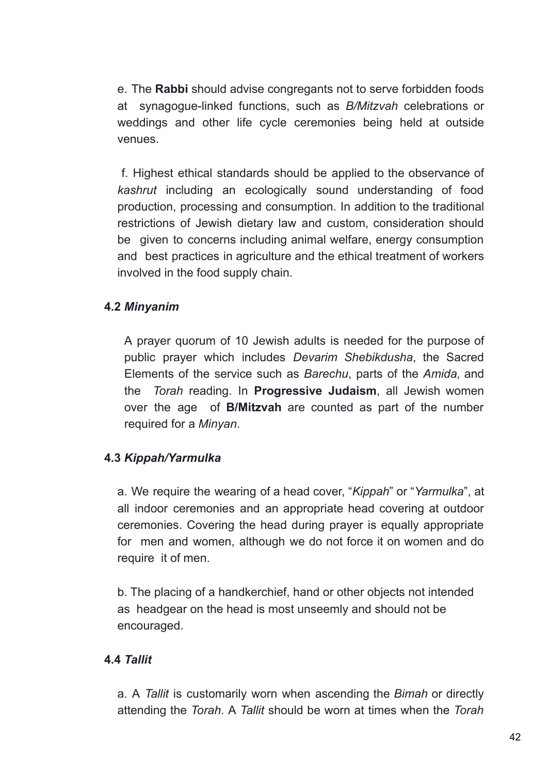e. The **Rabbi** should advise congregants not to serve forbidden foods at synagogue-linked functions, such as *B/Mitzvah* celebrations or weddings and other life cycle ceremonies being held at outside venues.

f. Highest ethical standards should be applied to the observance of *kashrut* including an ecologically sound understanding of food production, processing and consumption. In addition to the traditional restrictions of Jewish dietary law and custom, consideration should be given to concerns including animal welfare, energy consumption and best practices in agriculture and the ethical treatment of workers involved in the food supply chain.

#### **4.2** *Minyanim*

A prayer quorum of 10 Jewish adults is needed for the purpose of public prayer which includes *Devarim Shebikdusha*, the Sacred Elements of the service such as *Barechu*, parts of the *Amida,* and the *Torah* reading. In **Progressive Judaism**, all Jewish women over the age of **B/Mitzvah** are counted as part of the number required for a *Minyan*.

#### **4.3** *Kippah/Yarmulka*

a. We require the wearing of a head cover, "*Kippah*" or "*Yarmulka*", at all indoor ceremonies and an appropriate head covering at outdoor ceremonies. Covering the head during prayer is equally appropriate for men and women, although we do not force it on women and do require it of men.

b. The placing of a handkerchief, hand or other objects not intended as headgear on the head is most unseemly and should not be encouraged.

#### **4.4** *Tallit*

a. A *Tallit* is customarily worn when ascending the *Bimah* or directly attending the *Torah*. A *Tallit* should be worn at times when the *Torah*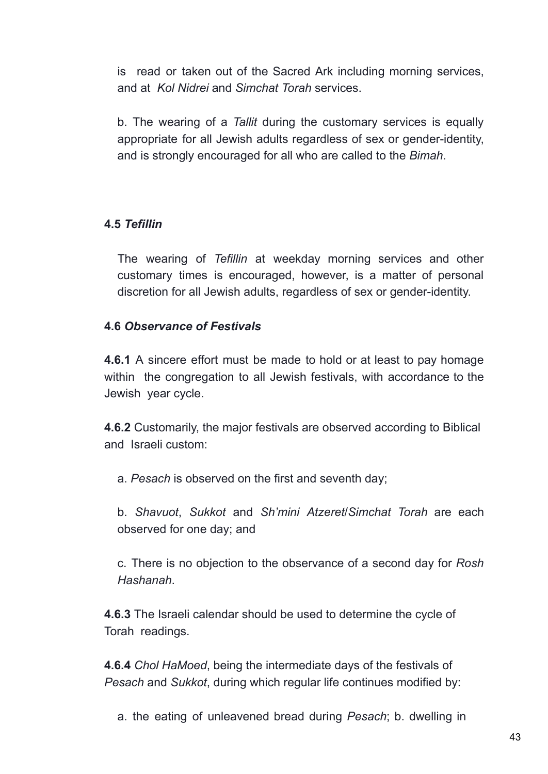is read or taken out of the Sacred Ark including morning services, and at *Kol Nidrei* and *Simchat Torah* services.

b. The wearing of a *Tallit* during the customary services is equally appropriate for all Jewish adults regardless of sex or gender-identity, and is strongly encouraged for all who are called to the *Bimah*.

# **4.5** *Tefillin*

The wearing of *Tefillin* at weekday morning services and other customary times is encouraged, however, is a matter of personal discretion for all Jewish adults, regardless of sex or gender-identity.

#### **4.6** *Observance of Festivals*

**4.6.1** A sincere effort must be made to hold or at least to pay homage within the congregation to all Jewish festivals, with accordance to the Jewish year cycle.

**4.6.2** Customarily, the major festivals are observed according to Biblical and Israeli custom:

a. *Pesach* is observed on the first and seventh day;

b. *Shavuot*, *Sukkot* and *Sh'mini Atzeret*/*Simchat Torah* are each observed for one day; and

c. There is no objection to the observance of a second day for *Rosh Hashanah*.

**4.6.3** The Israeli calendar should be used to determine the cycle of Torah readings.

**4.6.4** *Chol HaMoed*, being the intermediate days of the festivals of *Pesach* and *Sukkot*, during which regular life continues modified by:

a. the eating of unleavened bread during *Pesach*; b. dwelling in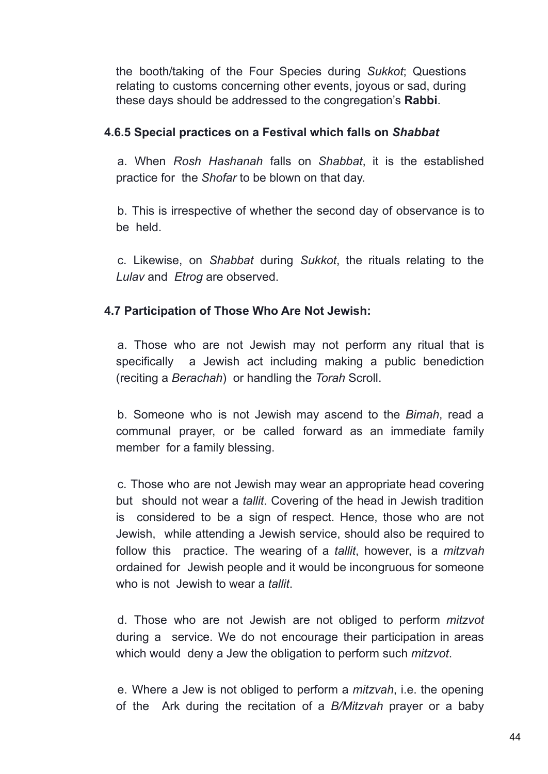the booth/taking of the Four Species during *Sukkot*; Questions relating to customs concerning other events, joyous or sad, during these days should be addressed to the congregation's **Rabbi**.

#### **4.6.5 Special practices on a Festival which falls on** *Shabbat*

a. When *Rosh Hashanah* falls on *Shabbat*, it is the established practice for the *Shofar* to be blown on that day.

b. This is irrespective of whether the second day of observance is to be held.

c. Likewise, on *Shabbat* during *Sukkot*, the rituals relating to the *Lulav* and *Etrog* are observed.

# **4.7 Participation of Those Who Are Not Jewish:**

a. Those who are not Jewish may not perform any ritual that is specifically a Jewish act including making a public benediction (reciting a *Berachah*) or handling the *Torah* Scroll.

b. Someone who is not Jewish may ascend to the *Bimah*, read a communal prayer, or be called forward as an immediate family member for a family blessing.

c. Those who are not Jewish may wear an appropriate head covering but should not wear a *tallit*. Covering of the head in Jewish tradition is considered to be a sign of respect. Hence, those who are not Jewish, while attending a Jewish service, should also be required to follow this practice. The wearing of a *tallit*, however, is a *mitzvah* ordained for Jewish people and it would be incongruous for someone who is not Jewish to wear a *tallit*.

d. Those who are not Jewish are not obliged to perform *mitzvot* during a service. We do not encourage their participation in areas which would deny a Jew the obligation to perform such *mitzvot*.

e. Where a Jew is not obliged to perform a *mitzvah*, i.e. the opening of the Ark during the recitation of a *B/Mitzvah* prayer or a baby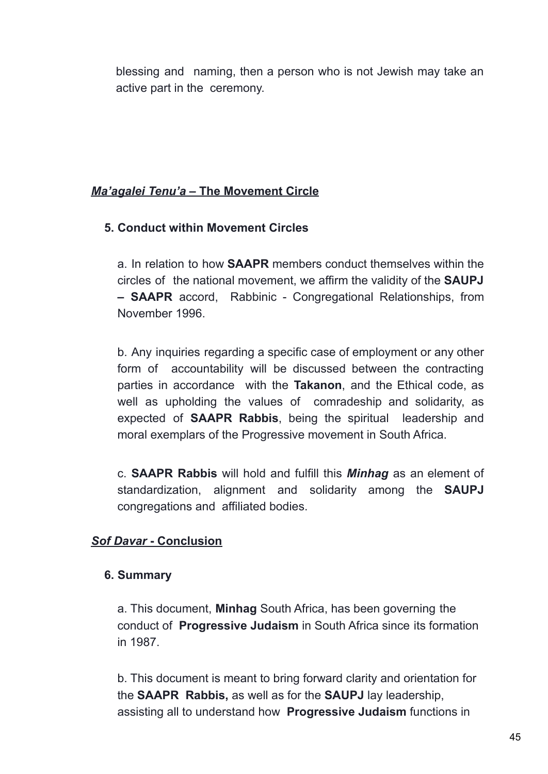blessing and naming, then a person who is not Jewish may take an active part in the ceremony.

#### *Ma'agalei Tenu'a* **– The Movement Circle**

# **5. Conduct within Movement Circles**

a. In relation to how **SAAPR** members conduct themselves within the circles of the national movement, we affirm the validity of the **SAUPJ – SAAPR** accord, Rabbinic - Congregational Relationships, from November 1996.

b. Any inquiries regarding a specific case of employment or any other form of accountability will be discussed between the contracting parties in accordance with the **Takanon**, and the Ethical code, as well as upholding the values of comradeship and solidarity, as expected of **SAAPR Rabbis**, being the spiritual leadership and moral exemplars of the Progressive movement in South Africa.

c. **SAAPR Rabbis** will hold and fulfill this *Minhag* as an element of standardization, alignment and solidarity among the **SAUPJ** congregations and affiliated bodies.

# *Sof Davar* **- Conclusion**

#### **6. Summary**

a. This document, **Minhag** South Africa, has been governing the conduct of **Progressive Judaism** in South Africa since its formation in 1987.

b. This document is meant to bring forward clarity and orientation for the **SAAPR Rabbis,** as well as for the **SAUPJ** lay leadership, assisting all to understand how **Progressive Judaism** functions in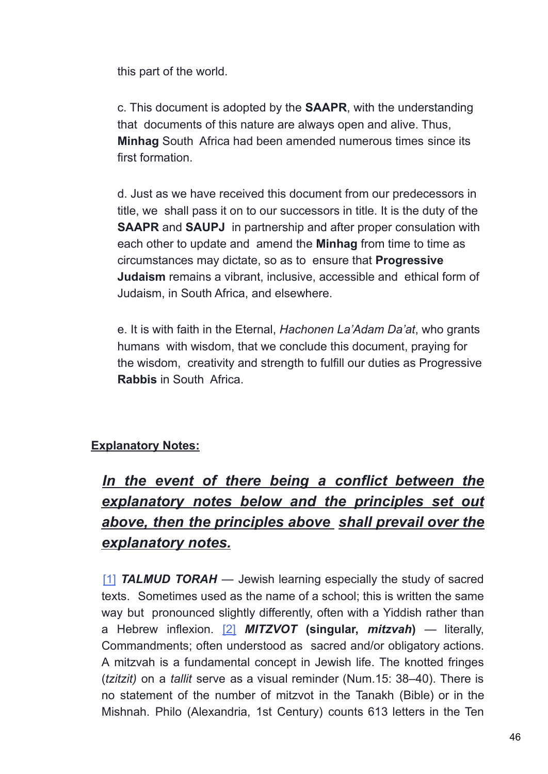this part of the world.

c. This document is adopted by the **SAAPR**, with the understanding that documents of this nature are always open and alive. Thus, **Minhag** South Africa had been amended numerous times since its first formation.

d. Just as we have received this document from our predecessors in title, we shall pass it on to our successors in title. It is the duty of the **SAAPR** and **SAUPJ** in partnership and after proper consulation with each other to update and amend the **Minhag** from time to time as circumstances may dictate, so as to ensure that **Progressive Judaism** remains a vibrant, inclusive, accessible and ethical form of Judaism, in South Africa, and elsewhere.

e. It is with faith in the Eternal, *Hachonen La'Adam Da'at*, who grants humans with wisdom, that we conclude this document, praying for the wisdom, creativity and strength to fulfill our duties as Progressive **Rabbis** in South Africa.

# **Explanatory Notes:**

# *In the event of there being a conflict between the explanatory notes below and the principles set out above, then the principles above shall prevail over the explanatory notes.*

[1] *TALMUD TORAH* — Jewish learning especially the study of sacred texts. Sometimes used as the name of a school; this is written the same way but pronounced slightly differently, often with a Yiddish rather than a Hebrew inflexion. [2] *MITZVOT* **(singular,** *mitzvah***)** — literally, Commandments; often understood as sacred and/or obligatory actions. A mitzvah is a fundamental concept in Jewish life. The knotted fringes (*tzitzit)* on a *tallit* serve as a visual reminder (Num.15: 38–40). There is no statement of the number of mitzvot in the Tanakh (Bible) or in the Mishnah. Philo (Alexandria, 1st Century) counts 613 letters in the Ten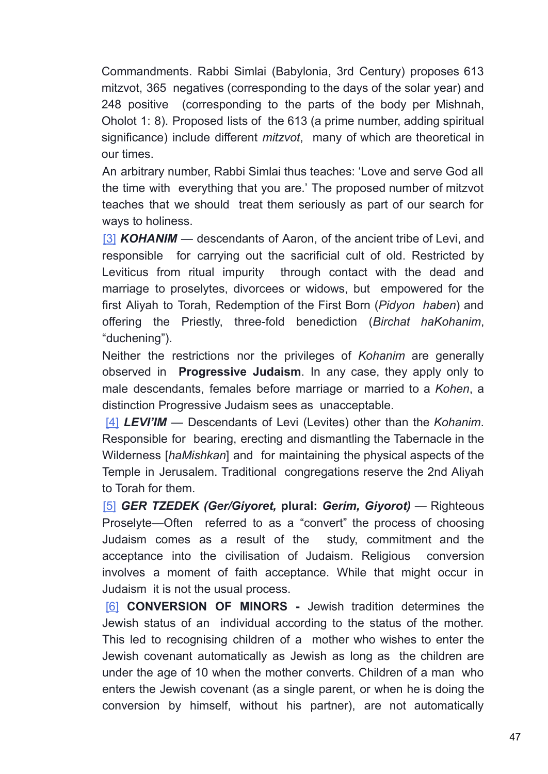Commandments. Rabbi Simlai (Babylonia, 3rd Century) proposes 613 mitzvot, 365 negatives (corresponding to the days of the solar year) and 248 positive (corresponding to the parts of the body per Mishnah, Oholot 1: 8). Proposed lists of the 613 (a prime number, adding spiritual significance) include different *mitzvot*, many of which are theoretical in our times.

An arbitrary number, Rabbi Simlai thus teaches: 'Love and serve God all the time with everything that you are.' The proposed number of mitzvot teaches that we should treat them seriously as part of our search for ways to holiness.

[3] *KOHANIM* — descendants of Aaron, of the ancient tribe of Levi, and responsible for carrying out the sacrificial cult of old. Restricted by Leviticus from ritual impurity through contact with the dead and marriage to proselytes, divorcees or widows, but empowered for the first Aliyah to Torah, Redemption of the First Born (*Pidyon haben*) and offering the Priestly, three-fold benediction (*Birchat haKohanim*, "duchening").

Neither the restrictions nor the privileges of *Kohanim* are generally observed in **Progressive Judaism**. In any case, they apply only to male descendants, females before marriage or married to a *Kohen*, a distinction Progressive Judaism sees as unacceptable.

[4] *LEVI'IM* — Descendants of Levi (Levites) other than the *Kohanim*. Responsible for bearing, erecting and dismantling the Tabernacle in the Wilderness [*haMishkan*] and for maintaining the physical aspects of the Temple in Jerusalem. Traditional congregations reserve the 2nd Aliyah to Torah for them.

[5] *GER TZEDEK (Ger/Giyoret,* **plural:** *Gerim, Giyorot)* — Righteous Proselyte—Often referred to as a "convert" the process of choosing Judaism comes as a result of the study, commitment and the acceptance into the civilisation of Judaism. Religious conversion involves a moment of faith acceptance. While that might occur in Judaism it is not the usual process.

[6] **CONVERSION OF MINORS -** Jewish tradition determines the Jewish status of an individual according to the status of the mother. This led to recognising children of a mother who wishes to enter the Jewish covenant automatically as Jewish as long as the children are under the age of 10 when the mother converts. Children of a man who enters the Jewish covenant (as a single parent, or when he is doing the conversion by himself, without his partner), are not automatically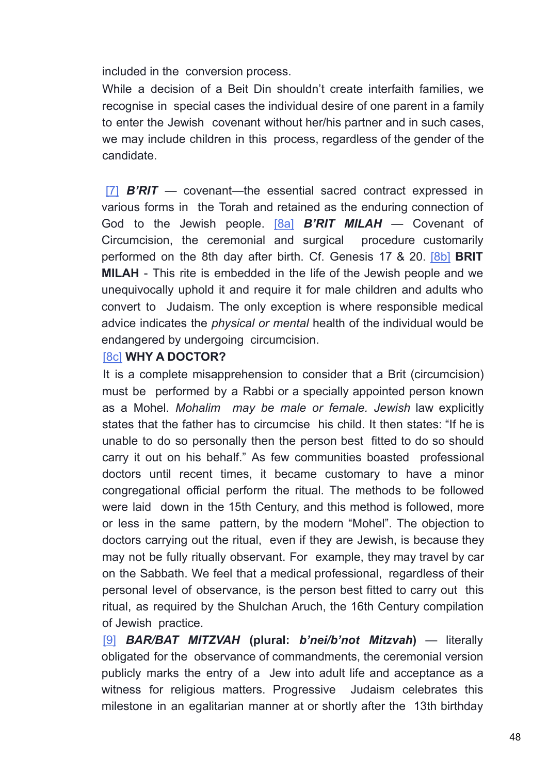included in the conversion process.

While a decision of a Beit Din shouldn't create interfaith families, we recognise in special cases the individual desire of one parent in a family to enter the Jewish covenant without her/his partner and in such cases, we may include children in this process, regardless of the gender of the candidate.

[7] *B'RIT* — covenant—the essential sacred contract expressed in various forms in the Torah and retained as the enduring connection of God to the Jewish people. [8a] *B'RIT MILAH* — Covenant of Circumcision, the ceremonial and surgical procedure customarily performed on the 8th day after birth. Cf. Genesis 17 & 20. [8b] **BRIT MILAH** - This rite is embedded in the life of the Jewish people and we unequivocally uphold it and require it for male children and adults who convert to Judaism. The only exception is where responsible medical advice indicates the *physical or mental* health of the individual would be endangered by undergoing circumcision.

#### [8c] **WHY A DOCTOR?**

It is a complete misapprehension to consider that a Brit (circumcision) must be performed by a Rabbi or a specially appointed person known as a Mohel. *Mohalim may be male or female. Jewish* law explicitly states that the father has to circumcise his child. It then states: "If he is unable to do so personally then the person best fitted to do so should carry it out on his behalf." As few communities boasted professional doctors until recent times, it became customary to have a minor congregational official perform the ritual. The methods to be followed were laid down in the 15th Century, and this method is followed, more or less in the same pattern, by the modern "Mohel". The objection to doctors carrying out the ritual, even if they are Jewish, is because they may not be fully ritually observant. For example, they may travel by car on the Sabbath. We feel that a medical professional, regardless of their personal level of observance, is the person best fitted to carry out this ritual, as required by the Shulchan Aruch, the 16th Century compilation of Jewish practice.

[9] *BAR/BAT MITZVAH* **(plural:** *b'nei/b'not Mitzvah***)** — literally obligated for the observance of commandments, the ceremonial version publicly marks the entry of a Jew into adult life and acceptance as a witness for religious matters. Progressive Judaism celebrates this milestone in an egalitarian manner at or shortly after the 13th birthday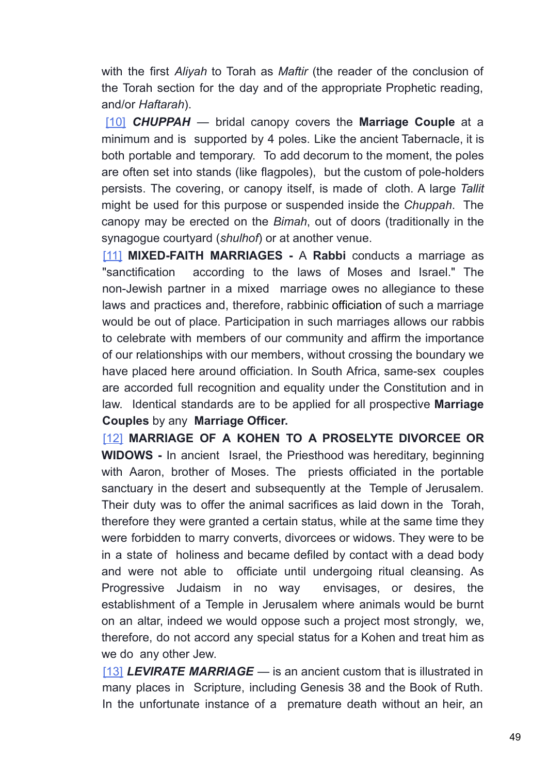with the first *Aliyah* to Torah as *Maftir* (the reader of the conclusion of the Torah section for the day and of the appropriate Prophetic reading, and/or *Haftarah*).

[10] *CHUPPAH* — bridal canopy covers the **Marriage Couple** at a minimum and is supported by 4 poles. Like the ancient Tabernacle, it is both portable and temporary. To add decorum to the moment, the poles are often set into stands (like flagpoles), but the custom of pole-holders persists. The covering, or canopy itself, is made of cloth. A large *Tallit* might be used for this purpose or suspended inside the *Chuppah*. The canopy may be erected on the *Bimah*, out of doors (traditionally in the synagogue courtyard (*shulhof*) or at another venue.

[11] **MIXED-FAITH MARRIAGES -** A **Rabbi** conducts a marriage as "sanctification according to the laws of Moses and Israel." The non-Jewish partner in a mixed marriage owes no allegiance to these laws and practices and, therefore, rabbinic officiation of such a marriage would be out of place. Participation in such marriages allows our rabbis to celebrate with members of our community and affirm the importance of our relationships with our members, without crossing the boundary we have placed here around officiation. In South Africa, same-sex couples are accorded full recognition and equality under the Constitution and in law. Identical standards are to be applied for all prospective **Marriage Couples** by any **Marriage Officer.**

[12] **MARRIAGE OF A KOHEN TO A PROSELYTE DIVORCEE OR WIDOWS -** In ancient Israel, the Priesthood was hereditary, beginning with Aaron, brother of Moses. The priests officiated in the portable sanctuary in the desert and subsequently at the Temple of Jerusalem. Their duty was to offer the animal sacrifices as laid down in the Torah, therefore they were granted a certain status, while at the same time they were forbidden to marry converts, divorcees or widows. They were to be in a state of holiness and became defiled by contact with a dead body and were not able to officiate until undergoing ritual cleansing. As Progressive Judaism in no way envisages, or desires, the establishment of a Temple in Jerusalem where animals would be burnt on an altar, indeed we would oppose such a project most strongly, we, therefore, do not accord any special status for a Kohen and treat him as we do any other Jew.

[13] *LEVIRATE MARRIAGE* — is an ancient custom that is illustrated in many places in Scripture, including Genesis 38 and the Book of Ruth. In the unfortunate instance of a premature death without an heir, an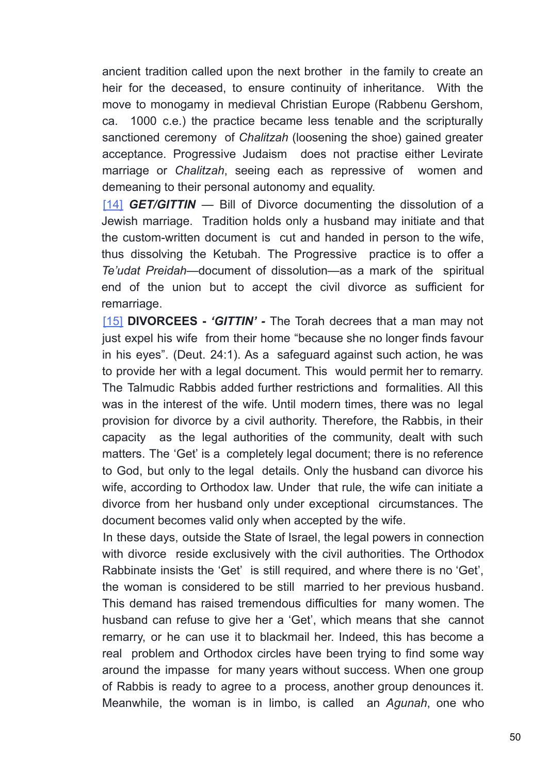ancient tradition called upon the next brother in the family to create an heir for the deceased, to ensure continuity of inheritance. With the move to monogamy in medieval Christian Europe (Rabbenu Gershom, ca. 1000 c.e.) the practice became less tenable and the scripturally sanctioned ceremony of *Chalitzah* (loosening the shoe) gained greater acceptance. Progressive Judaism does not practise either Levirate marriage or *Chalitzah*, seeing each as repressive of women and demeaning to their personal autonomy and equality.

[14] *GET/GITTIN* — Bill of Divorce documenting the dissolution of a Jewish marriage. Tradition holds only a husband may initiate and that the custom-written document is cut and handed in person to the wife, thus dissolving the Ketubah. The Progressive practice is to offer a *Te'udat Preidah*—document of dissolution—as a mark of the spiritual end of the union but to accept the civil divorce as sufficient for remarriage.

[15] **DIVORCEES -** *'GITTIN' -* The Torah decrees that a man may not just expel his wife from their home "because she no longer finds favour in his eyes". (Deut. 24:1). As a safeguard against such action, he was to provide her with a legal document. This would permit her to remarry. The Talmudic Rabbis added further restrictions and formalities. All this was in the interest of the wife. Until modern times, there was no legal provision for divorce by a civil authority. Therefore, the Rabbis, in their capacity as the legal authorities of the community, dealt with such matters. The 'Get' is a completely legal document; there is no reference to God, but only to the legal details. Only the husband can divorce his wife, according to Orthodox law. Under that rule, the wife can initiate a divorce from her husband only under exceptional circumstances. The document becomes valid only when accepted by the wife.

In these days, outside the State of Israel, the legal powers in connection with divorce reside exclusively with the civil authorities. The Orthodox Rabbinate insists the 'Get' is still required, and where there is no 'Get', the woman is considered to be still married to her previous husband. This demand has raised tremendous difficulties for many women. The husband can refuse to give her a 'Get', which means that she cannot remarry, or he can use it to blackmail her. Indeed, this has become a real problem and Orthodox circles have been trying to find some way around the impasse for many years without success. When one group of Rabbis is ready to agree to a process, another group denounces it. Meanwhile, the woman is in limbo, is called an *Agunah*, one who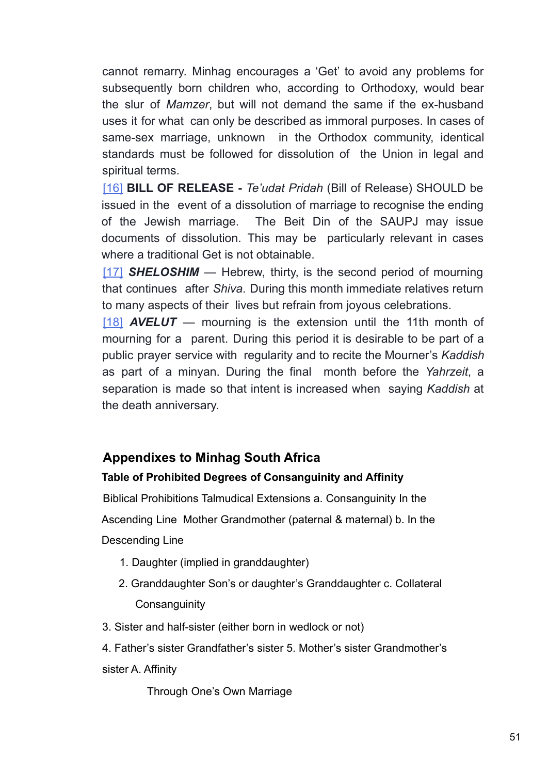cannot remarry. Minhag encourages a 'Get' to avoid any problems for subsequently born children who, according to Orthodoxy, would bear the slur of *Mamzer*, but will not demand the same if the ex-husband uses it for what can only be described as immoral purposes. In cases of same-sex marriage, unknown in the Orthodox community, identical standards must be followed for dissolution of the Union in legal and spiritual terms.

[16] **BILL OF RELEASE -** *Te'udat Pridah* (Bill of Release) SHOULD be issued in the event of a dissolution of marriage to recognise the ending of the Jewish marriage. The Beit Din of the SAUPJ may issue documents of dissolution. This may be particularly relevant in cases where a traditional Get is not obtainable.

[17] **SHELOSHIM** — Hebrew, thirty, is the second period of mourning that continues after *Shiva*. During this month immediate relatives return to many aspects of their lives but refrain from joyous celebrations.

[18] *AVELUT* — mourning is the extension until the 11th month of mourning for a parent. During this period it is desirable to be part of a public prayer service with regularity and to recite the Mourner's *Kaddish* as part of a minyan. During the final month before the *Yahrzeit*, a separation is made so that intent is increased when saying *Kaddish* at the death anniversary.

# **Appendixes to Minhag South Africa**

#### **Table of Prohibited Degrees of Consanguinity and Affinity**

Biblical Prohibitions Talmudical Extensions a. Consanguinity In the

Ascending Line Mother Grandmother (paternal & maternal) b. In the Descending Line

- 1. Daughter (implied in granddaughter)
- 2. Granddaughter Son's or daughter's Granddaughter c. Collateral **Consanguinity**
- 3. Sister and half-sister (either born in wedlock or not)
- 4. Father's sister Grandfather's sister 5. Mother's sister Grandmother's sister A. Affinity

Through One's Own Marriage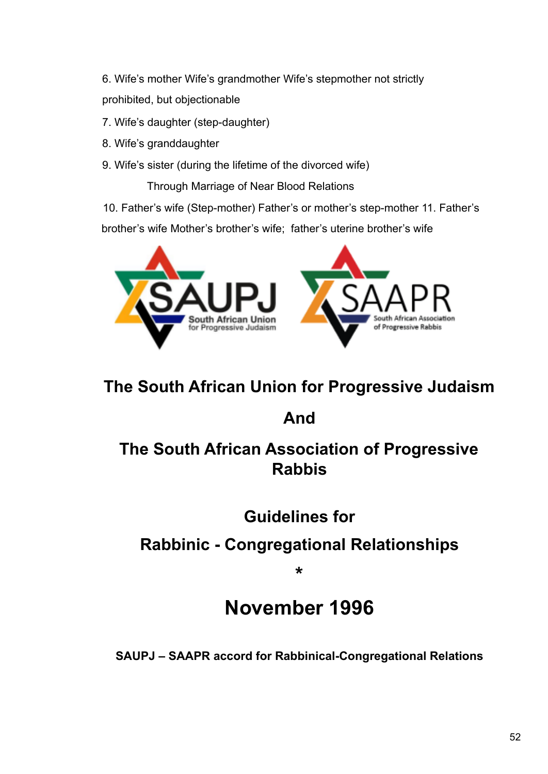6. Wife's mother Wife's grandmother Wife's stepmother not strictly prohibited, but objectionable

- 7. Wife's daughter (step-daughter)
- 8. Wife's granddaughter
- 9. Wife's sister (during the lifetime of the divorced wife)

Through Marriage of Near Blood Relations

10. Father's wife (Step-mother) Father's or mother's step-mother 11. Father's

brother's wife Mother's brother's wife; father's uterine brother's wife



# **The South African Union for Progressive Judaism**

# **And**

# **The South African Association of Progressive Rabbis**

**Guidelines for**

# **Rabbinic - Congregational Relationships**

**\***

# **November 1996**

**SAUPJ – SAAPR accord for Rabbinical-Congregational Relations**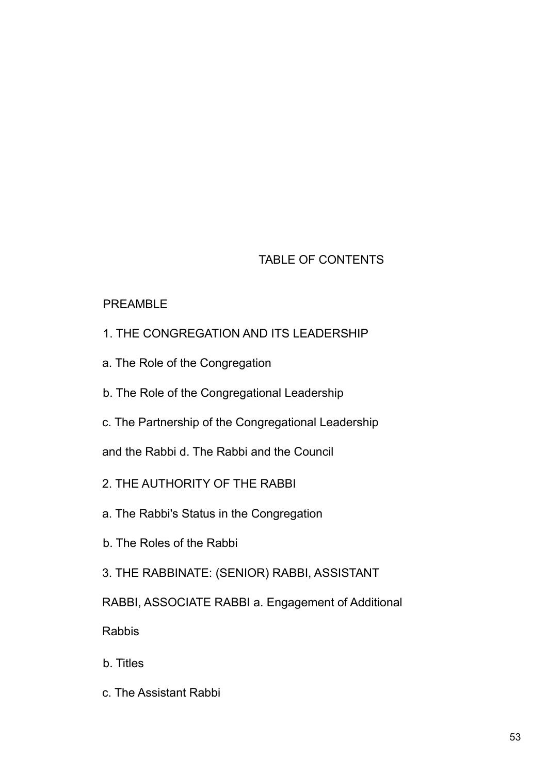# TABLE OF CONTENTS

#### PREAMBLE

- 1. THE CONGREGATION AND ITS LEADERSHIP
- a. The Role of the Congregation
- b. The Role of the Congregational Leadership
- c. The Partnership of the Congregational Leadership

and the Rabbi d. The Rabbi and the Council

- 2. THE AUTHORITY OF THE RABBI
- a. The Rabbi's Status in the Congregation
- b. The Roles of the Rabbi
- 3. THE RABBINATE: (SENIOR) RABBI, ASSISTANT
- RABBI, ASSOCIATE RABBI a. Engagement of Additional

Rabbis

- b. Titles
- c. The Assistant Rabbi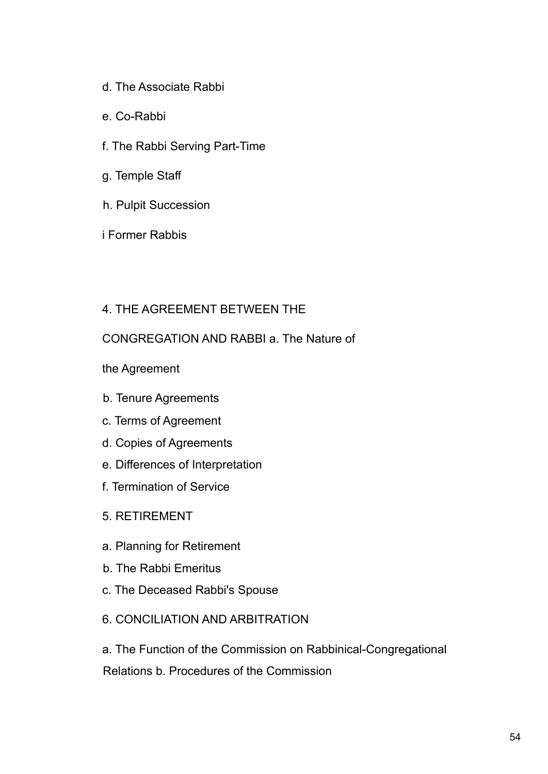- d. The Associate Rabbi
- e. Co-Rabbi
- f. The Rabbi Serving Part-Time
- g. Temple Staff
- h. Pulpit Succession
- i Former Rabbis

#### 4. THE AGREEMENT BETWEEN THE

#### CONGREGATION AND RABBI a. The Nature of

- the Agreement
- b. Tenure Agreements
- c. Terms of Agreement
- d. Copies of Agreements
- e. Differences of Interpretation
- f. Termination of Service
- 5. RETIREMENT
- a. Planning for Retirement
- b. The Rabbi Emeritus
- c. The Deceased Rabbi's Spouse
- 6. CONCILIATION AND ARBITRATION

a. The Function of the Commission on Rabbinical-Congregational Relations b. Procedures of the Commission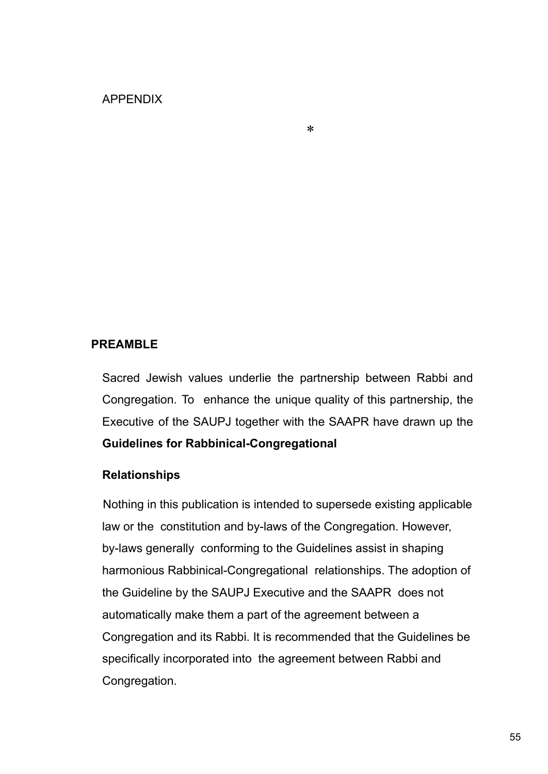#### APPENDIX

#### **PREAMBLE**

Sacred Jewish values underlie the partnership between Rabbi and Congregation. To enhance the unique quality of this partnership, the Executive of the SAUPJ together with the SAAPR have drawn up the **Guidelines for Rabbinical-Congregational**

#### **Relationships**

Nothing in this publication is intended to supersede existing applicable law or the constitution and by-laws of the Congregation. However, by-laws generally conforming to the Guidelines assist in shaping harmonious Rabbinical-Congregational relationships. The adoption of the Guideline by the SAUPJ Executive and the SAAPR does not automatically make them a part of the agreement between a Congregation and its Rabbi. It is recommended that the Guidelines be specifically incorporated into the agreement between Rabbi and Congregation.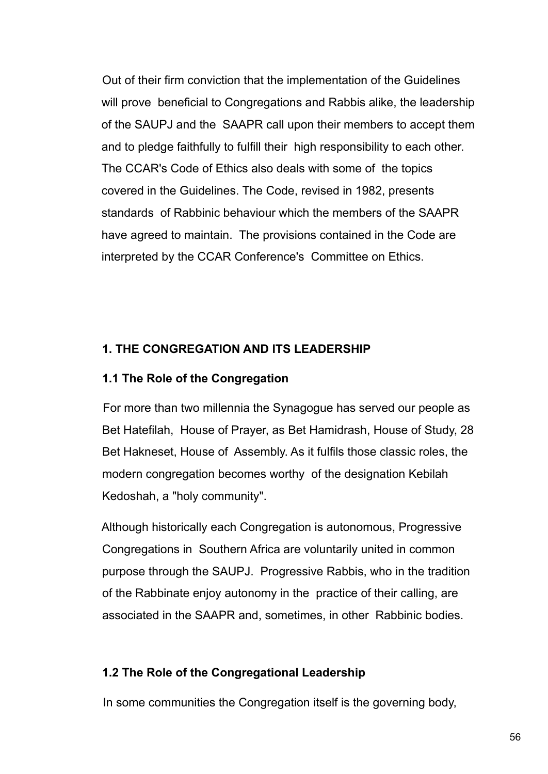Out of their firm conviction that the implementation of the Guidelines will prove beneficial to Congregations and Rabbis alike, the leadership of the SAUPJ and the SAAPR call upon their members to accept them and to pledge faithfully to fulfill their high responsibility to each other. The CCAR's Code of Ethics also deals with some of the topics covered in the Guidelines. The Code, revised in 1982, presents standards of Rabbinic behaviour which the members of the SAAPR have agreed to maintain. The provisions contained in the Code are interpreted by the CCAR Conference's Committee on Ethics.

#### **1. THE CONGREGATION AND ITS LEADERSHIP**

#### **1.1 The Role of the Congregation**

For more than two millennia the Synagogue has served our people as Bet Hatefilah, House of Prayer, as Bet Hamidrash, House of Study, 28 Bet Hakneset, House of Assembly. As it fulfils those classic roles, the modern congregation becomes worthy of the designation Kebilah Kedoshah, a "holy community".

Although historically each Congregation is autonomous, Progressive Congregations in Southern Africa are voluntarily united in common purpose through the SAUPJ. Progressive Rabbis, who in the tradition of the Rabbinate enjoy autonomy in the practice of their calling, are associated in the SAAPR and, sometimes, in other Rabbinic bodies.

#### **1.2 The Role of the Congregational Leadership**

In some communities the Congregation itself is the governing body,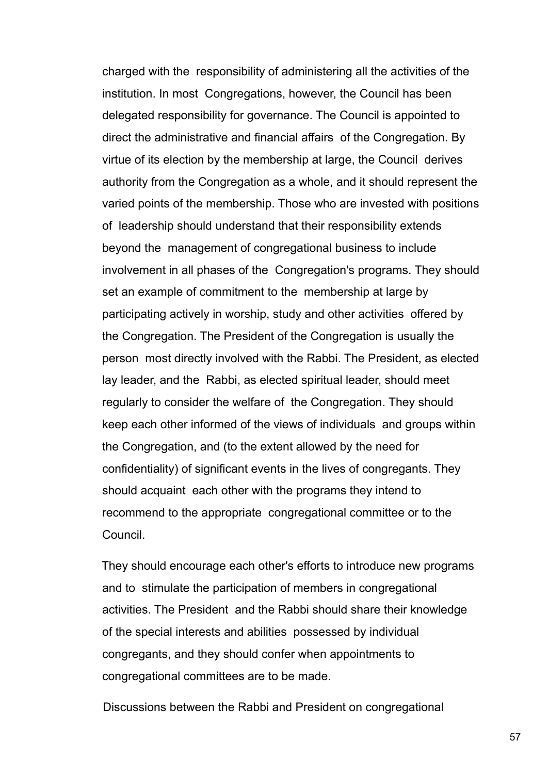charged with the responsibility of administering all the activities of the institution. In most Congregations, however, the Council has been delegated responsibility for governance. The Council is appointed to direct the administrative and financial affairs of the Congregation. By virtue of its election by the membership at large, the Council derives authority from the Congregation as a whole, and it should represent the varied points of the membership. Those who are invested with positions of leadership should understand that their responsibility extends beyond the management of congregational business to include involvement in all phases of the Congregation's programs. They should set an example of commitment to the membership at large by participating actively in worship, study and other activities offered by the Congregation. The President of the Congregation is usually the person most directly involved with the Rabbi. The President, as elected lay leader, and the Rabbi, as elected spiritual leader, should meet regularly to consider the welfare of the Congregation. They should keep each other informed of the views of individuals and groups within the Congregation, and (to the extent allowed by the need for confidentiality) of significant events in the lives of congregants. They should acquaint each other with the programs they intend to recommend to the appropriate congregational committee or to the Council.

They should encourage each other's efforts to introduce new programs and to stimulate the participation of members in congregational activities. The President and the Rabbi should share their knowledge of the special interests and abilities possessed by individual congregants, and they should confer when appointments to congregational committees are to be made.

Discussions between the Rabbi and President on congregational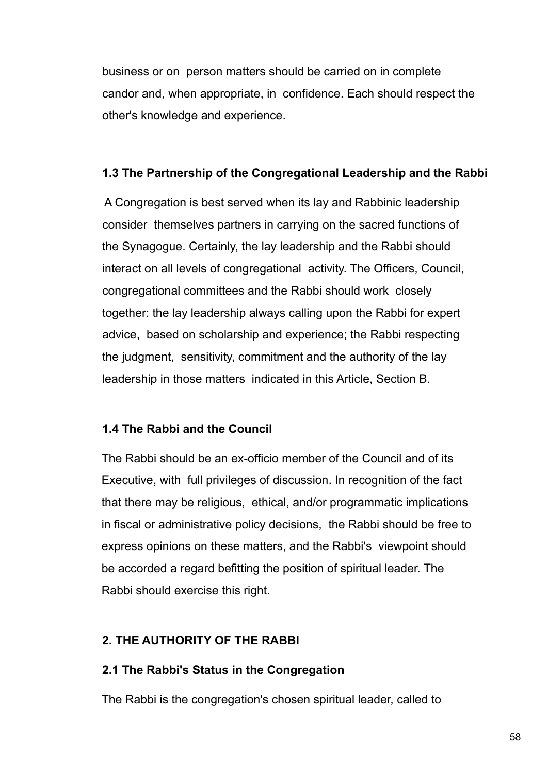business or on person matters should be carried on in complete candor and, when appropriate, in confidence. Each should respect the other's knowledge and experience.

#### **1.3 The Partnership of the Congregational Leadership and the Rabbi**

A Congregation is best served when its lay and Rabbinic leadership consider themselves partners in carrying on the sacred functions of the Synagogue. Certainly, the lay leadership and the Rabbi should interact on all levels of congregational activity. The Officers, Council, congregational committees and the Rabbi should work closely together: the lay leadership always calling upon the Rabbi for expert advice, based on scholarship and experience; the Rabbi respecting the judgment, sensitivity, commitment and the authority of the lay leadership in those matters indicated in this Article, Section B.

#### **1.4 The Rabbi and the Council**

The Rabbi should be an ex-officio member of the Council and of its Executive, with full privileges of discussion. In recognition of the fact that there may be religious, ethical, and/or programmatic implications in fiscal or administrative policy decisions, the Rabbi should be free to express opinions on these matters, and the Rabbi's viewpoint should be accorded a regard befitting the position of spiritual leader. The Rabbi should exercise this right.

# **2. THE AUTHORITY OF THE RABBI**

#### **2.1 The Rabbi's Status in the Congregation**

The Rabbi is the congregation's chosen spiritual leader, called to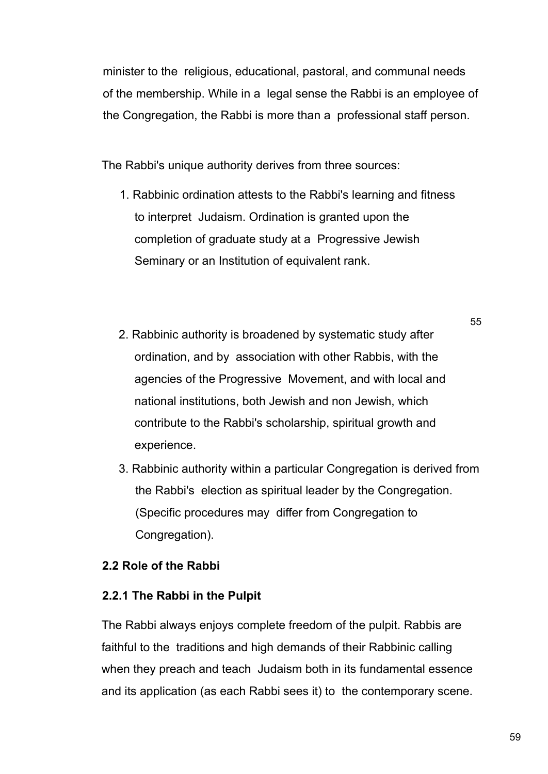minister to the religious, educational, pastoral, and communal needs of the membership. While in a legal sense the Rabbi is an employee of the Congregation, the Rabbi is more than a professional staff person.

The Rabbi's unique authority derives from three sources:

- 1. Rabbinic ordination attests to the Rabbi's learning and fitness to interpret Judaism. Ordination is granted upon the completion of graduate study at a Progressive Jewish Seminary or an Institution of equivalent rank.
- 2. Rabbinic authority is broadened by systematic study after ordination, and by association with other Rabbis, with the agencies of the Progressive Movement, and with local and national institutions, both Jewish and non Jewish, which contribute to the Rabbi's scholarship, spiritual growth and experience.
- 3. Rabbinic authority within a particular Congregation is derived from the Rabbi's election as spiritual leader by the Congregation. (Specific procedures may differ from Congregation to Congregation).

# **2.2 Role of the Rabbi**

# **2.2.1 The Rabbi in the Pulpit**

The Rabbi always enjoys complete freedom of the pulpit. Rabbis are faithful to the traditions and high demands of their Rabbinic calling when they preach and teach Judaism both in its fundamental essence and its application (as each Rabbi sees it) to the contemporary scene.

55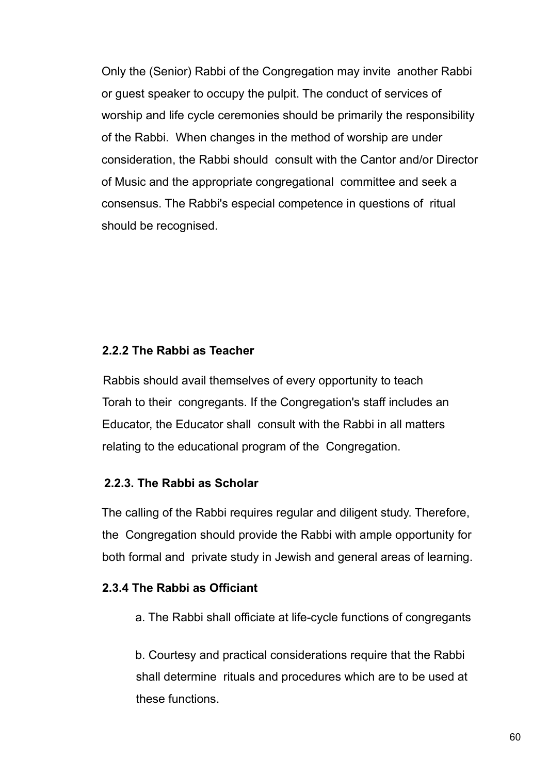Only the (Senior) Rabbi of the Congregation may invite another Rabbi or guest speaker to occupy the pulpit. The conduct of services of worship and life cycle ceremonies should be primarily the responsibility of the Rabbi. When changes in the method of worship are under consideration, the Rabbi should consult with the Cantor and/or Director of Music and the appropriate congregational committee and seek a consensus. The Rabbi's especial competence in questions of ritual should be recognised.

#### **2.2.2 The Rabbi as Teacher**

Rabbis should avail themselves of every opportunity to teach Torah to their congregants. If the Congregation's staff includes an Educator, the Educator shall consult with the Rabbi in all matters relating to the educational program of the Congregation.

#### **2.2.3. The Rabbi as Scholar**

The calling of the Rabbi requires regular and diligent study. Therefore, the Congregation should provide the Rabbi with ample opportunity for both formal and private study in Jewish and general areas of learning.

#### **2.3.4 The Rabbi as Officiant**

a. The Rabbi shall officiate at life-cycle functions of congregants

b. Courtesy and practical considerations require that the Rabbi shall determine rituals and procedures which are to be used at these functions.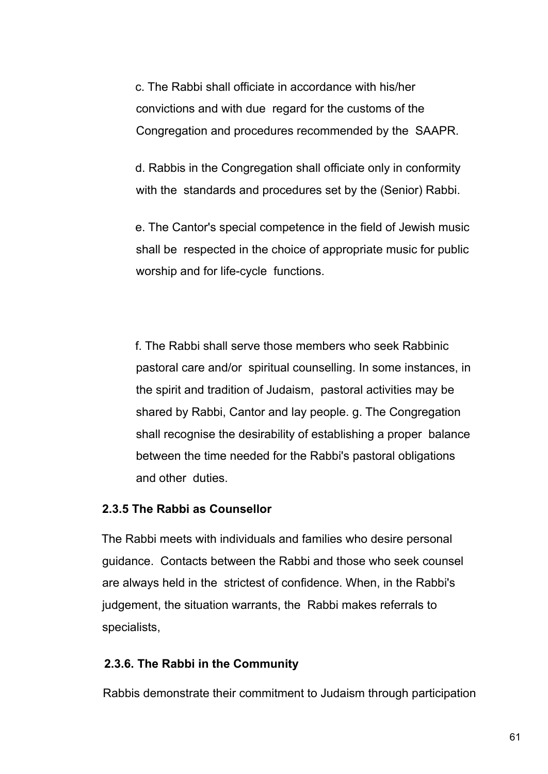c. The Rabbi shall officiate in accordance with his/her convictions and with due regard for the customs of the Congregation and procedures recommended by the SAAPR.

d. Rabbis in the Congregation shall officiate only in conformity with the standards and procedures set by the (Senior) Rabbi.

e. The Cantor's special competence in the field of Jewish music shall be respected in the choice of appropriate music for public worship and for life-cycle functions.

f. The Rabbi shall serve those members who seek Rabbinic pastoral care and/or spiritual counselling. In some instances, in the spirit and tradition of Judaism, pastoral activities may be shared by Rabbi, Cantor and lay people. g. The Congregation shall recognise the desirability of establishing a proper balance between the time needed for the Rabbi's pastoral obligations and other duties.

#### **2.3.5 The Rabbi as Counsellor**

The Rabbi meets with individuals and families who desire personal guidance. Contacts between the Rabbi and those who seek counsel are always held in the strictest of confidence. When, in the Rabbi's judgement, the situation warrants, the Rabbi makes referrals to specialists,

#### **2.3.6. The Rabbi in the Community**

Rabbis demonstrate their commitment to Judaism through participation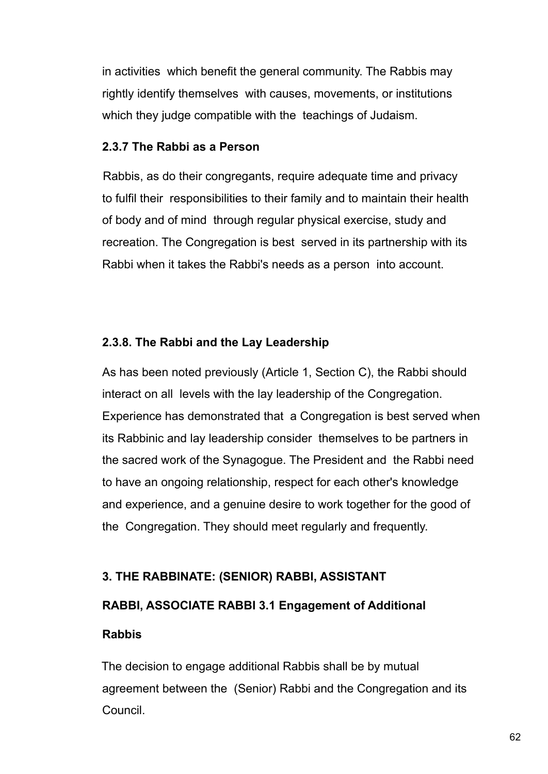in activities which benefit the general community. The Rabbis may rightly identify themselves with causes, movements, or institutions which they judge compatible with the teachings of Judaism.

#### **2.3.7 The Rabbi as a Person**

Rabbis, as do their congregants, require adequate time and privacy to fulfil their responsibilities to their family and to maintain their health of body and of mind through regular physical exercise, study and recreation. The Congregation is best served in its partnership with its Rabbi when it takes the Rabbi's needs as a person into account.

#### **2.3.8. The Rabbi and the Lay Leadership**

As has been noted previously (Article 1, Section C), the Rabbi should interact on all levels with the lay leadership of the Congregation. Experience has demonstrated that a Congregation is best served when its Rabbinic and lay leadership consider themselves to be partners in the sacred work of the Synagogue. The President and the Rabbi need to have an ongoing relationship, respect for each other's knowledge and experience, and a genuine desire to work together for the good of the Congregation. They should meet regularly and frequently.

# **3. THE RABBINATE: (SENIOR) RABBI, ASSISTANT**

# **RABBI, ASSOCIATE RABBI 3.1 Engagement of Additional**

# **Rabbis**

The decision to engage additional Rabbis shall be by mutual agreement between the (Senior) Rabbi and the Congregation and its Council.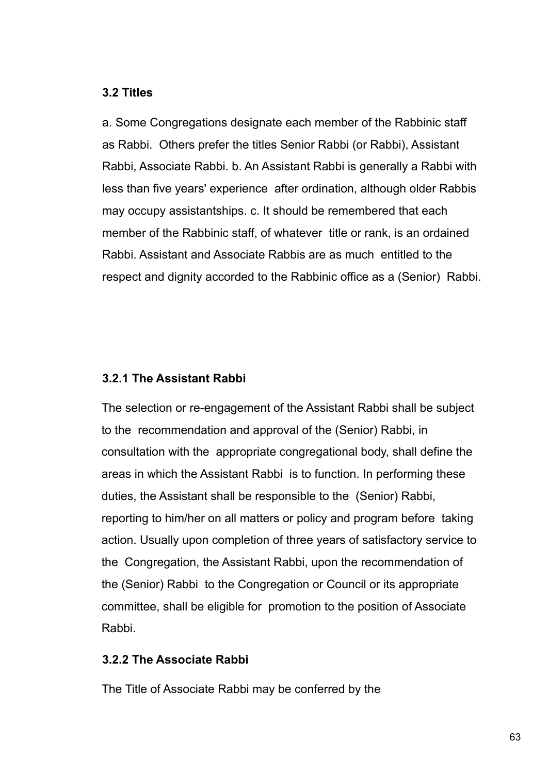#### **3.2 Titles**

a. Some Congregations designate each member of the Rabbinic staff as Rabbi. Others prefer the titles Senior Rabbi (or Rabbi), Assistant Rabbi, Associate Rabbi. b. An Assistant Rabbi is generally a Rabbi with less than five years' experience after ordination, although older Rabbis may occupy assistantships. c. It should be remembered that each member of the Rabbinic staff, of whatever title or rank, is an ordained Rabbi. Assistant and Associate Rabbis are as much entitled to the respect and dignity accorded to the Rabbinic office as a (Senior) Rabbi.

#### **3.2.1 The Assistant Rabbi**

The selection or re-engagement of the Assistant Rabbi shall be subject to the recommendation and approval of the (Senior) Rabbi, in consultation with the appropriate congregational body, shall define the areas in which the Assistant Rabbi is to function. In performing these duties, the Assistant shall be responsible to the (Senior) Rabbi, reporting to him/her on all matters or policy and program before taking action. Usually upon completion of three years of satisfactory service to the Congregation, the Assistant Rabbi, upon the recommendation of the (Senior) Rabbi to the Congregation or Council or its appropriate committee, shall be eligible for promotion to the position of Associate Rabbi.

#### **3.2.2 The Associate Rabbi**

The Title of Associate Rabbi may be conferred by the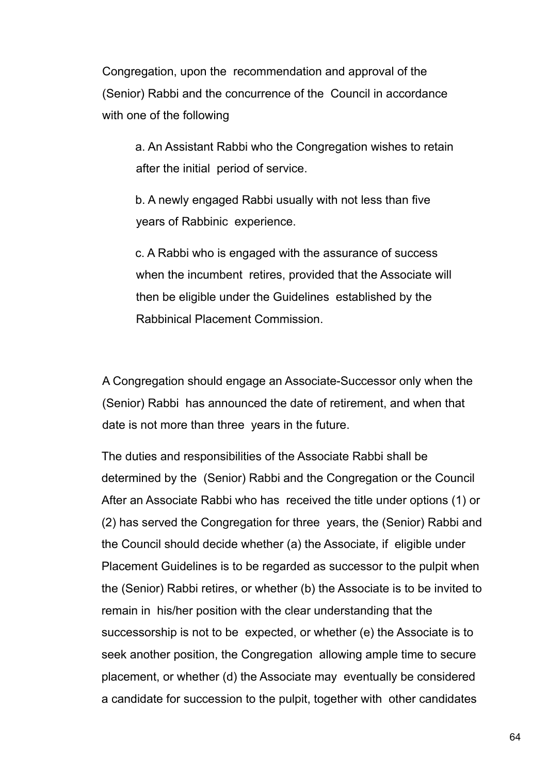Congregation, upon the recommendation and approval of the (Senior) Rabbi and the concurrence of the Council in accordance with one of the following

a. An Assistant Rabbi who the Congregation wishes to retain after the initial period of service.

b. A newly engaged Rabbi usually with not less than five years of Rabbinic experience.

c. A Rabbi who is engaged with the assurance of success when the incumbent retires, provided that the Associate will then be eligible under the Guidelines established by the Rabbinical Placement Commission.

A Congregation should engage an Associate-Successor only when the (Senior) Rabbi has announced the date of retirement, and when that date is not more than three years in the future.

The duties and responsibilities of the Associate Rabbi shall be determined by the (Senior) Rabbi and the Congregation or the Council After an Associate Rabbi who has received the title under options (1) or (2) has served the Congregation for three years, the (Senior) Rabbi and the Council should decide whether (a) the Associate, if eligible under Placement Guidelines is to be regarded as successor to the pulpit when the (Senior) Rabbi retires, or whether (b) the Associate is to be invited to remain in his/her position with the clear understanding that the successorship is not to be expected, or whether (e) the Associate is to seek another position, the Congregation allowing ample time to secure placement, or whether (d) the Associate may eventually be considered a candidate for succession to the pulpit, together with other candidates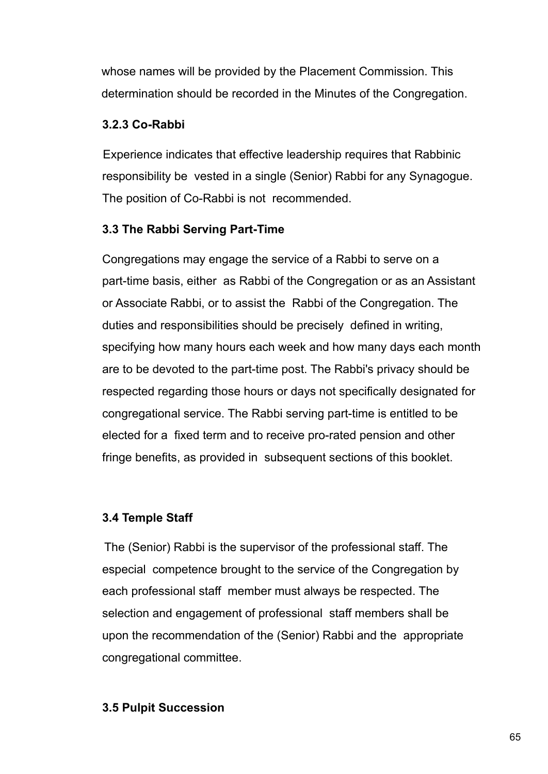whose names will be provided by the Placement Commission. This determination should be recorded in the Minutes of the Congregation.

#### **3.2.3 Co-Rabbi**

Experience indicates that effective leadership requires that Rabbinic responsibility be vested in a single (Senior) Rabbi for any Synagogue. The position of Co-Rabbi is not recommended.

# **3.3 The Rabbi Serving Part-Time**

Congregations may engage the service of a Rabbi to serve on a part-time basis, either as Rabbi of the Congregation or as an Assistant or Associate Rabbi, or to assist the Rabbi of the Congregation. The duties and responsibilities should be precisely defined in writing, specifying how many hours each week and how many days each month are to be devoted to the part-time post. The Rabbi's privacy should be respected regarding those hours or days not specifically designated for congregational service. The Rabbi serving part-time is entitled to be elected for a fixed term and to receive pro-rated pension and other fringe benefits, as provided in subsequent sections of this booklet.

# **3.4 Temple Staff**

The (Senior) Rabbi is the supervisor of the professional staff. The especial competence brought to the service of the Congregation by each professional staff member must always be respected. The selection and engagement of professional staff members shall be upon the recommendation of the (Senior) Rabbi and the appropriate congregational committee.

#### **3.5 Pulpit Succession**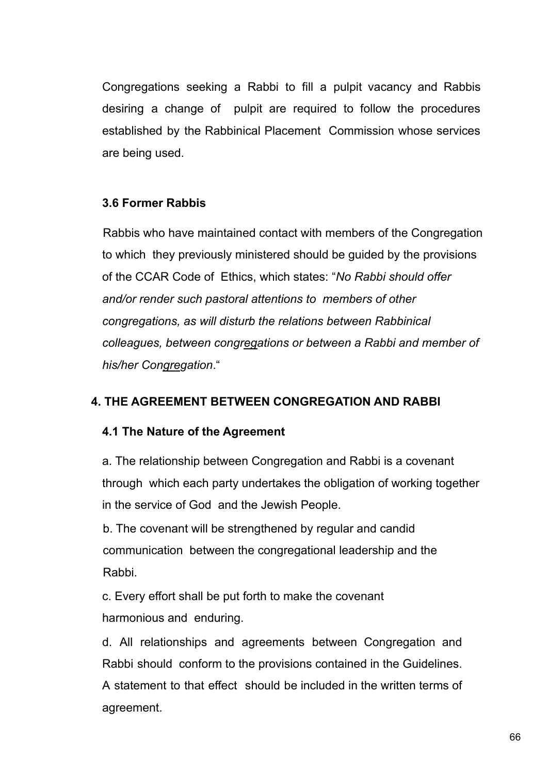Congregations seeking a Rabbi to fill a pulpit vacancy and Rabbis desiring a change of pulpit are required to follow the procedures established by the Rabbinical Placement Commission whose services are being used.

# **3.6 Former Rabbis**

Rabbis who have maintained contact with members of the Congregation to which they previously ministered should be guided by the provisions of the CCAR Code of Ethics, which states: "*No Rabbi should offer and/or render such pastoral attentions to members of other congregations, as will disturb the relations between Rabbinical colleagues, between congregations or between a Rabbi and member of his/her Congregation*."

#### **4. THE AGREEMENT BETWEEN CONGREGATION AND RABBI**

#### **4.1 The Nature of the Agreement**

a. The relationship between Congregation and Rabbi is a covenant through which each party undertakes the obligation of working together in the service of God and the Jewish People.

b. The covenant will be strengthened by regular and candid communication between the congregational leadership and the Rabbi.

c. Every effort shall be put forth to make the covenant harmonious and enduring.

d. All relationships and agreements between Congregation and Rabbi should conform to the provisions contained in the Guidelines. A statement to that effect should be included in the written terms of agreement.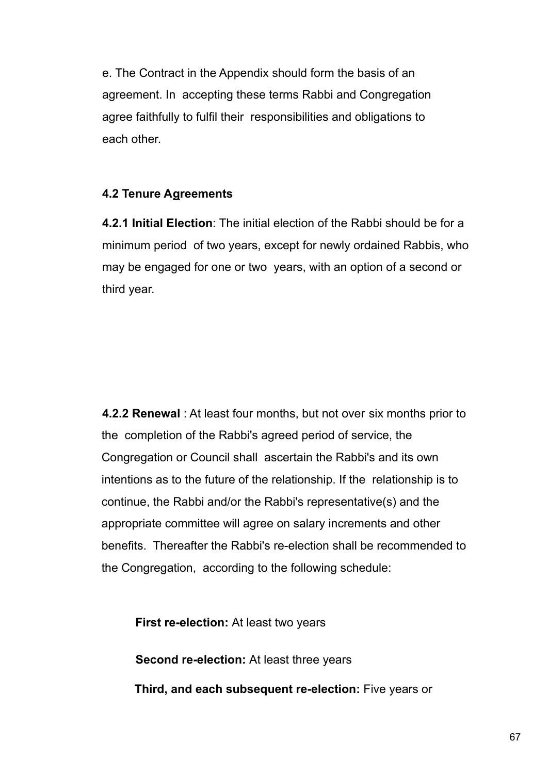e. The Contract in the Appendix should form the basis of an agreement. In accepting these terms Rabbi and Congregation agree faithfully to fulfil their responsibilities and obligations to each other.

#### **4.2 Tenure Agreements**

**4.2.1 Initial Election**: The initial election of the Rabbi should be for a minimum period of two years, except for newly ordained Rabbis, who may be engaged for one or two years, with an option of a second or third year.

**4.2.2 Renewal** : At least four months, but not over six months prior to the completion of the Rabbi's agreed period of service, the Congregation or Council shall ascertain the Rabbi's and its own intentions as to the future of the relationship. If the relationship is to continue, the Rabbi and/or the Rabbi's representative(s) and the appropriate committee will agree on salary increments and other benefits. Thereafter the Rabbi's re-election shall be recommended to the Congregation, according to the following schedule:

**First re-election:** At least two years

**Second re-election:** At least three years

**Third, and each subsequent re-election:** Five years or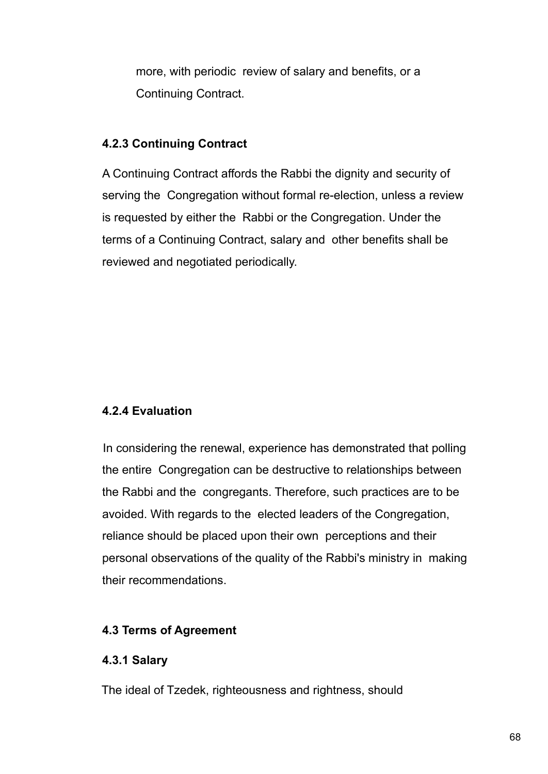more, with periodic review of salary and benefits, or a Continuing Contract.

#### **4.2.3 Continuing Contract**

A Continuing Contract affords the Rabbi the dignity and security of serving the Congregation without formal re-election, unless a review is requested by either the Rabbi or the Congregation. Under the terms of a Continuing Contract, salary and other benefits shall be reviewed and negotiated periodically.

# **4.2.4 Evaluation**

In considering the renewal, experience has demonstrated that polling the entire Congregation can be destructive to relationships between the Rabbi and the congregants. Therefore, such practices are to be avoided. With regards to the elected leaders of the Congregation, reliance should be placed upon their own perceptions and their personal observations of the quality of the Rabbi's ministry in making their recommendations.

# **4.3 Terms of Agreement**

# **4.3.1 Salary**

The ideal of Tzedek, righteousness and rightness, should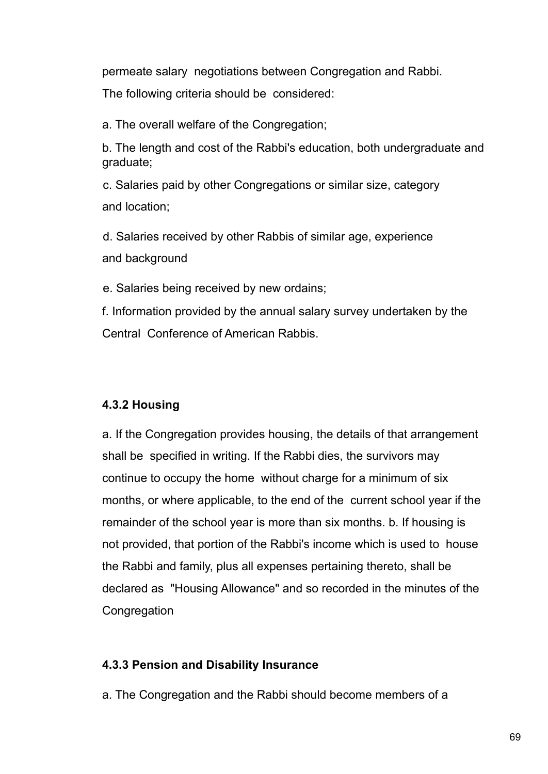permeate salary negotiations between Congregation and Rabbi.

The following criteria should be considered:

a. The overall welfare of the Congregation;

b. The length and cost of the Rabbi's education, both undergraduate and graduate;

c. Salaries paid by other Congregations or similar size, category and location;

d. Salaries received by other Rabbis of similar age, experience and background

e. Salaries being received by new ordains;

f. Information provided by the annual salary survey undertaken by the Central Conference of American Rabbis.

# **4.3.2 Housing**

a. If the Congregation provides housing, the details of that arrangement shall be specified in writing. If the Rabbi dies, the survivors may continue to occupy the home without charge for a minimum of six months, or where applicable, to the end of the current school year if the remainder of the school year is more than six months. b. If housing is not provided, that portion of the Rabbi's income which is used to house the Rabbi and family, plus all expenses pertaining thereto, shall be declared as "Housing Allowance" and so recorded in the minutes of the **Congregation** 

# **4.3.3 Pension and Disability Insurance**

a. The Congregation and the Rabbi should become members of a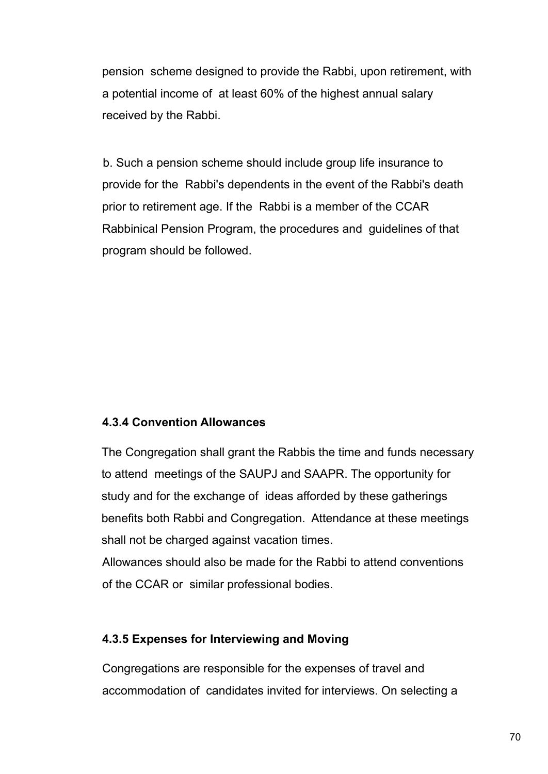pension scheme designed to provide the Rabbi, upon retirement, with a potential income of at least 60% of the highest annual salary received by the Rabbi.

b. Such a pension scheme should include group life insurance to provide for the Rabbi's dependents in the event of the Rabbi's death prior to retirement age. If the Rabbi is a member of the CCAR Rabbinical Pension Program, the procedures and guidelines of that program should be followed.

#### **4.3.4 Convention Allowances**

The Congregation shall grant the Rabbis the time and funds necessary to attend meetings of the SAUPJ and SAAPR. The opportunity for study and for the exchange of ideas afforded by these gatherings benefits both Rabbi and Congregation. Attendance at these meetings shall not be charged against vacation times.

Allowances should also be made for the Rabbi to attend conventions of the CCAR or similar professional bodies.

#### **4.3.5 Expenses for Interviewing and Moving**

Congregations are responsible for the expenses of travel and accommodation of candidates invited for interviews. On selecting a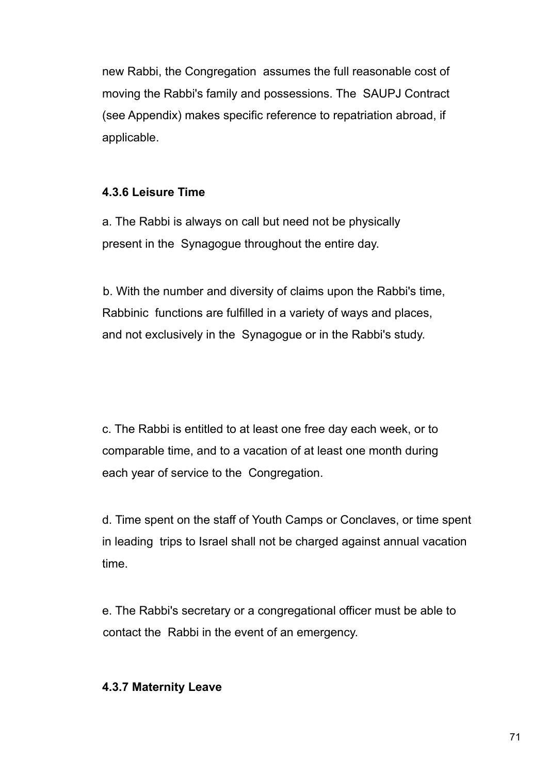new Rabbi, the Congregation assumes the full reasonable cost of moving the Rabbi's family and possessions. The SAUPJ Contract (see Appendix) makes specific reference to repatriation abroad, if applicable.

#### **4.3.6 Leisure Time**

a. The Rabbi is always on call but need not be physically present in the Synagogue throughout the entire day.

b. With the number and diversity of claims upon the Rabbi's time, Rabbinic functions are fulfilled in a variety of ways and places, and not exclusively in the Synagogue or in the Rabbi's study.

c. The Rabbi is entitled to at least one free day each week, or to comparable time, and to a vacation of at least one month during each year of service to the Congregation.

d. Time spent on the staff of Youth Camps or Conclaves, or time spent in leading trips to Israel shall not be charged against annual vacation time.

e. The Rabbi's secretary or a congregational officer must be able to contact the Rabbi in the event of an emergency.

#### **4.3.7 Maternity Leave**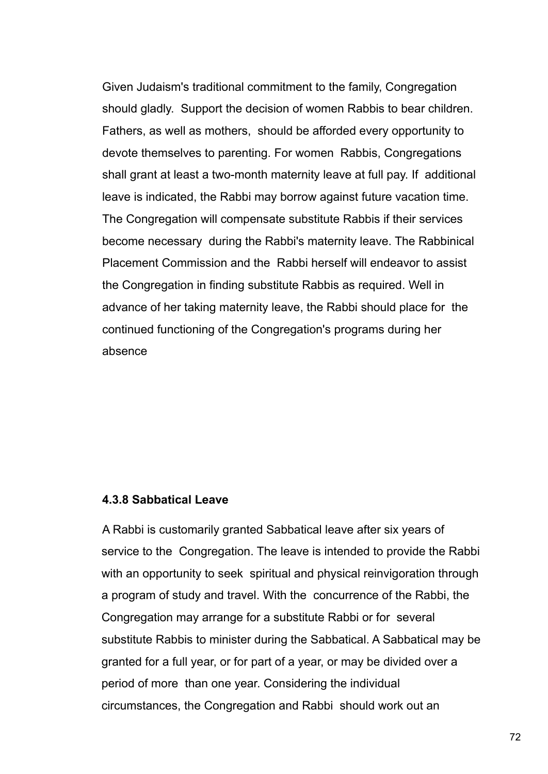Given Judaism's traditional commitment to the family, Congregation should gladly. Support the decision of women Rabbis to bear children. Fathers, as well as mothers, should be afforded every opportunity to devote themselves to parenting. For women Rabbis, Congregations shall grant at least a two-month maternity leave at full pay. If additional leave is indicated, the Rabbi may borrow against future vacation time. The Congregation will compensate substitute Rabbis if their services become necessary during the Rabbi's maternity leave. The Rabbinical Placement Commission and the Rabbi herself will endeavor to assist the Congregation in finding substitute Rabbis as required. Well in advance of her taking maternity leave, the Rabbi should place for the continued functioning of the Congregation's programs during her absence

#### **4.3.8 Sabbatical Leave**

A Rabbi is customarily granted Sabbatical leave after six years of service to the Congregation. The leave is intended to provide the Rabbi with an opportunity to seek spiritual and physical reinvigoration through a program of study and travel. With the concurrence of the Rabbi, the Congregation may arrange for a substitute Rabbi or for several substitute Rabbis to minister during the Sabbatical. A Sabbatical may be granted for a full year, or for part of a year, or may be divided over a period of more than one year. Considering the individual circumstances, the Congregation and Rabbi should work out an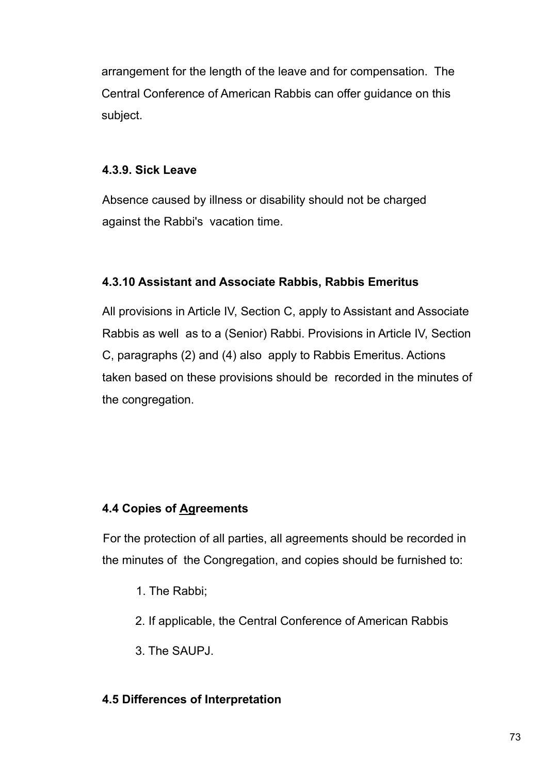arrangement for the length of the leave and for compensation. The Central Conference of American Rabbis can offer guidance on this subject.

## **4.3.9. Sick Leave**

Absence caused by illness or disability should not be charged against the Rabbi's vacation time.

# **4.3.10 Assistant and Associate Rabbis, Rabbis Emeritus**

All provisions in Article IV, Section C, apply to Assistant and Associate Rabbis as well as to a (Senior) Rabbi. Provisions in Article IV, Section C, paragraphs (2) and (4) also apply to Rabbis Emeritus. Actions taken based on these provisions should be recorded in the minutes of the congregation.

# **4.4 Copies of Agreements**

For the protection of all parties, all agreements should be recorded in the minutes of the Congregation, and copies should be furnished to:

- 1. The Rabbi;
- 2. If applicable, the Central Conference of American Rabbis
- 3. The SAUPJ.

## **4.5 Differences of Interpretation**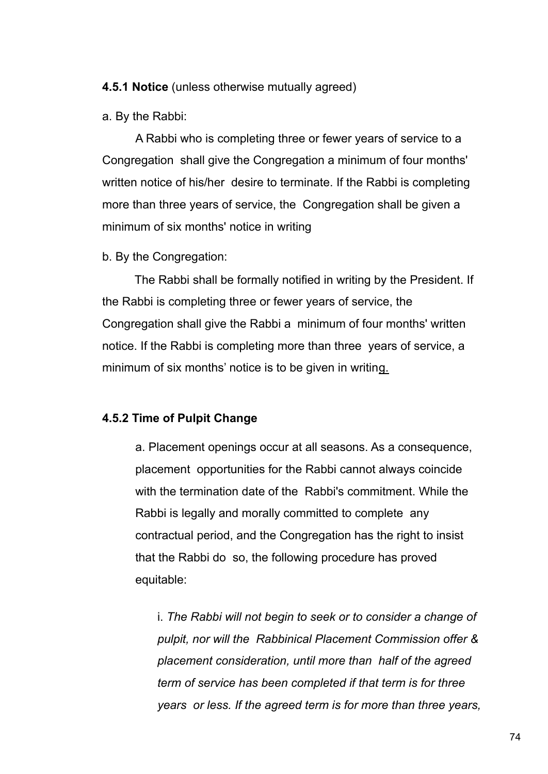#### **4.5.1 Notice** (unless otherwise mutually agreed)

a. By the Rabbi:

A Rabbi who is completing three or fewer years of service to a Congregation shall give the Congregation a minimum of four months' written notice of his/her desire to terminate. If the Rabbi is completing more than three years of service, the Congregation shall be given a minimum of six months' notice in writing

b. By the Congregation:

The Rabbi shall be formally notified in writing by the President. If the Rabbi is completing three or fewer years of service, the Congregation shall give the Rabbi a minimum of four months' written notice. If the Rabbi is completing more than three years of service, a minimum of six months' notice is to be given in writing.

#### **4.5.2 Time of Pulpit Change**

a. Placement openings occur at all seasons. As a consequence, placement opportunities for the Rabbi cannot always coincide with the termination date of the Rabbi's commitment. While the Rabbi is legally and morally committed to complete any contractual period, and the Congregation has the right to insist that the Rabbi do so, the following procedure has proved equitable:

i. *The Rabbi will not begin to seek or to consider a change of pulpit, nor will the Rabbinical Placement Commission offer & placement consideration, until more than half of the agreed term of service has been completed if that term is for three years or less. If the agreed term is for more than three years,*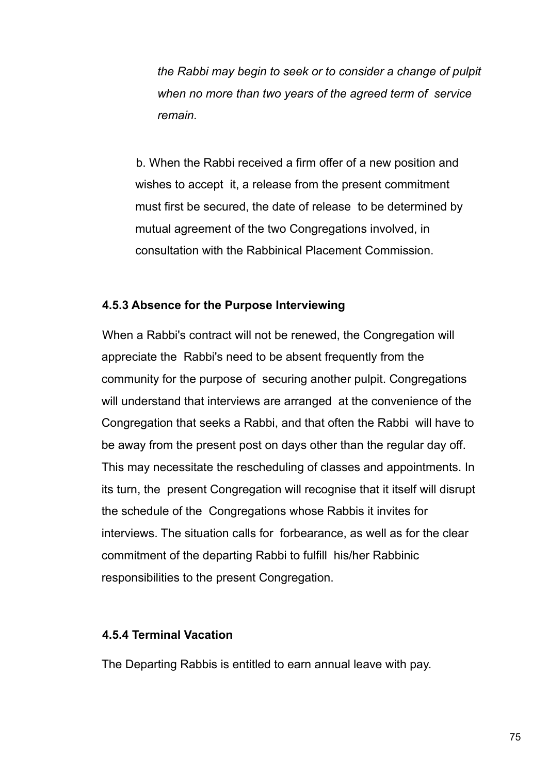*the Rabbi may begin to seek or to consider a change of pulpit when no more than two years of the agreed term of service remain.*

b. When the Rabbi received a firm offer of a new position and wishes to accept it, a release from the present commitment must first be secured, the date of release to be determined by mutual agreement of the two Congregations involved, in consultation with the Rabbinical Placement Commission.

#### **4.5.3 Absence for the Purpose Interviewing**

When a Rabbi's contract will not be renewed, the Congregation will appreciate the Rabbi's need to be absent frequently from the community for the purpose of securing another pulpit. Congregations will understand that interviews are arranged at the convenience of the Congregation that seeks a Rabbi, and that often the Rabbi will have to be away from the present post on days other than the regular day off. This may necessitate the rescheduling of classes and appointments. In its turn, the present Congregation will recognise that it itself will disrupt the schedule of the Congregations whose Rabbis it invites for interviews. The situation calls for forbearance, as well as for the clear commitment of the departing Rabbi to fulfill his/her Rabbinic responsibilities to the present Congregation.

#### **4.5.4 Terminal Vacation**

The Departing Rabbis is entitled to earn annual leave with pay.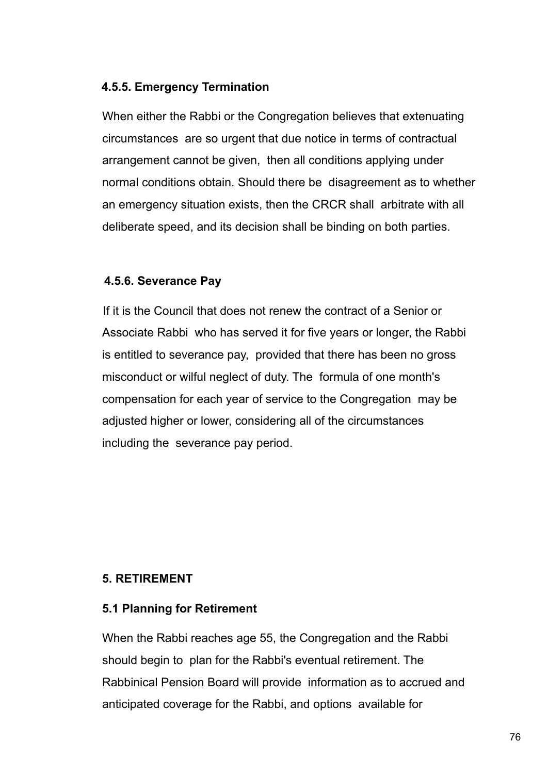## **4.5.5. Emergency Termination**

When either the Rabbi or the Congregation believes that extenuating circumstances are so urgent that due notice in terms of contractual arrangement cannot be given, then all conditions applying under normal conditions obtain. Should there be disagreement as to whether an emergency situation exists, then the CRCR shall arbitrate with all deliberate speed, and its decision shall be binding on both parties.

## **4.5.6. Severance Pay**

If it is the Council that does not renew the contract of a Senior or Associate Rabbi who has served it for five years or longer, the Rabbi is entitled to severance pay, provided that there has been no gross misconduct or wilful neglect of duty. The formula of one month's compensation for each year of service to the Congregation may be adjusted higher or lower, considering all of the circumstances including the severance pay period.

## **5. RETIREMENT**

#### **5.1 Planning for Retirement**

When the Rabbi reaches age 55, the Congregation and the Rabbi should begin to plan for the Rabbi's eventual retirement. The Rabbinical Pension Board will provide information as to accrued and anticipated coverage for the Rabbi, and options available for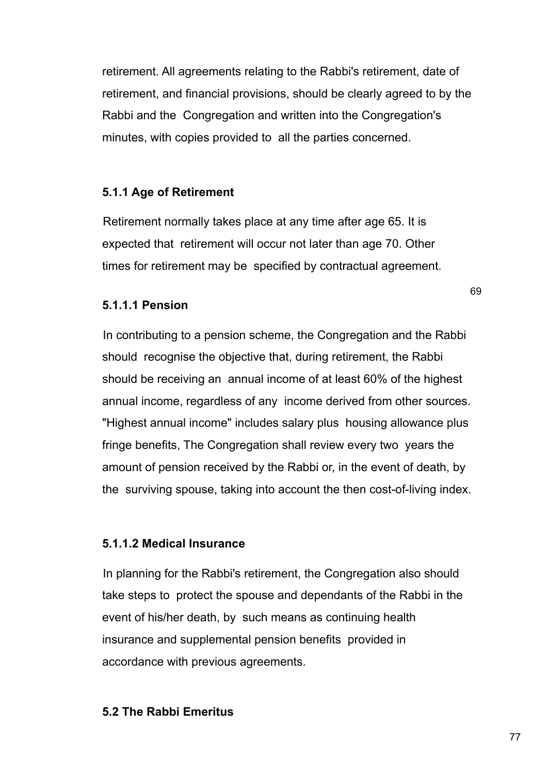retirement. All agreements relating to the Rabbi's retirement, date of retirement, and financial provisions, should be clearly agreed to by the Rabbi and the Congregation and written into the Congregation's minutes, with copies provided to all the parties concerned.

### **5.1.1 Age of Retirement**

Retirement normally takes place at any time after age 65. It is expected that retirement will occur not later than age 70. Other times for retirement may be specified by contractual agreement.

#### **5.1.1.1 Pension**

In contributing to a pension scheme, the Congregation and the Rabbi should recognise the objective that, during retirement, the Rabbi should be receiving an annual income of at least 60% of the highest annual income, regardless of any income derived from other sources. "Highest annual income" includes salary plus housing allowance plus fringe benefits, The Congregation shall review every two years the amount of pension received by the Rabbi or, in the event of death, by the surviving spouse, taking into account the then cost-of-living index.

#### **5.1.1.2 Medical Insurance**

In planning for the Rabbi's retirement, the Congregation also should take steps to protect the spouse and dependants of the Rabbi in the event of his/her death, by such means as continuing health insurance and supplemental pension benefits provided in accordance with previous agreements.

#### **5.2 The Rabbi Emeritus**

77

69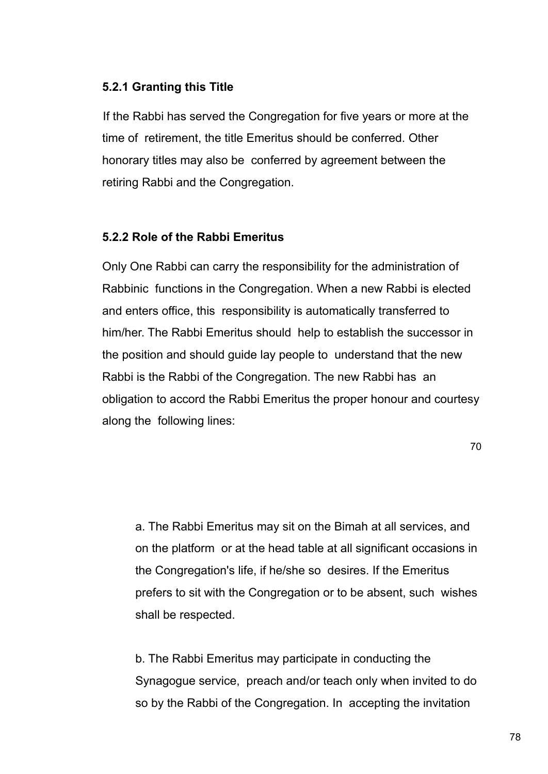## **5.2.1 Granting this Title**

If the Rabbi has served the Congregation for five years or more at the time of retirement, the title Emeritus should be conferred. Other honorary titles may also be conferred by agreement between the retiring Rabbi and the Congregation.

## **5.2.2 Role of the Rabbi Emeritus**

Only One Rabbi can carry the responsibility for the administration of Rabbinic functions in the Congregation. When a new Rabbi is elected and enters office, this responsibility is automatically transferred to him/her. The Rabbi Emeritus should help to establish the successor in the position and should guide lay people to understand that the new Rabbi is the Rabbi of the Congregation. The new Rabbi has an obligation to accord the Rabbi Emeritus the proper honour and courtesy along the following lines:

70

a. The Rabbi Emeritus may sit on the Bimah at all services, and on the platform or at the head table at all significant occasions in the Congregation's life, if he/she so desires. If the Emeritus prefers to sit with the Congregation or to be absent, such wishes shall be respected.

b. The Rabbi Emeritus may participate in conducting the Synagogue service, preach and/or teach only when invited to do so by the Rabbi of the Congregation. In accepting the invitation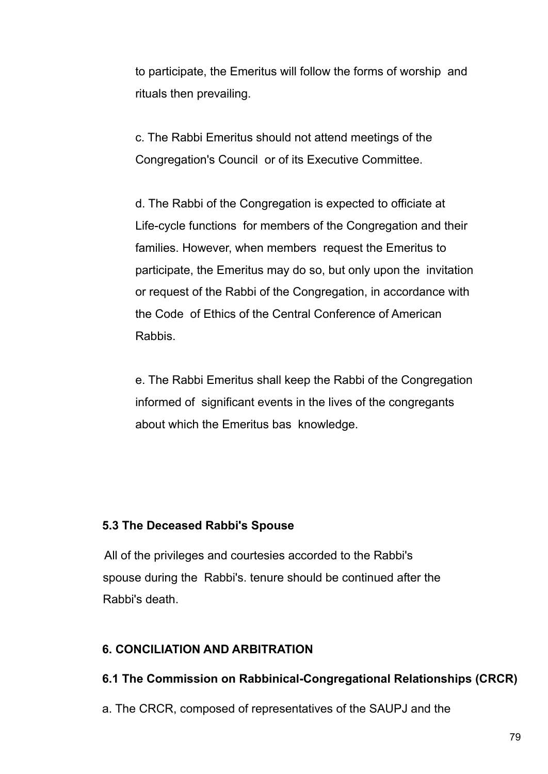to participate, the Emeritus will follow the forms of worship and rituals then prevailing.

c. The Rabbi Emeritus should not attend meetings of the Congregation's Council or of its Executive Committee.

d. The Rabbi of the Congregation is expected to officiate at Life-cycle functions for members of the Congregation and their families. However, when members request the Emeritus to participate, the Emeritus may do so, but only upon the invitation or request of the Rabbi of the Congregation, in accordance with the Code of Ethics of the Central Conference of American Rabbis.

e. The Rabbi Emeritus shall keep the Rabbi of the Congregation informed of significant events in the lives of the congregants about which the Emeritus bas knowledge.

## **5.3 The Deceased Rabbi's Spouse**

All of the privileges and courtesies accorded to the Rabbi's spouse during the Rabbi's. tenure should be continued after the Rabbi's death.

# **6. CONCILIATION AND ARBITRATION**

# **6.1 The Commission on Rabbinical-Congregational Relationships (CRCR)**

a. The CRCR, composed of representatives of the SAUPJ and the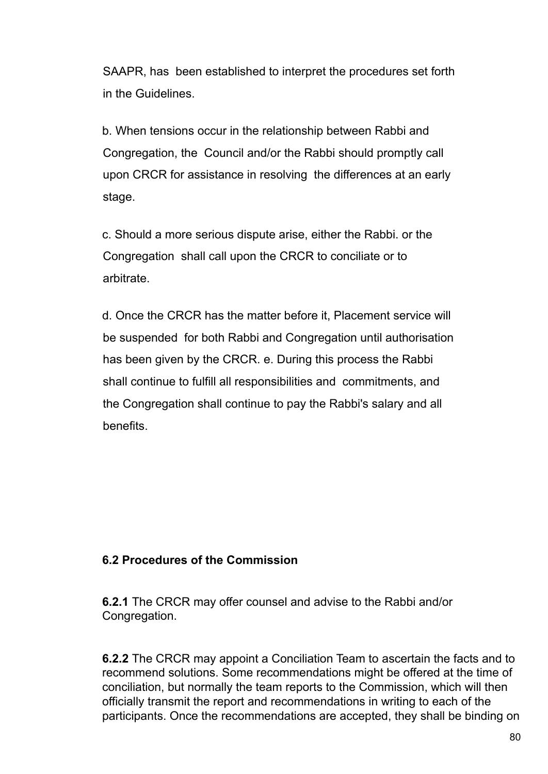SAAPR, has been established to interpret the procedures set forth in the Guidelines.

b. When tensions occur in the relationship between Rabbi and Congregation, the Council and/or the Rabbi should promptly call upon CRCR for assistance in resolving the differences at an early stage.

c. Should a more serious dispute arise, either the Rabbi. or the Congregation shall call upon the CRCR to conciliate or to arbitrate.

d. Once the CRCR has the matter before it, Placement service will be suspended for both Rabbi and Congregation until authorisation has been given by the CRCR. e. During this process the Rabbi shall continue to fulfill all responsibilities and commitments, and the Congregation shall continue to pay the Rabbi's salary and all benefits.

## **6.2 Procedures of the Commission**

**6.2.1** The CRCR may offer counsel and advise to the Rabbi and/or Congregation.

**6.2.2** The CRCR may appoint a Conciliation Team to ascertain the facts and to recommend solutions. Some recommendations might be offered at the time of conciliation, but normally the team reports to the Commission, which will then officially transmit the report and recommendations in writing to each of the participants. Once the recommendations are accepted, they shall be binding on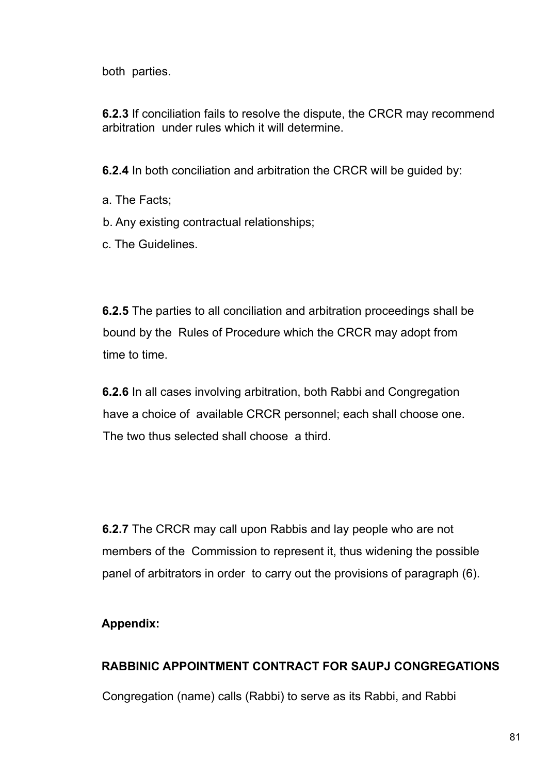both parties.

**6.2.3** If conciliation fails to resolve the dispute, the CRCR may recommend arbitration under rules which it will determine.

**6.2.4** In both conciliation and arbitration the CRCR will be guided by:

- a. The Facts;
- b. Any existing contractual relationships;
- c. The Guidelines.

**6.2.5** The parties to all conciliation and arbitration proceedings shall be bound by the Rules of Procedure which the CRCR may adopt from time to time.

**6.2.6** In all cases involving arbitration, both Rabbi and Congregation have a choice of available CRCR personnel; each shall choose one. The two thus selected shall choose a third.

**6.2.7** The CRCR may call upon Rabbis and lay people who are not members of the Commission to represent it, thus widening the possible panel of arbitrators in order to carry out the provisions of paragraph (6).

# **Appendix:**

# **RABBINIC APPOINTMENT CONTRACT FOR SAUPJ CONGREGATIONS**

Congregation (name) calls (Rabbi) to serve as its Rabbi, and Rabbi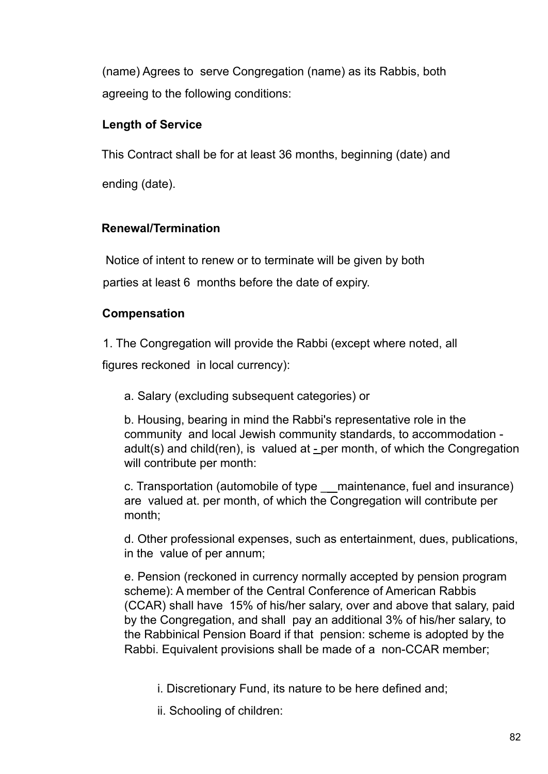(name) Agrees to serve Congregation (name) as its Rabbis, both agreeing to the following conditions:

# **Length of Service**

This Contract shall be for at least 36 months, beginning (date) and

ending (date).

# **Renewal/Termination**

Notice of intent to renew or to terminate will be given by both parties at least 6 months before the date of expiry.

# **Compensation**

1. The Congregation will provide the Rabbi (except where noted, all

figures reckoned in local currency):

a. Salary (excluding subsequent categories) or

b. Housing, bearing in mind the Rabbi's representative role in the community and local Jewish community standards, to accommodation adult(s) and child(ren), is valued at  $\pm$  per month, of which the Congregation will contribute per month:

c. Transportation (automobile of type \_\_ maintenance, fuel and insurance) are valued at. per month, of which the Congregation will contribute per month;

d. Other professional expenses, such as entertainment, dues, publications, in the value of per annum;

e. Pension (reckoned in currency normally accepted by pension program scheme): A member of the Central Conference of American Rabbis (CCAR) shall have 15% of his/her salary, over and above that salary, paid by the Congregation, and shall pay an additional 3% of his/her salary, to the Rabbinical Pension Board if that pension: scheme is adopted by the Rabbi. Equivalent provisions shall be made of a non-CCAR member;

i. Discretionary Fund, its nature to be here defined and;

ii. Schooling of children: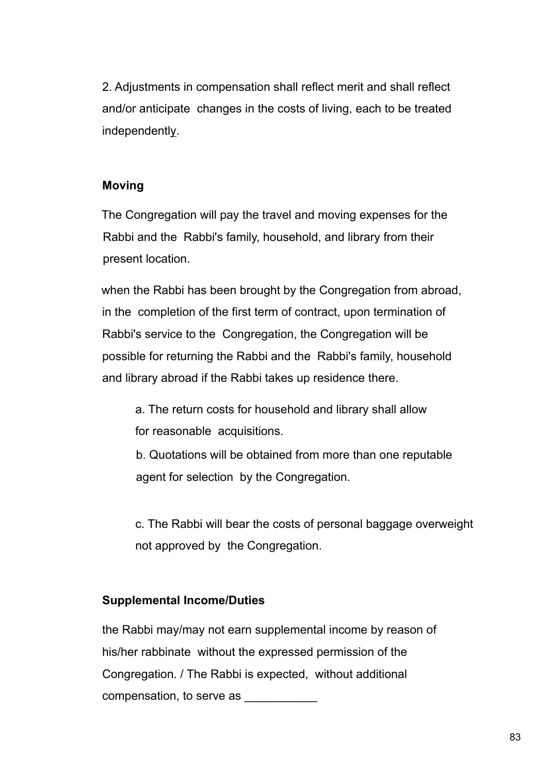2. Adjustments in compensation shall reflect merit and shall reflect and/or anticipate changes in the costs of living, each to be treated independently.

## **Moving**

The Congregation will pay the travel and moving expenses for the Rabbi and the Rabbi's family, household, and library from their present location.

when the Rabbi has been brought by the Congregation from abroad, in the completion of the first term of contract, upon termination of Rabbi's service to the Congregation, the Congregation will be possible for returning the Rabbi and the Rabbi's family, household and library abroad if the Rabbi takes up residence there.

a. The return costs for household and library shall allow for reasonable acquisitions.

b. Quotations will be obtained from more than one reputable agent for selection by the Congregation.

c. The Rabbi will bear the costs of personal baggage overweight not approved by the Congregation.

## **Supplemental Income/Duties**

the Rabbi may/may not earn supplemental income by reason of his/her rabbinate without the expressed permission of the Congregation. / The Rabbi is expected, without additional compensation, to serve as \_\_\_\_\_\_\_\_\_\_\_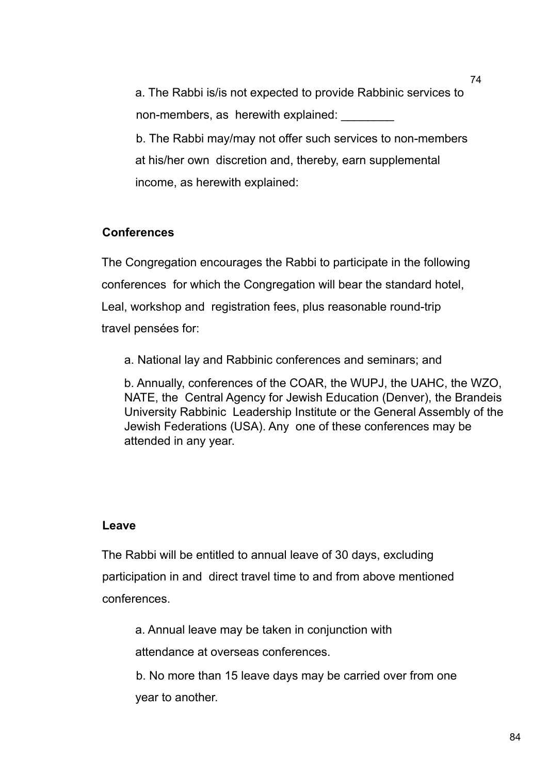a. The Rabbi is/is not expected to provide Rabbinic services to non-members, as herewith explained: b. The Rabbi may/may not offer such services to non-members at his/her own discretion and, thereby, earn supplemental income, as herewith explained:

## **Conferences**

The Congregation encourages the Rabbi to participate in the following conferences for which the Congregation will bear the standard hotel, Leal, workshop and registration fees, plus reasonable round-trip travel pensées for:

a. National lay and Rabbinic conferences and seminars; and

b. Annually, conferences of the COAR, the WUPJ, the UAHC, the WZO, NATE, the Central Agency for Jewish Education (Denver), the Brandeis University Rabbinic Leadership Institute or the General Assembly of the Jewish Federations (USA). Any one of these conferences may be attended in any year.

#### **Leave**

The Rabbi will be entitled to annual leave of 30 days, excluding participation in and direct travel time to and from above mentioned conferences.

a. Annual leave may be taken in conjunction with

attendance at overseas conferences.

b. No more than 15 leave days may be carried over from one year to another.

74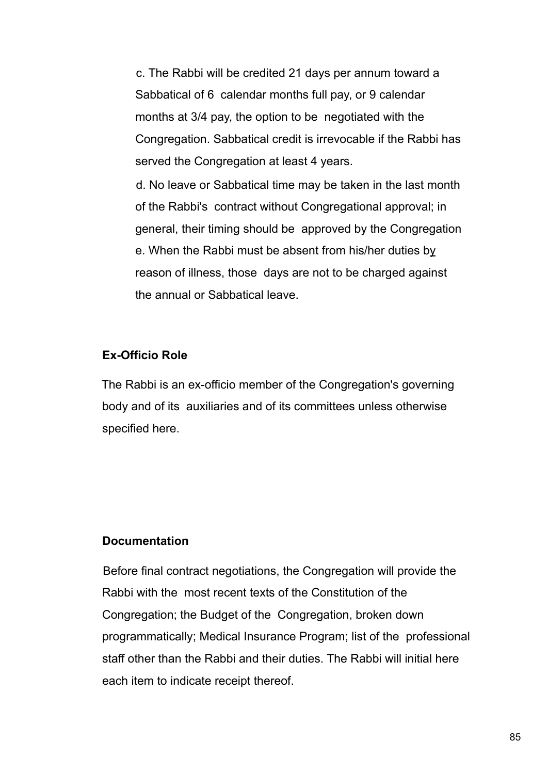c. The Rabbi will be credited 21 days per annum toward a Sabbatical of 6 calendar months full pay, or 9 calendar months at 3/4 pay, the option to be negotiated with the Congregation. Sabbatical credit is irrevocable if the Rabbi has served the Congregation at least 4 years.

d. No leave or Sabbatical time may be taken in the last month of the Rabbi's contract without Congregational approval; in general, their timing should be approved by the Congregation e. When the Rabbi must be absent from his/her duties by reason of illness, those days are not to be charged against the annual or Sabbatical leave.

#### **Ex-Officio Role**

The Rabbi is an ex-officio member of the Congregation's governing body and of its auxiliaries and of its committees unless otherwise specified here.

#### **Documentation**

Before final contract negotiations, the Congregation will provide the Rabbi with the most recent texts of the Constitution of the Congregation; the Budget of the Congregation, broken down programmatically; Medical Insurance Program; list of the professional staff other than the Rabbi and their duties. The Rabbi will initial here each item to indicate receipt thereof.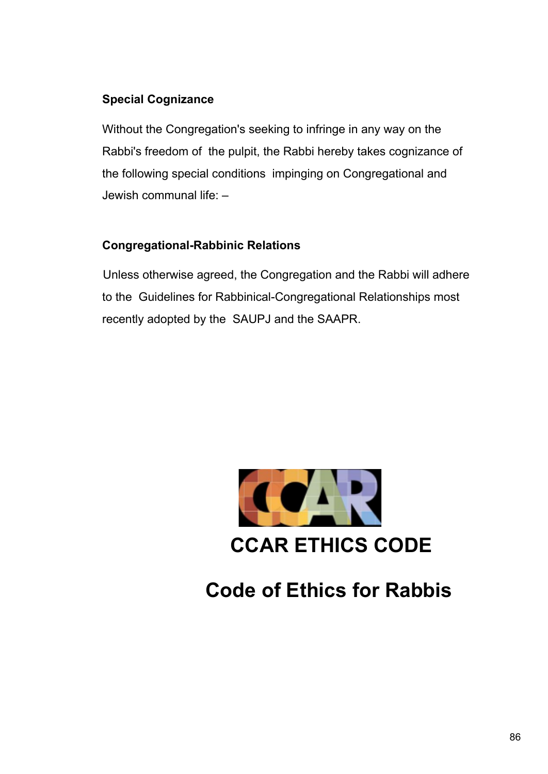# **Special Cognizance**

Without the Congregation's seeking to infringe in any way on the Rabbi's freedom of the pulpit, the Rabbi hereby takes cognizance of the following special conditions impinging on Congregational and Jewish communal life: –

# **Congregational-Rabbinic Relations**

Unless otherwise agreed, the Congregation and the Rabbi will adhere to the Guidelines for Rabbinical-Congregational Relationships most recently adopted by the SAUPJ and the SAAPR.



# **Code of Ethics for Rabbis**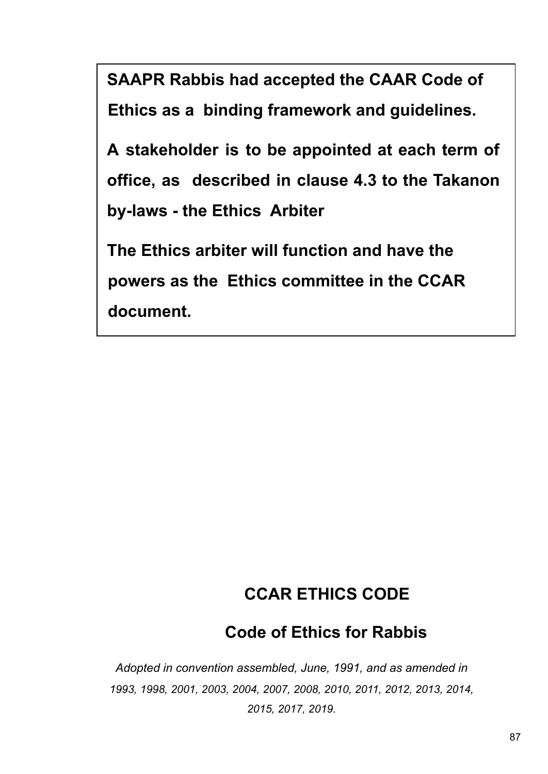**SAAPR Rabbis had accepted the CAAR Code of Ethics as a binding framework and guidelines.**

**A stakeholder is to be appointed at each term of office, as described in clause 4.3 to the Takanon by-laws - the Ethics Arbiter**

**The Ethics arbiter will function and have the powers as the Ethics committee in the CCAR document.**

# **CCAR ETHICS CODE**

# **Code of Ethics for Rabbis**

*Adopted in convention assembled, June, 1991, and as amended in 1993, 1998, 2001, 2003, 2004, 2007, 2008, 2010, 2011, 2012, 2013, 2014, 2015, 2017, 2019.*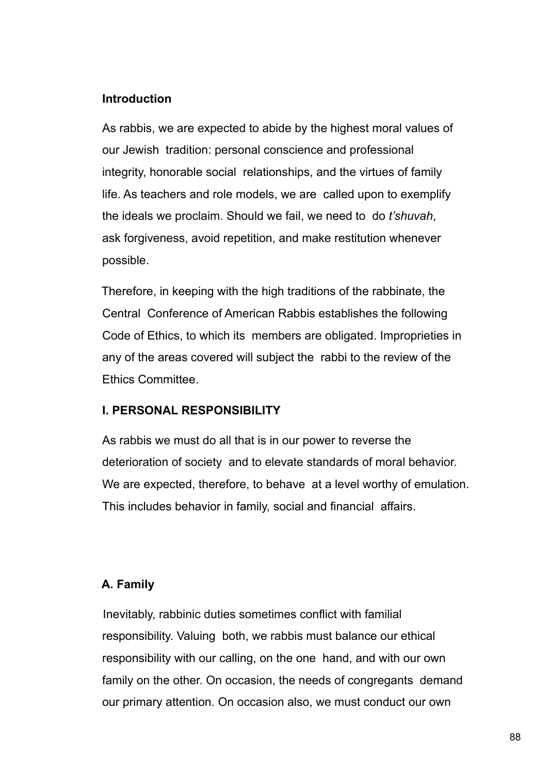## **Introduction**

As rabbis, we are expected to abide by the highest moral values of our Jewish tradition: personal conscience and professional integrity, honorable social relationships, and the virtues of family life. As teachers and role models, we are called upon to exemplify the ideals we proclaim. Should we fail, we need to do *t'shuvah*, ask forgiveness, avoid repetition, and make restitution whenever possible.

Therefore, in keeping with the high traditions of the rabbinate, the Central Conference of American Rabbis establishes the following Code of Ethics, to which its members are obligated. Improprieties in any of the areas covered will subject the rabbi to the review of the Ethics Committee.

## **I. PERSONAL RESPONSIBILITY**

As rabbis we must do all that is in our power to reverse the deterioration of society and to elevate standards of moral behavior. We are expected, therefore, to behave at a level worthy of emulation. This includes behavior in family, social and financial affairs.

# **A. Family**

Inevitably, rabbinic duties sometimes conflict with familial responsibility. Valuing both, we rabbis must balance our ethical responsibility with our calling, on the one hand, and with our own family on the other. On occasion, the needs of congregants demand our primary attention. On occasion also, we must conduct our own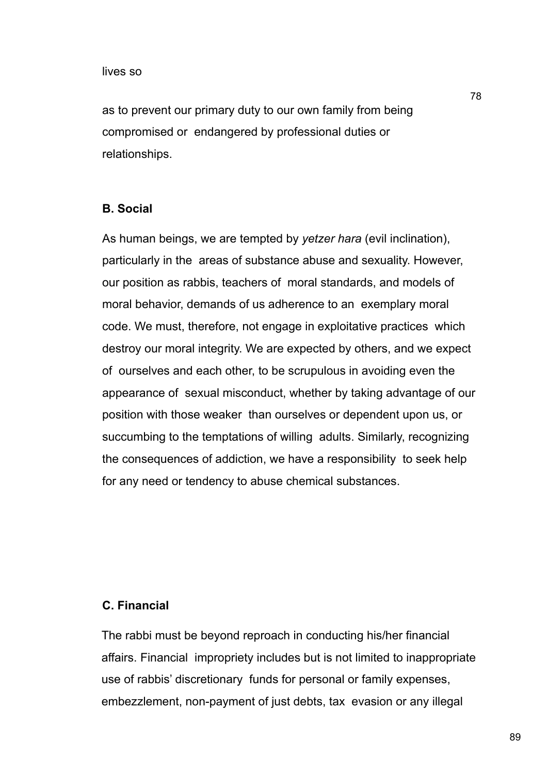as to prevent our primary duty to our own family from being compromised or endangered by professional duties or relationships.

#### **B. Social**

As human beings, we are tempted by *yetzer hara* (evil inclination), particularly in the areas of substance abuse and sexuality. However, our position as rabbis, teachers of moral standards, and models of moral behavior, demands of us adherence to an exemplary moral code. We must, therefore, not engage in exploitative practices which destroy our moral integrity. We are expected by others, and we expect of ourselves and each other, to be scrupulous in avoiding even the appearance of sexual misconduct, whether by taking advantage of our position with those weaker than ourselves or dependent upon us, or succumbing to the temptations of willing adults. Similarly, recognizing the consequences of addiction, we have a responsibility to seek help for any need or tendency to abuse chemical substances.

#### **C. Financial**

The rabbi must be beyond reproach in conducting his/her financial affairs. Financial impropriety includes but is not limited to inappropriate use of rabbis' discretionary funds for personal or family expenses, embezzlement, non-payment of just debts, tax evasion or any illegal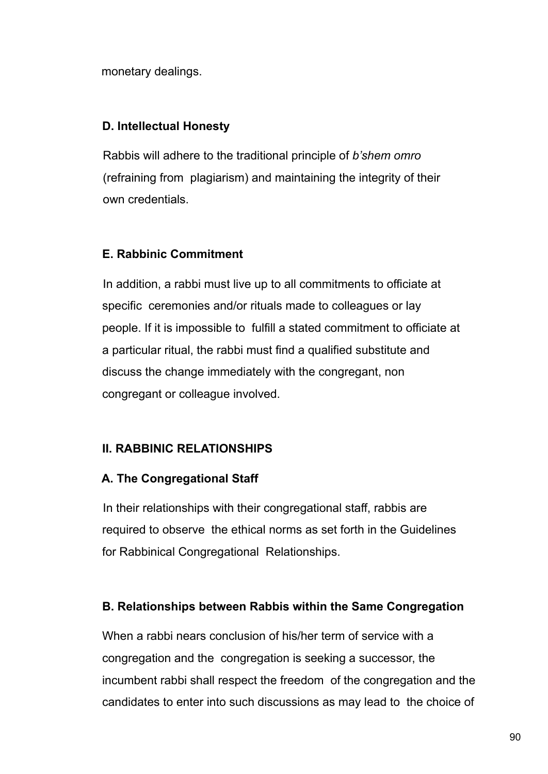monetary dealings.

## **D. Intellectual Honesty**

Rabbis will adhere to the traditional principle of *b'shem omro* (refraining from plagiarism) and maintaining the integrity of their own credentials.

# **E. Rabbinic Commitment**

In addition, a rabbi must live up to all commitments to officiate at specific ceremonies and/or rituals made to colleagues or lay people. If it is impossible to fulfill a stated commitment to officiate at a particular ritual, the rabbi must find a qualified substitute and discuss the change immediately with the congregant, non congregant or colleague involved.

# **II. RABBINIC RELATIONSHIPS**

## **A. The Congregational Staff**

In their relationships with their congregational staff, rabbis are required to observe the ethical norms as set forth in the Guidelines for Rabbinical Congregational Relationships.

# **B. Relationships between Rabbis within the Same Congregation**

When a rabbi nears conclusion of his/her term of service with a congregation and the congregation is seeking a successor, the incumbent rabbi shall respect the freedom of the congregation and the candidates to enter into such discussions as may lead to the choice of